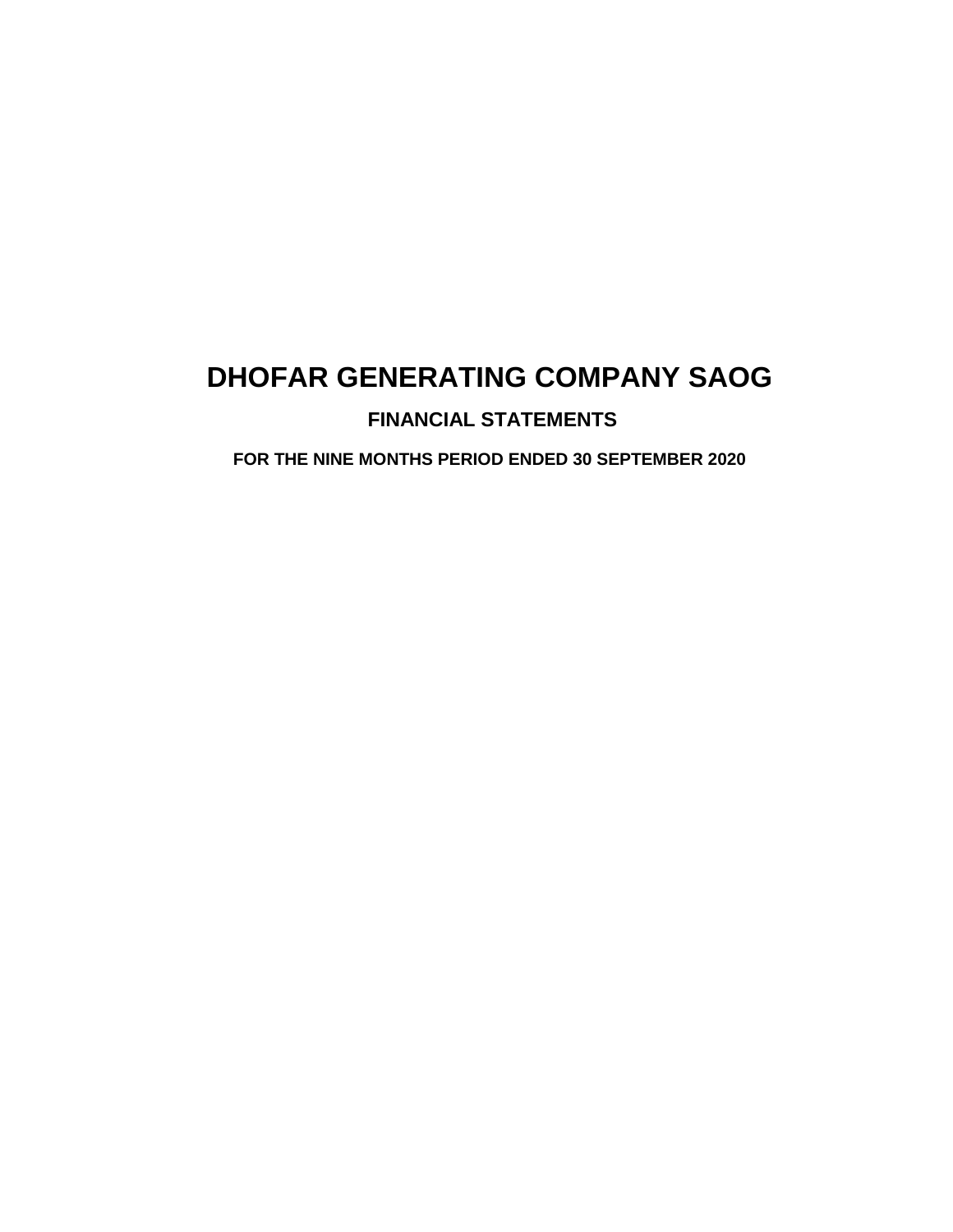### **FINANCIAL STATEMENTS**

**FOR THE NINE MONTHS PERIOD ENDED 30 SEPTEMBER 2020**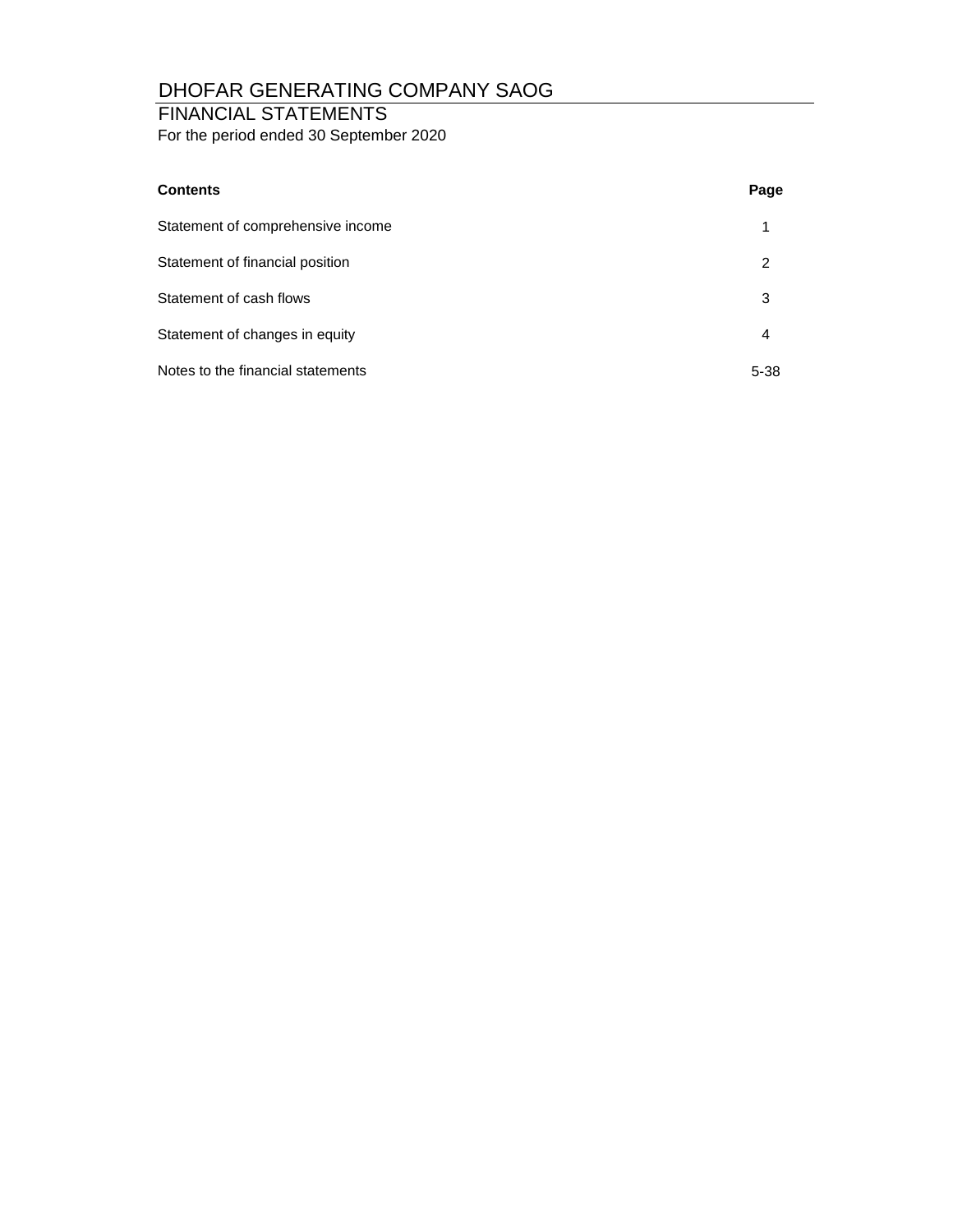### FINANCIAL STATEMENTS

For the period ended 30 September 2020

| <b>Contents</b>                   | Page     |
|-----------------------------------|----------|
| Statement of comprehensive income | 1        |
| Statement of financial position   | 2        |
| Statement of cash flows           | 3        |
| Statement of changes in equity    | 4        |
| Notes to the financial statements | $5 - 38$ |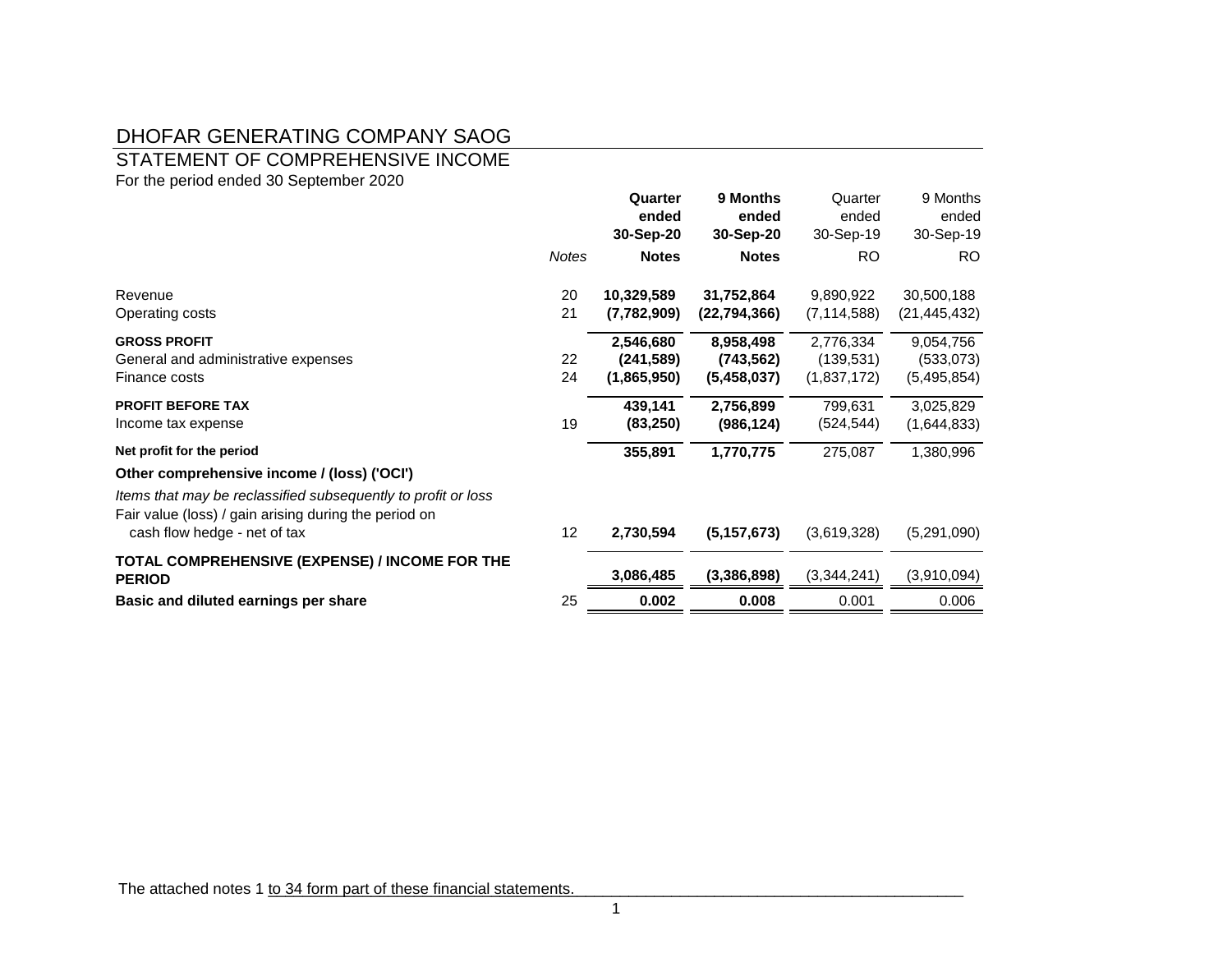### STATEMENT OF COMPREHENSIVE INCOME

For the period ended 30 September 2020

|                                                                                                                        |              | Quarter<br>ended<br>30-Sep-20 | 9 Months<br>ended<br>30-Sep-20 | Quarter<br>ended<br>30-Sep-19 | 9 Months<br>ended<br>30-Sep-19 |
|------------------------------------------------------------------------------------------------------------------------|--------------|-------------------------------|--------------------------------|-------------------------------|--------------------------------|
|                                                                                                                        | <b>Notes</b> | <b>Notes</b>                  | <b>Notes</b>                   | RO                            | RO.                            |
| Revenue                                                                                                                | 20           | 10,329,589                    | 31,752,864                     | 9,890,922                     | 30,500,188                     |
| Operating costs                                                                                                        | 21           | (7,782,909)                   | (22, 794, 366)                 | (7, 114, 588)                 | (21, 445, 432)                 |
| <b>GROSS PROFIT</b>                                                                                                    |              | 2,546,680                     | 8,958,498                      | 2,776,334                     | 9,054,756                      |
| General and administrative expenses                                                                                    | 22           | (241, 589)                    | (743, 562)                     | (139, 531)                    | (533,073)                      |
| Finance costs                                                                                                          | 24           | (1,865,950)                   | (5,458,037)                    | (1,837,172)                   | (5,495,854)                    |
| <b>PROFIT BEFORE TAX</b>                                                                                               |              | 439,141                       | 2,756,899                      | 799,631                       | 3,025,829                      |
| Income tax expense                                                                                                     | 19           | (83, 250)                     | (986, 124)                     | (524, 544)                    | (1,644,833)                    |
| Net profit for the period                                                                                              |              | 355,891                       | 1,770,775                      | 275,087                       | 1,380,996                      |
| Other comprehensive income / (loss) ('OCI')                                                                            |              |                               |                                |                               |                                |
| Items that may be reclassified subsequently to profit or loss<br>Fair value (loss) / gain arising during the period on |              |                               |                                |                               |                                |
| cash flow hedge - net of tax                                                                                           | 12           | 2,730,594                     | (5, 157, 673)                  | (3,619,328)                   | (5,291,090)                    |
| TOTAL COMPREHENSIVE (EXPENSE) / INCOME FOR THE<br><b>PERIOD</b>                                                        |              | 3,086,485                     | (3,386,898)                    | (3,344,241)                   | (3,910,094)                    |
| Basic and diluted earnings per share                                                                                   | 25           | 0.002                         | 0.008                          | 0.001                         | 0.006                          |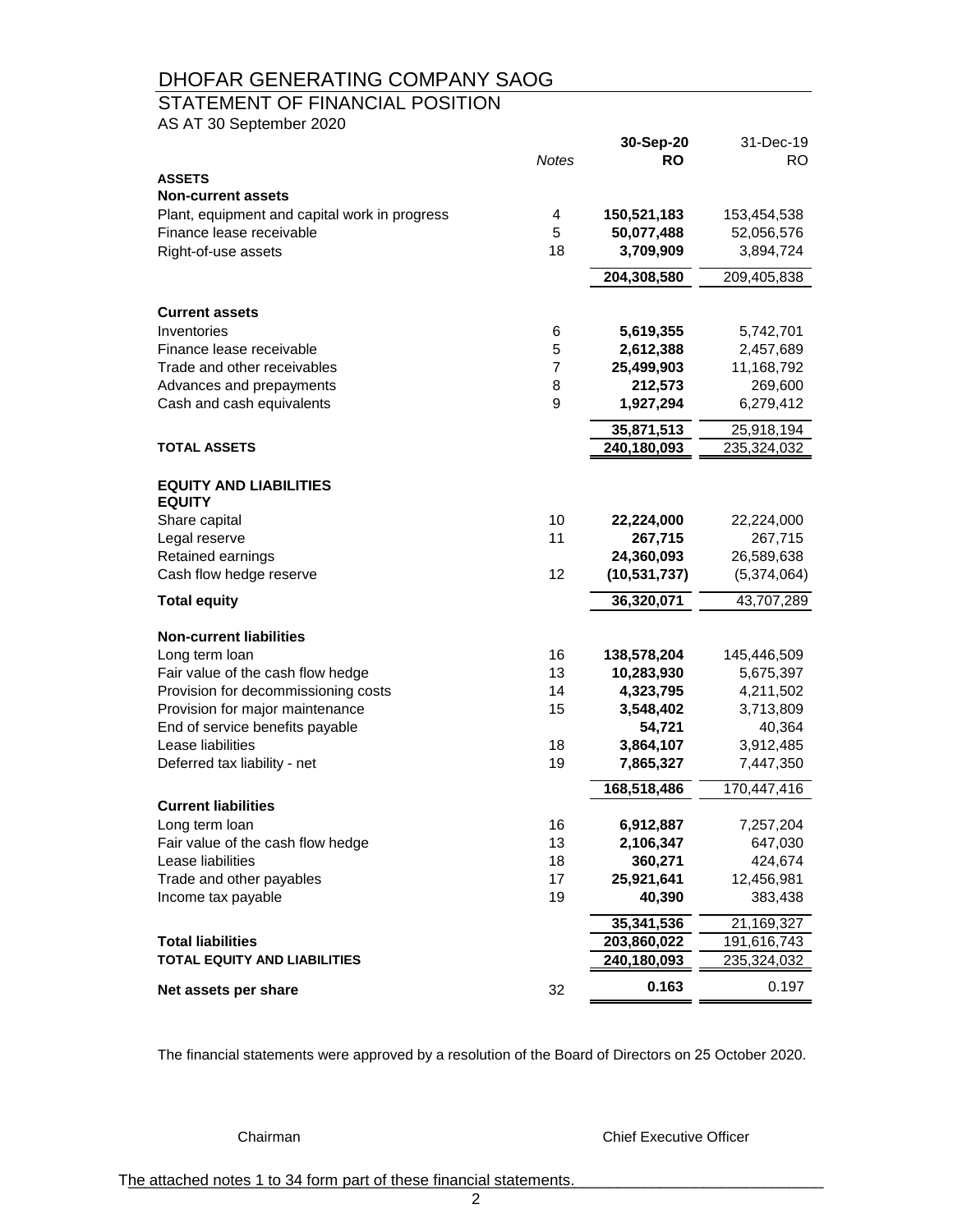### STATEMENT OF FINANCIAL POSITION

AS AT 30 September 2020

|                                               |              | 30-Sep-20             | 31-Dec-19                 |
|-----------------------------------------------|--------------|-----------------------|---------------------------|
| <b>ASSETS</b>                                 | <b>Notes</b> | <b>RO</b>             | RO.                       |
| <b>Non-current assets</b>                     |              |                       |                           |
| Plant, equipment and capital work in progress | 4            | 150,521,183           | 153,454,538               |
| Finance lease receivable                      | 5            | 50,077,488            | 52,056,576                |
| Right-of-use assets                           | 18           | 3,709,909             | 3,894,724                 |
|                                               |              |                       |                           |
|                                               |              | 204,308,580           | 209,405,838               |
| <b>Current assets</b>                         |              |                       |                           |
| Inventories                                   | 6            | 5,619,355             | 5,742,701                 |
| Finance lease receivable                      | 5            | 2,612,388             | 2,457,689                 |
| Trade and other receivables                   | 7            | 25,499,903            | 11,168,792                |
| Advances and prepayments                      | 8            | 212,573               | 269,600                   |
| Cash and cash equivalents                     | 9            | 1,927,294             | 6,279,412                 |
|                                               |              | 35,871,513            | 25,918,194                |
| <b>TOTAL ASSETS</b>                           |              | 240,180,093           | 235,324,032               |
|                                               |              |                       |                           |
| <b>EQUITY AND LIABILITIES</b>                 |              |                       |                           |
| <b>EQUITY</b>                                 |              |                       |                           |
| Share capital                                 | 10           | 22,224,000            | 22,224,000                |
| Legal reserve                                 | 11           | 267,715<br>24,360,093 | 267,715                   |
| Retained earnings<br>Cash flow hedge reserve  | 12           | (10, 531, 737)        | 26,589,638<br>(5,374,064) |
|                                               |              |                       |                           |
| <b>Total equity</b>                           |              | 36,320,071            | 43,707,289                |
| <b>Non-current liabilities</b>                |              |                       |                           |
| Long term loan                                | 16           | 138,578,204           | 145,446,509               |
| Fair value of the cash flow hedge             | 13           | 10,283,930            | 5,675,397                 |
| Provision for decommissioning costs           | 14           | 4,323,795             | 4,211,502                 |
| Provision for major maintenance               | 15           | 3,548,402             | 3,713,809                 |
| End of service benefits payable               |              | 54,721                | 40,364                    |
| Lease liabilities                             | 18           | 3,864,107             | 3,912,485                 |
| Deferred tax liability - net                  | 19           | 7,865,327             | 7,447,350                 |
|                                               |              | 168,518,486           | 170,447,416               |
| <b>Current liabilities</b>                    |              |                       |                           |
| Long term loan                                | 16           | 6,912,887             | 7,257,204                 |
| Fair value of the cash flow hedge             | 13           | 2,106,347             | 647,030                   |
| Lease liabilities                             | 18           | 360,271               | 424,674                   |
| Trade and other payables                      | 17           | 25,921,641            | 12,456,981                |
| Income tax payable                            | 19           | 40,390                | 383,438                   |
|                                               |              | 35,341,536            | 21,169,327                |
| <b>Total liabilities</b>                      |              | 203,860,022           | 191,616,743               |
| <b>TOTAL EQUITY AND LIABILITIES</b>           |              | 240,180,093           | 235,324,032               |
| Net assets per share                          | 32           | 0.163                 | 0.197                     |

The financial statements were approved by a resolution of the Board of Directors on 25 October 2020.

Chairman Chairman Chief Executive Officer

The attached notes 1 to 34 form part of these financial statements.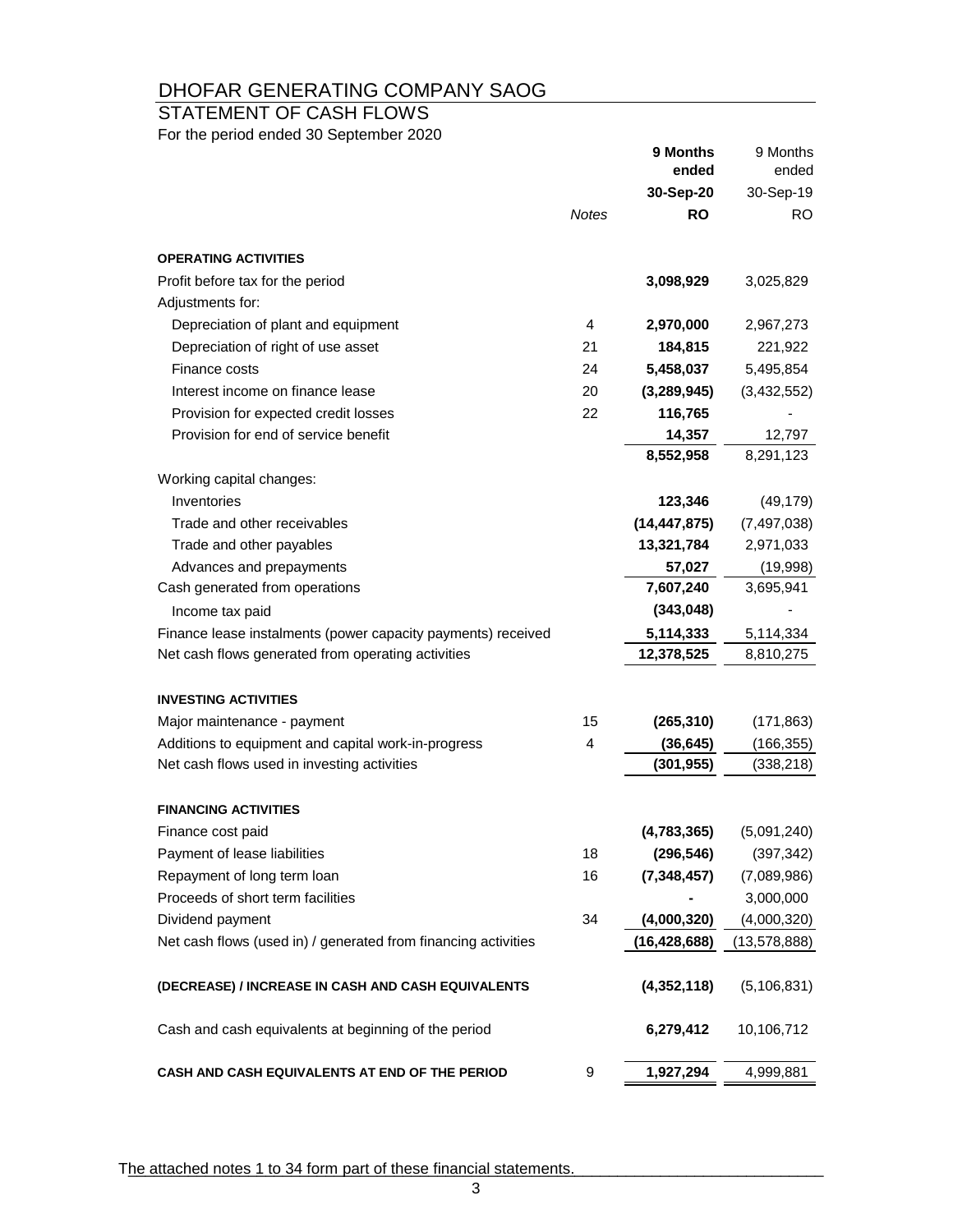### STATEMENT OF CASH FLOWS

For the period ended 30 September 2020

|                                                                |              | 9 Months<br>ended | 9 Months<br>ended |
|----------------------------------------------------------------|--------------|-------------------|-------------------|
|                                                                |              | 30-Sep-20         | 30-Sep-19         |
|                                                                | <b>Notes</b> | <b>RO</b>         | RO.               |
| <b>OPERATING ACTIVITIES</b>                                    |              |                   |                   |
| Profit before tax for the period                               |              | 3,098,929         | 3,025,829         |
| Adjustments for:                                               |              |                   |                   |
| Depreciation of plant and equipment                            | 4            | 2,970,000         | 2,967,273         |
| Depreciation of right of use asset                             | 21           | 184,815           | 221,922           |
| Finance costs                                                  | 24           | 5,458,037         | 5,495,854         |
| Interest income on finance lease                               | 20           | (3,289,945)       | (3,432,552)       |
| Provision for expected credit losses                           | 22           | 116,765           |                   |
| Provision for end of service benefit                           |              | 14,357            | 12,797            |
|                                                                |              | 8,552,958         | 8,291,123         |
| Working capital changes:                                       |              |                   |                   |
| Inventories                                                    |              | 123,346           | (49, 179)         |
| Trade and other receivables                                    |              | (14, 447, 875)    | (7, 497, 038)     |
| Trade and other payables                                       |              | 13,321,784        | 2,971,033         |
| Advances and prepayments                                       |              | 57,027            | (19,998)          |
| Cash generated from operations                                 |              | 7,607,240         | 3,695,941         |
| Income tax paid                                                |              | (343, 048)        |                   |
| Finance lease instalments (power capacity payments) received   |              | 5,114,333         | 5,114,334         |
| Net cash flows generated from operating activities             |              | 12,378,525        | 8,810,275         |
| <b>INVESTING ACTIVITIES</b>                                    |              |                   |                   |
| Major maintenance - payment                                    | 15           | (265, 310)        | (171, 863)        |
| Additions to equipment and capital work-in-progress            | 4            | (36, 645)         | (166, 355)        |
| Net cash flows used in investing activities                    |              | (301, 955)        | (338, 218)        |
| <b>FINANCING ACTIVITIES</b>                                    |              |                   |                   |
| Finance cost paid                                              |              | (4,783,365)       | (5,091,240)       |
| Payment of lease liabilities                                   | 18           | (296, 546)        | (397, 342)        |
| Repayment of long term loan                                    | 16           | (7, 348, 457)     | (7,089,986)       |
| Proceeds of short term facilities                              |              |                   | 3,000,000         |
| Dividend payment                                               | 34           | (4,000,320)       | (4,000,320)       |
| Net cash flows (used in) / generated from financing activities |              | (16, 428, 688)    | (13,578,888)      |
| (DECREASE) / INCREASE IN CASH AND CASH EQUIVALENTS             |              | (4,352,118)       | (5, 106, 831)     |
| Cash and cash equivalents at beginning of the period           |              | 6,279,412         | 10,106,712        |
| CASH AND CASH EQUIVALENTS AT END OF THE PERIOD                 | 9            | 1,927,294         | 4,999,881         |

The attached notes 1 to 34 form part of these financial statements.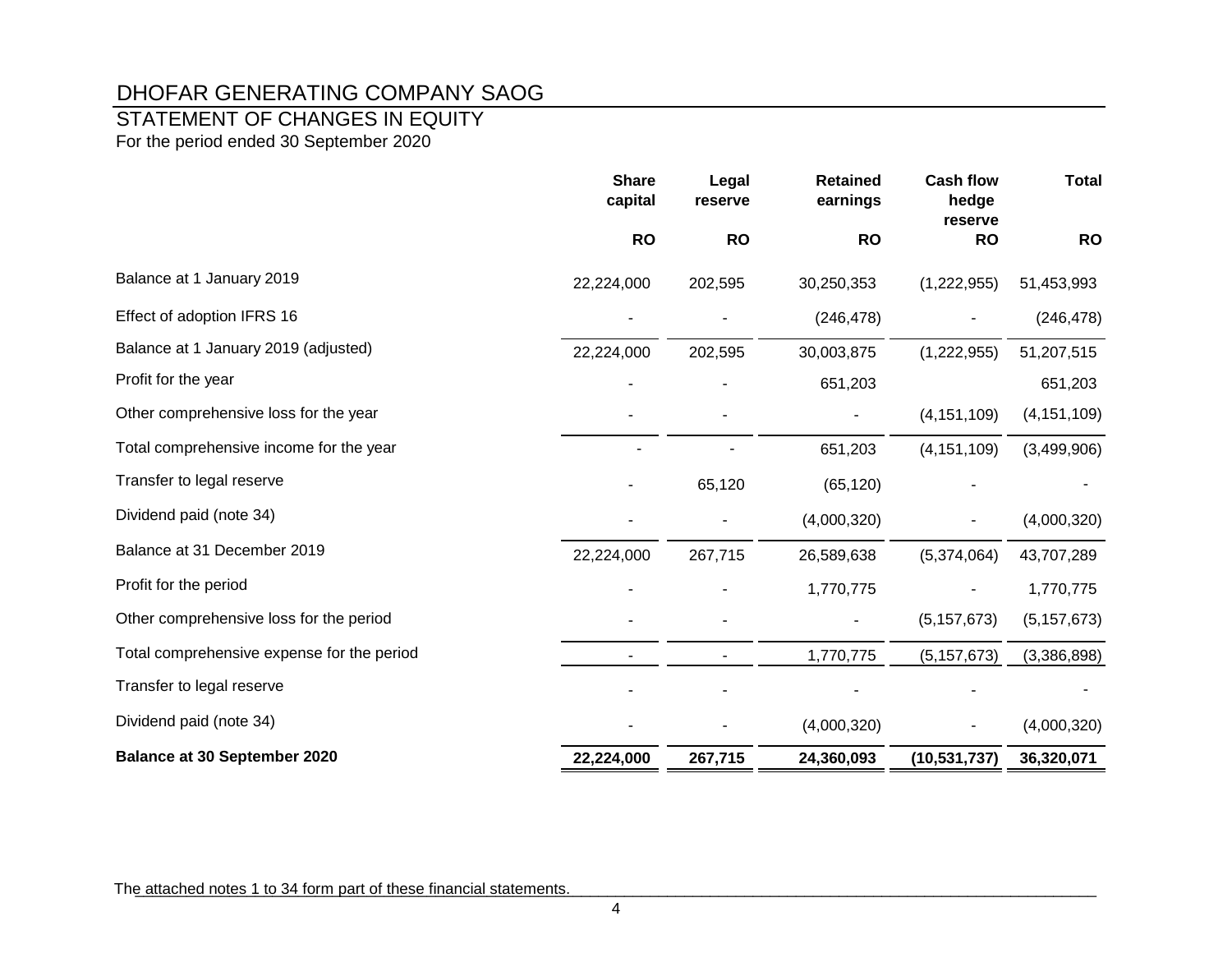## STATEMENT OF CHANGES IN EQUITY

For the period ended 30 September 2020

|                                            | <b>Share</b><br>capital | Legal<br>reserve | <b>Retained</b><br>earnings | <b>Cash flow</b><br>hedge<br>reserve | <b>Total</b>  |
|--------------------------------------------|-------------------------|------------------|-----------------------------|--------------------------------------|---------------|
|                                            | <b>RO</b>               | <b>RO</b>        | <b>RO</b>                   | <b>RO</b>                            | <b>RO</b>     |
| Balance at 1 January 2019                  | 22,224,000              | 202,595          | 30,250,353                  | (1,222,955)                          | 51,453,993    |
| Effect of adoption IFRS 16                 |                         |                  | (246, 478)                  |                                      | (246, 478)    |
| Balance at 1 January 2019 (adjusted)       | 22,224,000              | 202,595          | 30,003,875                  | (1,222,955)                          | 51,207,515    |
| Profit for the year                        |                         |                  | 651,203                     |                                      | 651,203       |
| Other comprehensive loss for the year      |                         |                  |                             | (4, 151, 109)                        | (4, 151, 109) |
| Total comprehensive income for the year    |                         |                  | 651,203                     | (4, 151, 109)                        | (3,499,906)   |
| Transfer to legal reserve                  |                         | 65,120           | (65, 120)                   |                                      |               |
| Dividend paid (note 34)                    |                         |                  | (4,000,320)                 |                                      | (4,000,320)   |
| Balance at 31 December 2019                | 22,224,000              | 267,715          | 26,589,638                  | (5,374,064)                          | 43,707,289    |
| Profit for the period                      |                         |                  | 1,770,775                   |                                      | 1,770,775     |
| Other comprehensive loss for the period    |                         |                  |                             | (5, 157, 673)                        | (5, 157, 673) |
| Total comprehensive expense for the period |                         |                  | 1,770,775                   | (5, 157, 673)                        | (3,386,898)   |
| Transfer to legal reserve                  |                         |                  |                             |                                      |               |
| Dividend paid (note 34)                    |                         |                  | (4,000,320)                 |                                      | (4,000,320)   |
| <b>Balance at 30 September 2020</b>        | 22,224,000              | 267,715          | 24,360,093                  | (10, 531, 737)                       | 36,320,071    |

The attached notes 1 to 34 form part of these financial statements.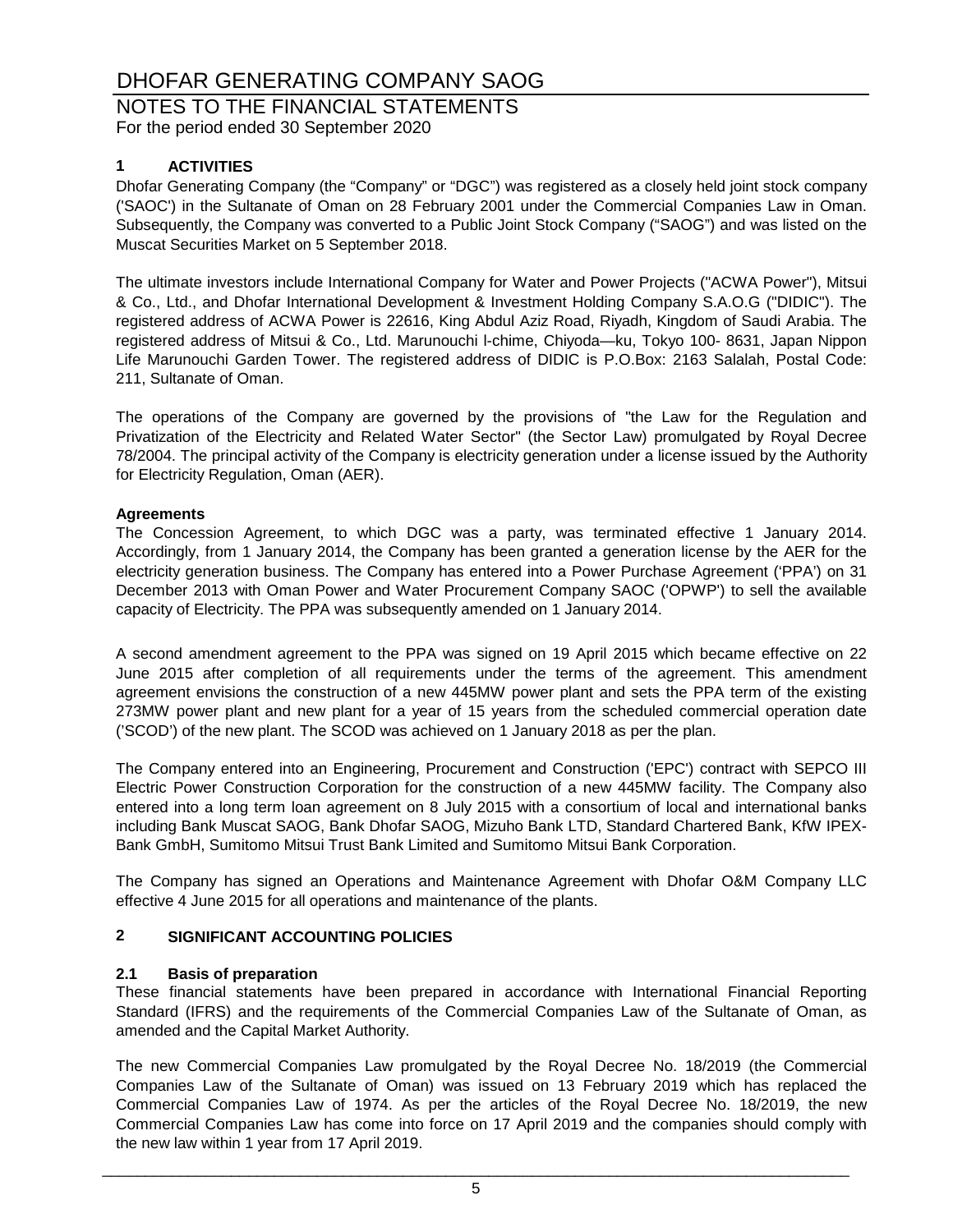#### NOTES TO THE FINANCIAL STATEMENTS For the period ended 30 September 2020

#### **1 ACTIVITIES**

Dhofar Generating Company (the "Company" or "DGC") was registered as a closely held joint stock company ('SAOC') in the Sultanate of Oman on 28 February 2001 under the Commercial Companies Law in Oman. Subsequently, the Company was converted to a Public Joint Stock Company ("SAOG") and was listed on the Muscat Securities Market on 5 September 2018.

The ultimate investors include International Company for Water and Power Projects ("ACWA Power"), Mitsui & Co., Ltd., and Dhofar International Development & Investment Holding Company S.A.O.G ("DIDIC"). The registered address of ACWA Power is 22616, King Abdul Aziz Road, Riyadh, Kingdom of Saudi Arabia. The registered address of Mitsui & Co., Ltd. Marunouchi l-chime, Chiyoda—ku, Tokyo 100- 8631, Japan Nippon Life Marunouchi Garden Tower. The registered address of DIDIC is P.O.Box: 2163 Salalah, Postal Code: 211, Sultanate of Oman.

The operations of the Company are governed by the provisions of "the Law for the Regulation and Privatization of the Electricity and Related Water Sector" (the Sector Law) promulgated by Royal Decree 78/2004. The principal activity of the Company is electricity generation under a license issued by the Authority for Electricity Regulation, Oman (AER).

#### **Agreements**

The Concession Agreement, to which DGC was a party, was terminated effective 1 January 2014. Accordingly, from 1 January 2014, the Company has been granted a generation license by the AER for the electricity generation business. The Company has entered into a Power Purchase Agreement ('PPA') on 31 December 2013 with Oman Power and Water Procurement Company SAOC ('OPWP') to sell the available capacity of Electricity. The PPA was subsequently amended on 1 January 2014.

A second amendment agreement to the PPA was signed on 19 April 2015 which became effective on 22 June 2015 after completion of all requirements under the terms of the agreement. This amendment agreement envisions the construction of a new 445MW power plant and sets the PPA term of the existing 273MW power plant and new plant for a year of 15 years from the scheduled commercial operation date ('SCOD') of the new plant. The SCOD was achieved on 1 January 2018 as per the plan.

The Company entered into an Engineering, Procurement and Construction ('EPC') contract with SEPCO III Electric Power Construction Corporation for the construction of a new 445MW facility. The Company also entered into a long term loan agreement on 8 July 2015 with a consortium of local and international banks including Bank Muscat SAOG, Bank Dhofar SAOG, Mizuho Bank LTD, Standard Chartered Bank, KfW IPEX-Bank GmbH, Sumitomo Mitsui Trust Bank Limited and Sumitomo Mitsui Bank Corporation.

The Company has signed an Operations and Maintenance Agreement with Dhofar O&M Company LLC effective 4 June 2015 for all operations and maintenance of the plants.

### **2 SIGNIFICANT ACCOUNTING POLICIES**

#### **2.1 Basis of preparation**

These financial statements have been prepared in accordance with International Financial Reporting Standard (IFRS) and the requirements of the Commercial Companies Law of the Sultanate of Oman, as amended and the Capital Market Authority.

The new Commercial Companies Law promulgated by the Royal Decree No. 18/2019 (the Commercial Companies Law of the Sultanate of Oman) was issued on 13 February 2019 which has replaced the Commercial Companies Law of 1974. As per the articles of the Royal Decree No. 18/2019, the new Commercial Companies Law has come into force on 17 April 2019 and the companies should comply with the new law within 1 year from 17 April 2019.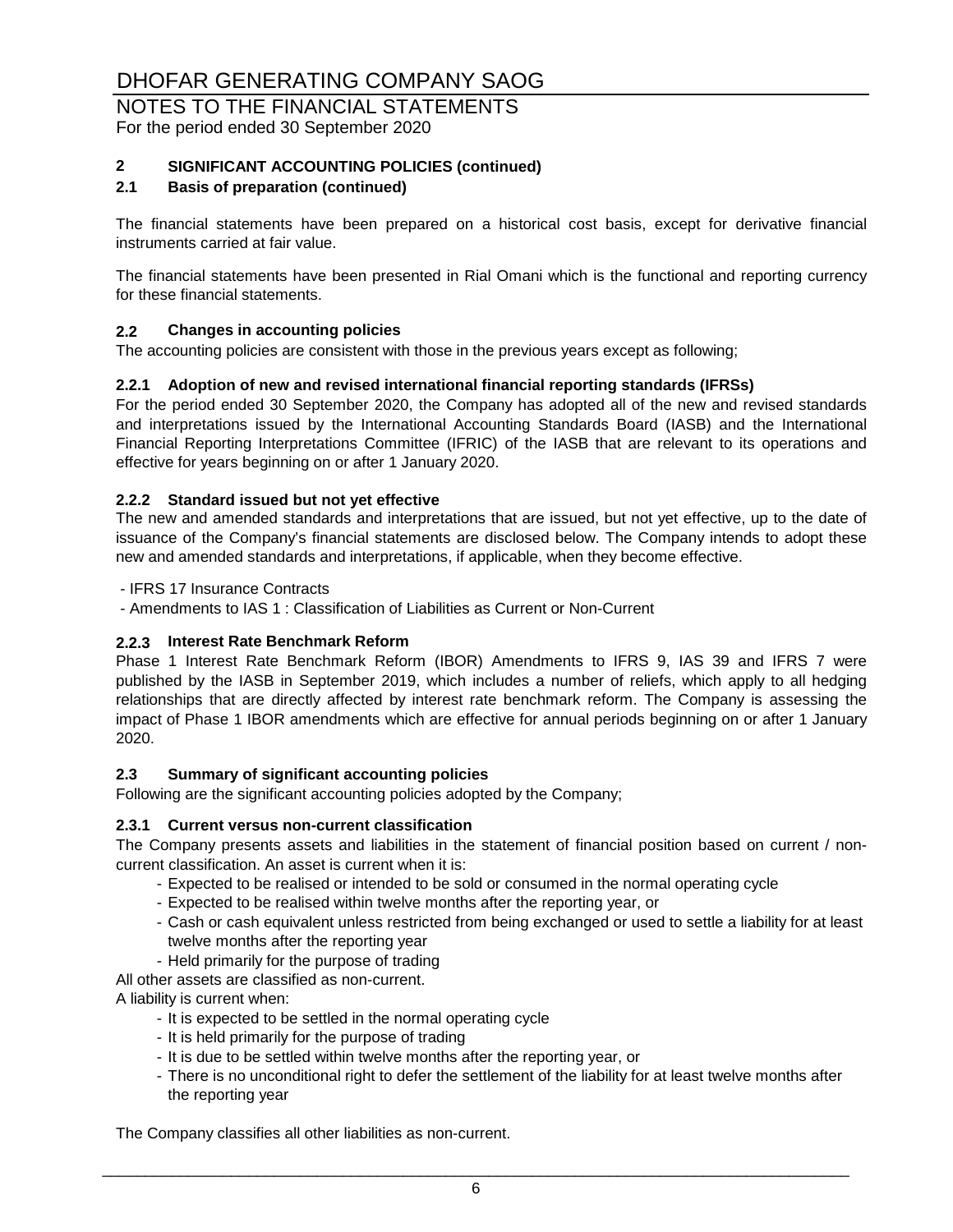#### NOTES TO THE FINANCIAL STATEMENTS For the period ended 30 September 2020

#### **2 SIGNIFICANT ACCOUNTING POLICIES (continued)**

#### **2.1 Basis of preparation (continued)**

The financial statements have been prepared on a historical cost basis, except for derivative financial instruments carried at fair value.

The financial statements have been presented in Rial Omani which is the functional and reporting currency for these financial statements.

#### **2.2 Changes in accounting policies**

The accounting policies are consistent with those in the previous years except as following;

#### **2.2.1 Adoption of new and revised international financial reporting standards (IFRSs)**

For the period ended 30 September 2020, the Company has adopted all of the new and revised standards and interpretations issued by the International Accounting Standards Board (IASB) and the International Financial Reporting Interpretations Committee (IFRIC) of the IASB that are relevant to its operations and effective for years beginning on or after 1 January 2020.

#### **2.2.2 Standard issued but not yet effective**

The new and amended standards and interpretations that are issued, but not yet effective, up to the date of issuance of the Company's financial statements are disclosed below. The Company intends to adopt these new and amended standards and interpretations, if applicable, when they become effective.

- IFRS 17 Insurance Contracts

- Amendments to IAS 1 : Classification of Liabilities as Current or Non-Current

#### **2.2.3 Interest Rate Benchmark Reform**

Phase 1 Interest Rate Benchmark Reform (IBOR) Amendments to IFRS 9, IAS 39 and IFRS 7 were published by the IASB in September 2019, which includes a number of reliefs, which apply to all hedging relationships that are directly affected by interest rate benchmark reform. The Company is assessing the impact of Phase 1 IBOR amendments which are effective for annual periods beginning on or after 1 January 2020.

#### **2.3 Summary of significant accounting policies**

Following are the significant accounting policies adopted by the Company;

#### **2.3.1 Current versus non-current classification**

The Company presents assets and liabilities in the statement of financial position based on current / noncurrent classification. An asset is current when it is:

- Expected to be realised or intended to be sold or consumed in the normal operating cycle
- Expected to be realised within twelve months after the reporting year, or
- Cash or cash equivalent unless restricted from being exchanged or used to settle a liability for at least twelve months after the reporting year
- Held primarily for the purpose of trading

All other assets are classified as non-current.

A liability is current when:

- It is expected to be settled in the normal operating cycle
- It is held primarily for the purpose of trading
- It is due to be settled within twelve months after the reporting year, or
- There is no unconditional right to defer the settlement of the liability for at least twelve months after the reporting year

The Company classifies all other liabilities as non-current.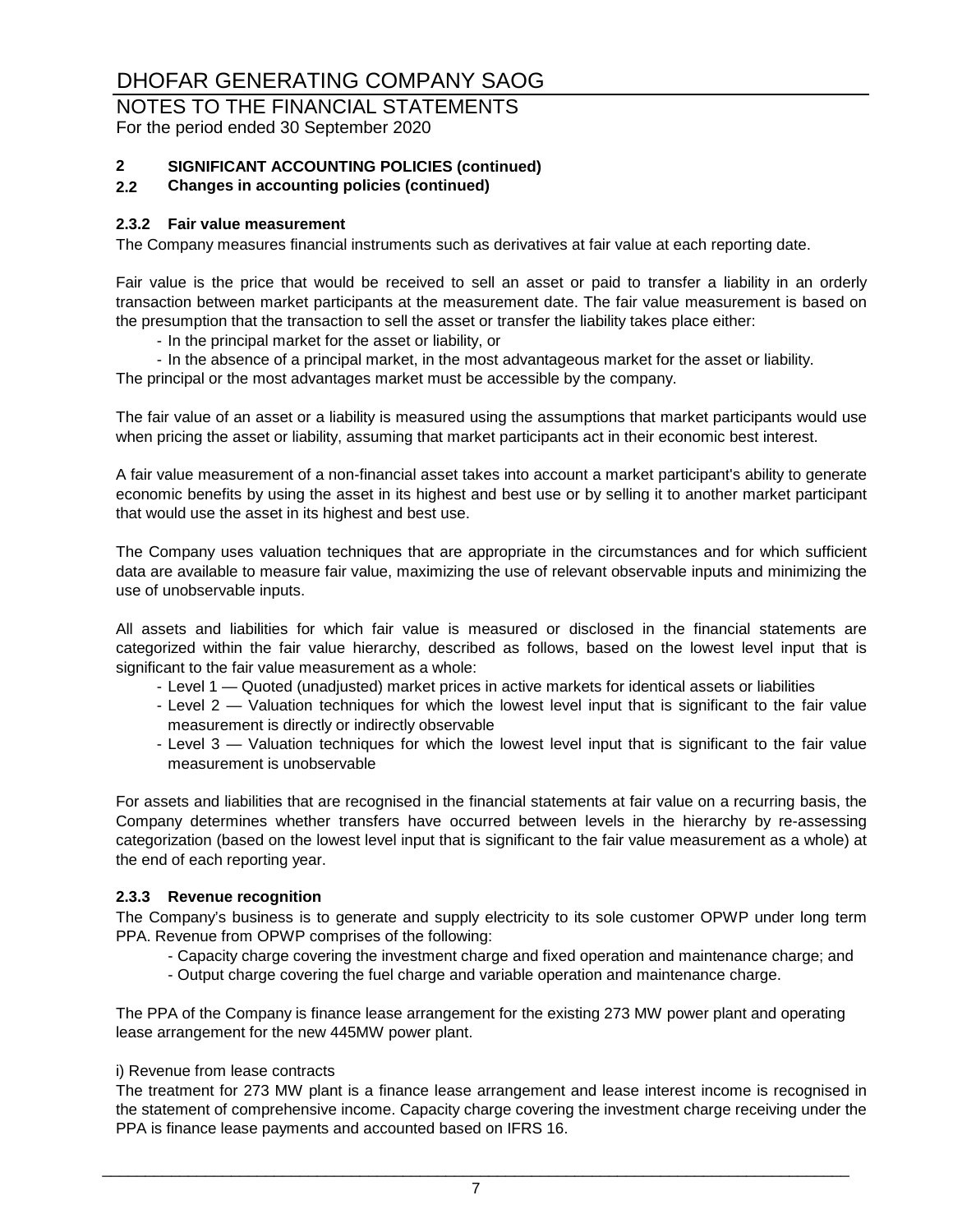#### NOTES TO THE FINANCIAL STATEMENTS For the period ended 30 September 2020

# **2 SIGNIFICANT ACCOUNTING POLICIES (continued)**

#### **2.2 Changes in accounting policies (continued)**

#### **2.3.2 Fair value measurement**

The Company measures financial instruments such as derivatives at fair value at each reporting date.

Fair value is the price that would be received to sell an asset or paid to transfer a liability in an orderly transaction between market participants at the measurement date. The fair value measurement is based on the presumption that the transaction to sell the asset or transfer the liability takes place either:

- In the principal market for the asset or liability, or
- In the absence of a principal market, in the most advantageous market for the asset or liability. The principal or the most advantages market must be accessible by the company.

The fair value of an asset or a liability is measured using the assumptions that market participants would use when pricing the asset or liability, assuming that market participants act in their economic best interest.

A fair value measurement of a non-financial asset takes into account a market participant's ability to generate economic benefits by using the asset in its highest and best use or by selling it to another market participant that would use the asset in its highest and best use.

The Company uses valuation techniques that are appropriate in the circumstances and for which sufficient data are available to measure fair value, maximizing the use of relevant observable inputs and minimizing the use of unobservable inputs.

All assets and liabilities for which fair value is measured or disclosed in the financial statements are categorized within the fair value hierarchy, described as follows, based on the lowest level input that is significant to the fair value measurement as a whole:

- Level 1 Quoted (unadjusted) market prices in active markets for identical assets or liabilities
- Level 2 Valuation techniques for which the lowest level input that is significant to the fair value measurement is directly or indirectly observable
- Level 3 Valuation techniques for which the lowest level input that is significant to the fair value measurement is unobservable

For assets and liabilities that are recognised in the financial statements at fair value on a recurring basis, the Company determines whether transfers have occurred between levels in the hierarchy by re-assessing categorization (based on the lowest level input that is significant to the fair value measurement as a whole) at the end of each reporting year.

#### **2.3.3 Revenue recognition**

The Company's business is to generate and supply electricity to its sole customer OPWP under long term PPA. Revenue from OPWP comprises of the following:

- Capacity charge covering the investment charge and fixed operation and maintenance charge; and
- Output charge covering the fuel charge and variable operation and maintenance charge.

The PPA of the Company is finance lease arrangement for the existing 273 MW power plant and operating lease arrangement for the new 445MW power plant.

#### i) Revenue from lease contracts

The treatment for 273 MW plant is a finance lease arrangement and lease interest income is recognised in the statement of comprehensive income. Capacity charge covering the investment charge receiving under the PPA is finance lease payments and accounted based on IFRS 16.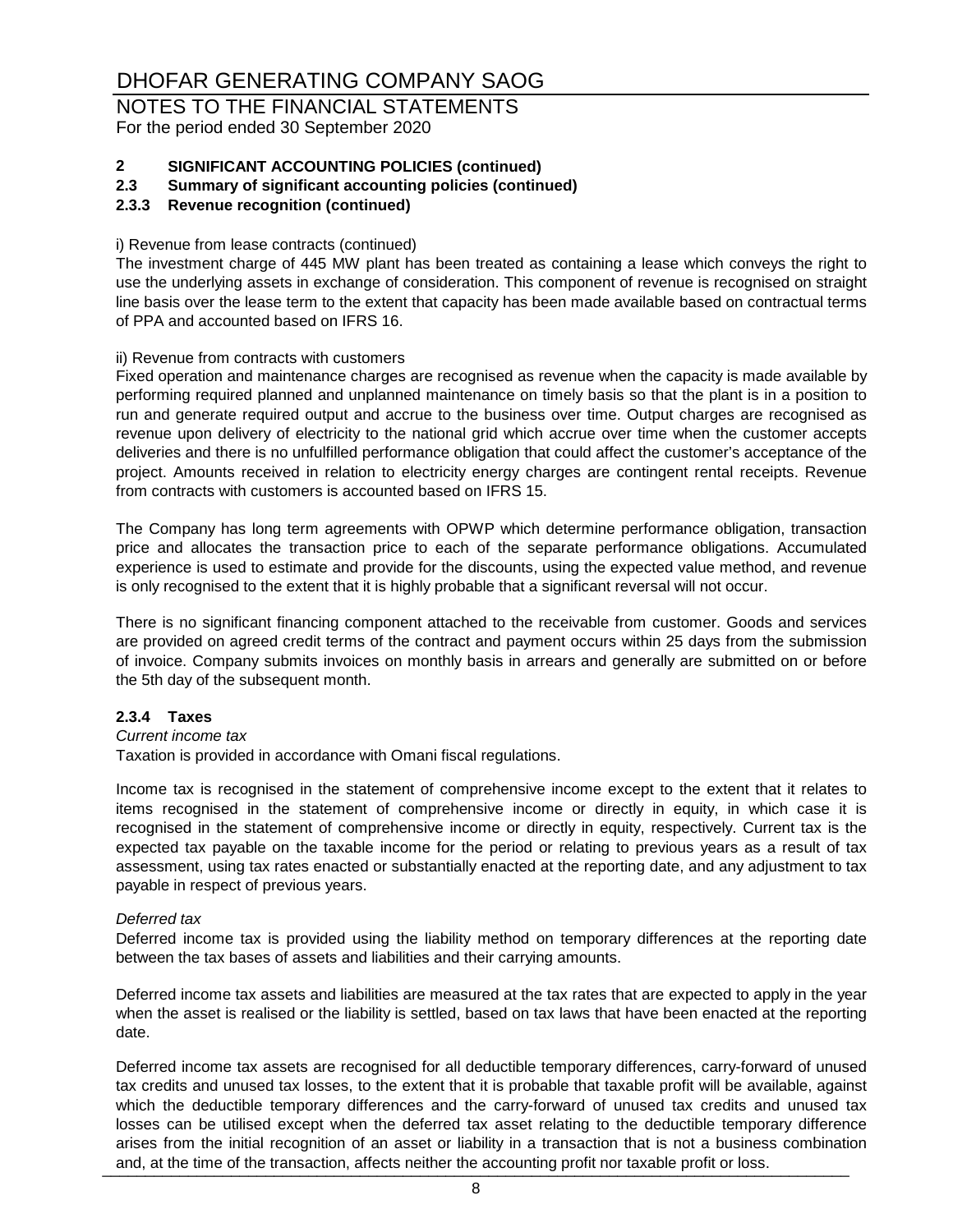NOTES TO THE FINANCIAL STATEMENTS For the period ended 30 September 2020

# **2 SIGNIFICANT ACCOUNTING POLICIES (continued)**

**2.3 Summary of significant accounting policies (continued)**

#### **2.3.3 Revenue recognition (continued)**

#### i) Revenue from lease contracts (continued)

The investment charge of 445 MW plant has been treated as containing a lease which conveys the right to use the underlying assets in exchange of consideration. This component of revenue is recognised on straight line basis over the lease term to the extent that capacity has been made available based on contractual terms of PPA and accounted based on IFRS 16.

#### ii) Revenue from contracts with customers

Fixed operation and maintenance charges are recognised as revenue when the capacity is made available by performing required planned and unplanned maintenance on timely basis so that the plant is in a position to run and generate required output and accrue to the business over time. Output charges are recognised as revenue upon delivery of electricity to the national grid which accrue over time when the customer accepts deliveries and there is no unfulfilled performance obligation that could affect the customer's acceptance of the project. Amounts received in relation to electricity energy charges are contingent rental receipts. Revenue from contracts with customers is accounted based on IFRS 15.

The Company has long term agreements with OPWP which determine performance obligation, transaction price and allocates the transaction price to each of the separate performance obligations. Accumulated experience is used to estimate and provide for the discounts, using the expected value method, and revenue is only recognised to the extent that it is highly probable that a significant reversal will not occur.

There is no significant financing component attached to the receivable from customer. Goods and services are provided on agreed credit terms of the contract and payment occurs within 25 days from the submission of invoice. Company submits invoices on monthly basis in arrears and generally are submitted on or before the 5th day of the subsequent month.

#### **2.3.4 Taxes**

#### *Current income tax*

Taxation is provided in accordance with Omani fiscal regulations.

Income tax is recognised in the statement of comprehensive income except to the extent that it relates to items recognised in the statement of comprehensive income or directly in equity, in which case it is recognised in the statement of comprehensive income or directly in equity, respectively. Current tax is the expected tax payable on the taxable income for the period or relating to previous years as a result of tax assessment, using tax rates enacted or substantially enacted at the reporting date, and any adjustment to tax payable in respect of previous years.

#### *Deferred tax*

Deferred income tax is provided using the liability method on temporary differences at the reporting date between the tax bases of assets and liabilities and their carrying amounts.

Deferred income tax assets and liabilities are measured at the tax rates that are expected to apply in the year when the asset is realised or the liability is settled, based on tax laws that have been enacted at the reporting date.

Deferred income tax assets are recognised for all deductible temporary differences, carry-forward of unused tax credits and unused tax losses, to the extent that it is probable that taxable profit will be available, against which the deductible temporary differences and the carry-forward of unused tax credits and unused tax losses can be utilised except when the deferred tax asset relating to the deductible temporary difference arises from the initial recognition of an asset or liability in a transaction that is not a business combination and, at the time of the transaction, affects neither the accounting profit nor taxable profit or loss.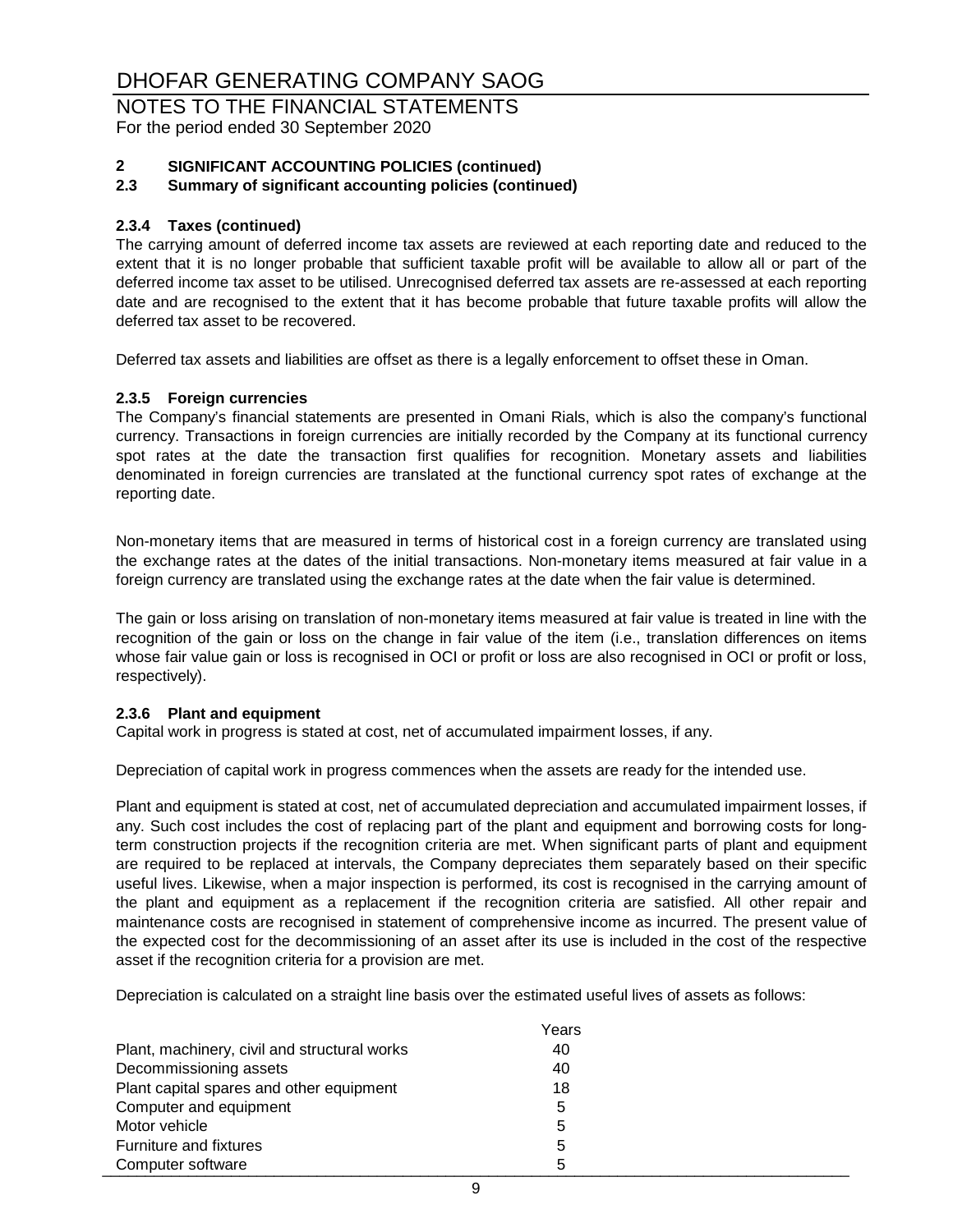NOTES TO THE FINANCIAL STATEMENTS For the period ended 30 September 2020

# **2 SIGNIFICANT ACCOUNTING POLICIES (continued)**

#### **2.3 Summary of significant accounting policies (continued)**

#### **2.3.4 Taxes (continued)**

The carrying amount of deferred income tax assets are reviewed at each reporting date and reduced to the extent that it is no longer probable that sufficient taxable profit will be available to allow all or part of the deferred income tax asset to be utilised. Unrecognised deferred tax assets are re-assessed at each reporting date and are recognised to the extent that it has become probable that future taxable profits will allow the deferred tax asset to be recovered.

Deferred tax assets and liabilities are offset as there is a legally enforcement to offset these in Oman.

#### **2.3.5 Foreign currencies**

The Company's financial statements are presented in Omani Rials, which is also the company's functional currency. Transactions in foreign currencies are initially recorded by the Company at its functional currency spot rates at the date the transaction first qualifies for recognition. Monetary assets and liabilities denominated in foreign currencies are translated at the functional currency spot rates of exchange at the reporting date.

Non-monetary items that are measured in terms of historical cost in a foreign currency are translated using the exchange rates at the dates of the initial transactions. Non-monetary items measured at fair value in a foreign currency are translated using the exchange rates at the date when the fair value is determined.

The gain or loss arising on translation of non-monetary items measured at fair value is treated in line with the recognition of the gain or loss on the change in fair value of the item (i.e., translation differences on items whose fair value gain or loss is recognised in OCI or profit or loss are also recognised in OCI or profit or loss, respectively).

#### **2.3.6 Plant and equipment**

Capital work in progress is stated at cost, net of accumulated impairment losses, if any.

Depreciation of capital work in progress commences when the assets are ready for the intended use.

Plant and equipment is stated at cost, net of accumulated depreciation and accumulated impairment losses, if any. Such cost includes the cost of replacing part of the plant and equipment and borrowing costs for longterm construction projects if the recognition criteria are met. When significant parts of plant and equipment are required to be replaced at intervals, the Company depreciates them separately based on their specific useful lives. Likewise, when a major inspection is performed, its cost is recognised in the carrying amount of the plant and equipment as a replacement if the recognition criteria are satisfied. All other repair and maintenance costs are recognised in statement of comprehensive income as incurred. The present value of the expected cost for the decommissioning of an asset after its use is included in the cost of the respective asset if the recognition criteria for a provision are met.

Depreciation is calculated on a straight line basis over the estimated useful lives of assets as follows:

|                                              | Years |  |
|----------------------------------------------|-------|--|
| Plant, machinery, civil and structural works | 40    |  |
| Decommissioning assets                       | 40    |  |
| Plant capital spares and other equipment     | 18    |  |
| Computer and equipment                       | 5     |  |
| Motor vehicle                                | 5     |  |
| <b>Furniture and fixtures</b>                | 5     |  |
| Computer software                            | 5     |  |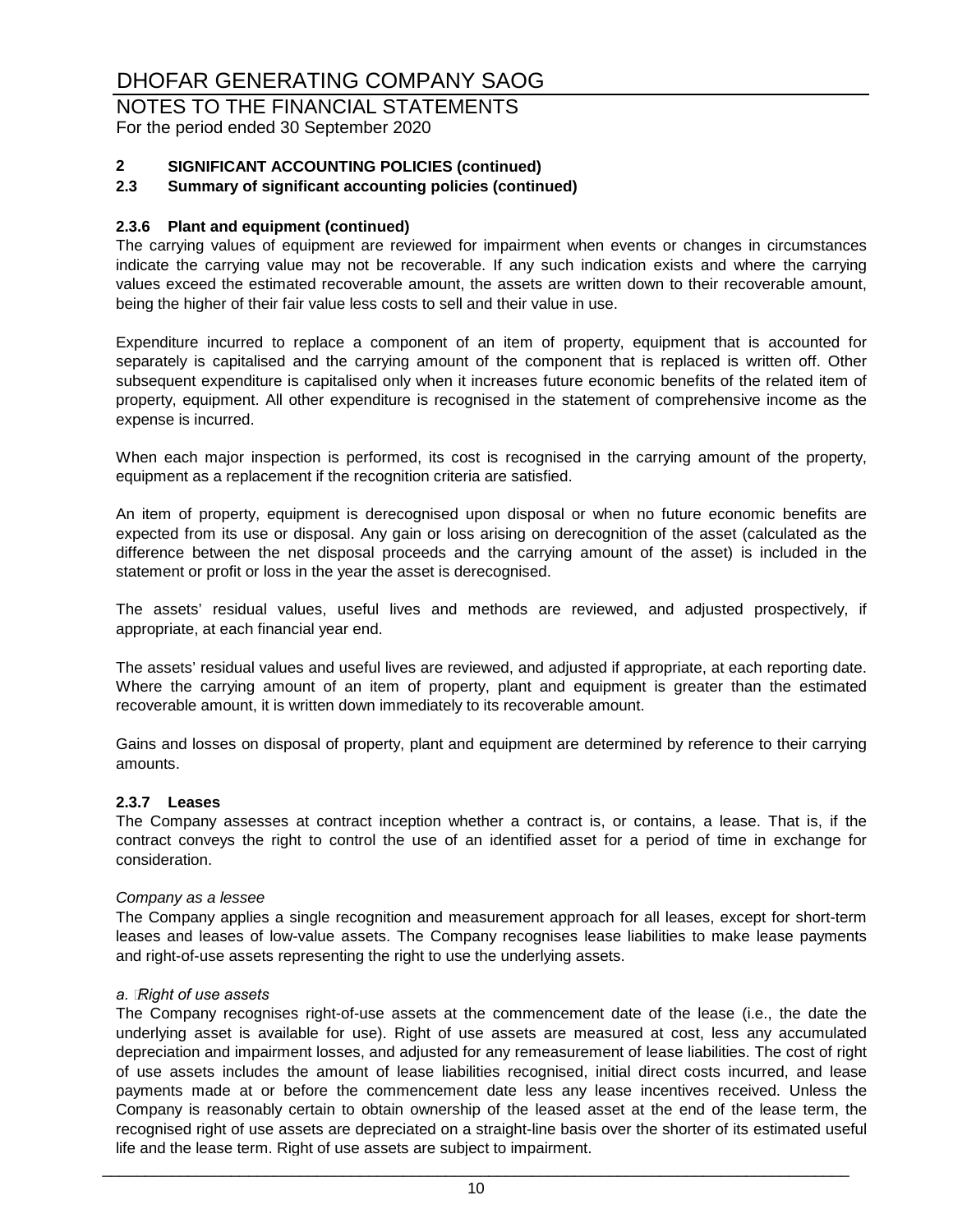#### NOTES TO THE FINANCIAL STATEMENTS For the period ended 30 September 2020

#### **2 SIGNIFICANT ACCOUNTING POLICIES (continued)**

#### **2.3 Summary of significant accounting policies (continued)**

#### **2.3.6 Plant and equipment (continued)**

The carrying values of equipment are reviewed for impairment when events or changes in circumstances indicate the carrying value may not be recoverable. If any such indication exists and where the carrying values exceed the estimated recoverable amount, the assets are written down to their recoverable amount, being the higher of their fair value less costs to sell and their value in use.

Expenditure incurred to replace a component of an item of property, equipment that is accounted for separately is capitalised and the carrying amount of the component that is replaced is written off. Other subsequent expenditure is capitalised only when it increases future economic benefits of the related item of property, equipment. All other expenditure is recognised in the statement of comprehensive income as the expense is incurred.

When each major inspection is performed, its cost is recognised in the carrying amount of the property, equipment as a replacement if the recognition criteria are satisfied.

An item of property, equipment is derecognised upon disposal or when no future economic benefits are expected from its use or disposal. Any gain or loss arising on derecognition of the asset (calculated as the difference between the net disposal proceeds and the carrying amount of the asset) is included in the statement or profit or loss in the year the asset is derecognised.

The assets' residual values, useful lives and methods are reviewed, and adjusted prospectively, if appropriate, at each financial year end.

The assets' residual values and useful lives are reviewed, and adjusted if appropriate, at each reporting date. Where the carrying amount of an item of property, plant and equipment is greater than the estimated recoverable amount, it is written down immediately to its recoverable amount.

Gains and losses on disposal of property, plant and equipment are determined by reference to their carrying amounts.

#### **2.3.7 Leases**

The Company assesses at contract inception whether a contract is, or contains, a lease. That is, if the contract conveys the right to control the use of an identified asset for a period of time in exchange for consideration.

#### *Company as a lessee*

The Company applies a single recognition and measurement approach for all leases, except for short-term leases and leases of low-value assets. The Company recognises lease liabilities to make lease payments and right-of-use assets representing the right to use the underlying assets.

#### *a. Right of use assets*

The Company recognises right-of-use assets at the commencement date of the lease (i.e., the date the underlying asset is available for use). Right of use assets are measured at cost, less any accumulated depreciation and impairment losses, and adjusted for any remeasurement of lease liabilities. The cost of right of use assets includes the amount of lease liabilities recognised, initial direct costs incurred, and lease payments made at or before the commencement date less any lease incentives received. Unless the Company is reasonably certain to obtain ownership of the leased asset at the end of the lease term, the recognised right of use assets are depreciated on a straight-line basis over the shorter of its estimated useful life and the lease term. Right of use assets are subject to impairment.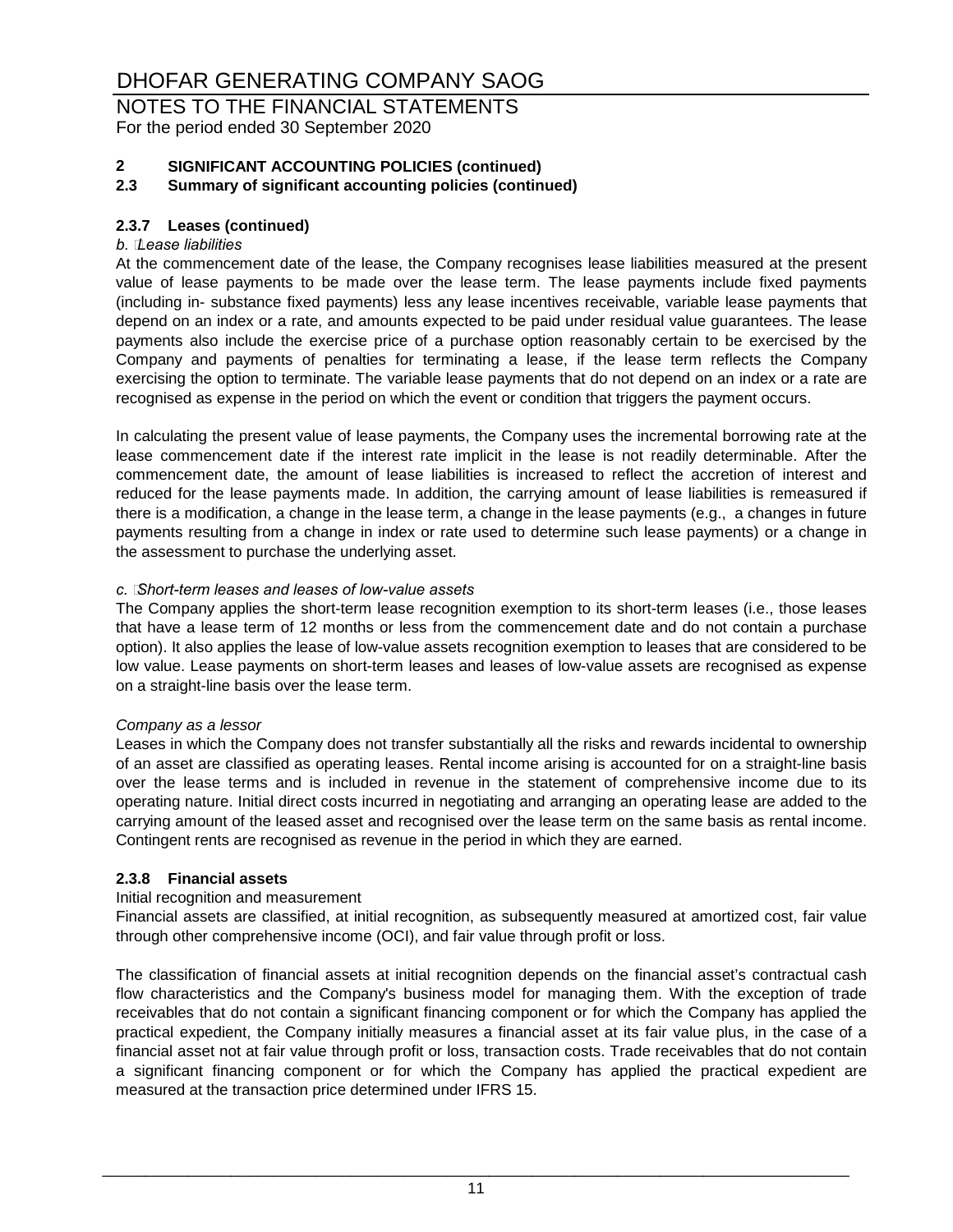NOTES TO THE FINANCIAL STATEMENTS For the period ended 30 September 2020

# **2 SIGNIFICANT ACCOUNTING POLICIES (continued)**

#### **2.3 Summary of significant accounting policies (continued)**

#### **2.3.7 Leases (continued)**

#### *b. Lease liabilities*

At the commencement date of the lease, the Company recognises lease liabilities measured at the present value of lease payments to be made over the lease term. The lease payments include fixed payments (including in- substance fixed payments) less any lease incentives receivable, variable lease payments that depend on an index or a rate, and amounts expected to be paid under residual value guarantees. The lease payments also include the exercise price of a purchase option reasonably certain to be exercised by the Company and payments of penalties for terminating a lease, if the lease term reflects the Company exercising the option to terminate. The variable lease payments that do not depend on an index or a rate are recognised as expense in the period on which the event or condition that triggers the payment occurs.

In calculating the present value of lease payments, the Company uses the incremental borrowing rate at the lease commencement date if the interest rate implicit in the lease is not readily determinable. After the commencement date, the amount of lease liabilities is increased to reflect the accretion of interest and reduced for the lease payments made. In addition, the carrying amount of lease liabilities is remeasured if there is a modification, a change in the lease term, a change in the lease payments (e.g., a changes in future payments resulting from a change in index or rate used to determine such lease payments) or a change in the assessment to purchase the underlying asset.

#### *c. Short-term leases and leases of low-value assets*

The Company applies the short-term lease recognition exemption to its short-term leases (i.e., those leases that have a lease term of 12 months or less from the commencement date and do not contain a purchase option). It also applies the lease of low-value assets recognition exemption to leases that are considered to be low value. Lease payments on short-term leases and leases of low-value assets are recognised as expense on a straight-line basis over the lease term.

#### *Company as a lessor*

Leases in which the Company does not transfer substantially all the risks and rewards incidental to ownership of an asset are classified as operating leases. Rental income arising is accounted for on a straight-line basis over the lease terms and is included in revenue in the statement of comprehensive income due to its operating nature. Initial direct costs incurred in negotiating and arranging an operating lease are added to the carrying amount of the leased asset and recognised over the lease term on the same basis as rental income. Contingent rents are recognised as revenue in the period in which they are earned.

#### **2.3.8 Financial assets**

#### Initial recognition and measurement

Financial assets are classified, at initial recognition, as subsequently measured at amortized cost, fair value through other comprehensive income (OCI), and fair value through profit or loss.

The classification of financial assets at initial recognition depends on the financial asset's contractual cash flow characteristics and the Company's business model for managing them. With the exception of trade receivables that do not contain a significant financing component or for which the Company has applied the practical expedient, the Company initially measures a financial asset at its fair value plus, in the case of a financial asset not at fair value through profit or loss, transaction costs. Trade receivables that do not contain a significant financing component or for which the Company has applied the practical expedient are measured at the transaction price determined under IFRS 15.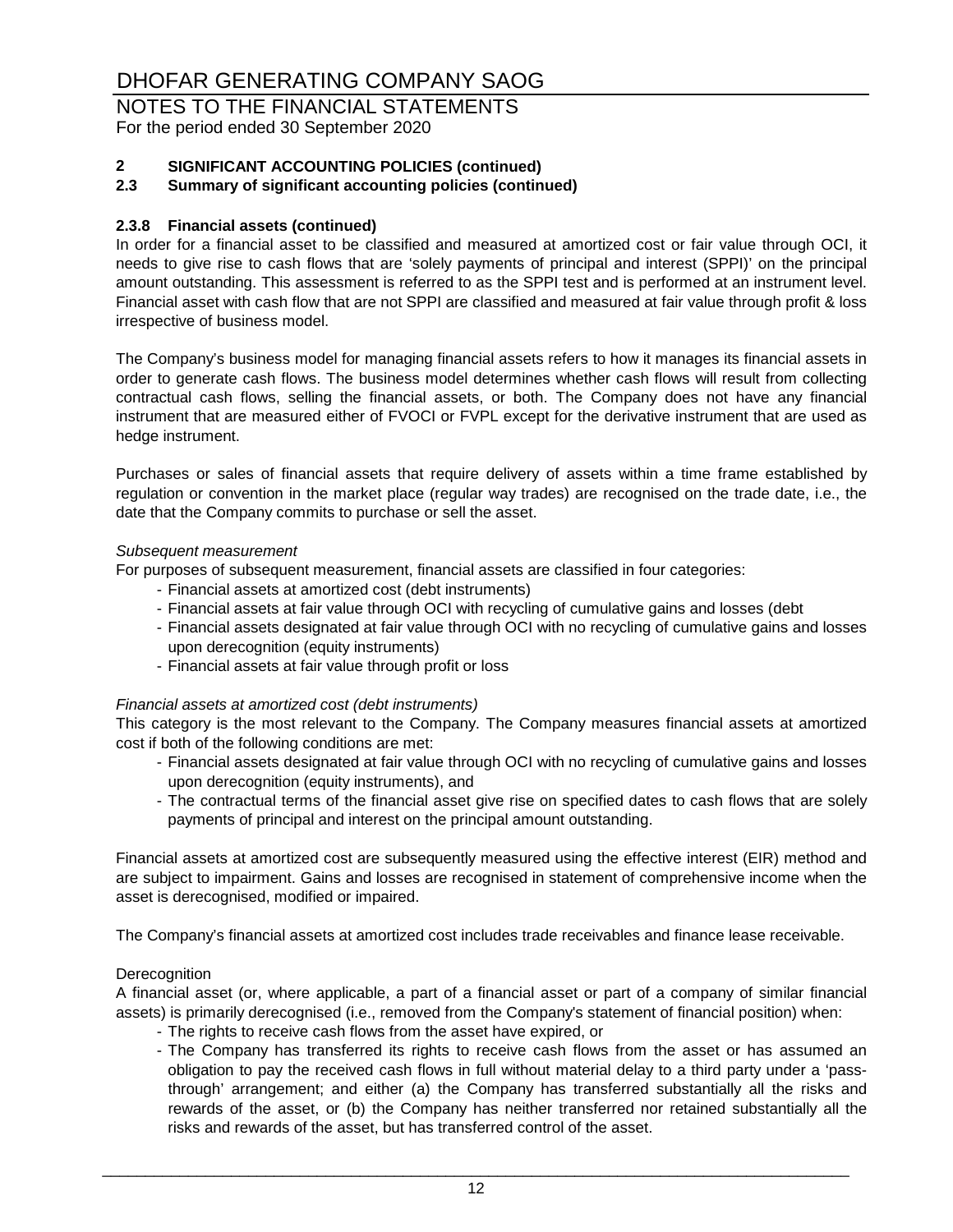#### NOTES TO THE FINANCIAL STATEMENTS For the period ended 30 September 2020

# **2 SIGNIFICANT ACCOUNTING POLICIES (continued)**

#### **2.3 Summary of significant accounting policies (continued)**

#### **2.3.8 Financial assets (continued)**

In order for a financial asset to be classified and measured at amortized cost or fair value through OCI, it needs to give rise to cash flows that are 'solely payments of principal and interest (SPPI)' on the principal amount outstanding. This assessment is referred to as the SPPI test and is performed at an instrument level. Financial asset with cash flow that are not SPPI are classified and measured at fair value through profit & loss irrespective of business model.

The Company's business model for managing financial assets refers to how it manages its financial assets in order to generate cash flows. The business model determines whether cash flows will result from collecting contractual cash flows, selling the financial assets, or both. The Company does not have any financial instrument that are measured either of FVOCI or FVPL except for the derivative instrument that are used as hedge instrument.

Purchases or sales of financial assets that require delivery of assets within a time frame established by regulation or convention in the market place (regular way trades) are recognised on the trade date, i.e., the date that the Company commits to purchase or sell the asset.

#### *Subsequent measurement*

For purposes of subsequent measurement, financial assets are classified in four categories:

- Financial assets at amortized cost (debt instruments)
- Financial assets at fair value through OCI with recycling of cumulative gains and losses (debt
- Financial assets designated at fair value through OCI with no recycling of cumulative gains and losses upon derecognition (equity instruments)
- Financial assets at fair value through profit or loss

#### *Financial assets at amortized cost (debt instruments)*

This category is the most relevant to the Company. The Company measures financial assets at amortized cost if both of the following conditions are met:

- Financial assets designated at fair value through OCI with no recycling of cumulative gains and losses upon derecognition (equity instruments), and
- The contractual terms of the financial asset give rise on specified dates to cash flows that are solely payments of principal and interest on the principal amount outstanding.

Financial assets at amortized cost are subsequently measured using the effective interest (EIR) method and are subject to impairment. Gains and losses are recognised in statement of comprehensive income when the asset is derecognised, modified or impaired.

The Company's financial assets at amortized cost includes trade receivables and finance lease receivable.

#### **Derecognition**

A financial asset (or, where applicable, a part of a financial asset or part of a company of similar financial assets) is primarily derecognised (i.e., removed from the Company's statement of financial position) when:

- The rights to receive cash flows from the asset have expired, or
- The Company has transferred its rights to receive cash flows from the asset or has assumed an obligation to pay the received cash flows in full without material delay to a third party under a 'passthrough' arrangement; and either (a) the Company has transferred substantially all the risks and rewards of the asset, or (b) the Company has neither transferred nor retained substantially all the risks and rewards of the asset, but has transferred control of the asset.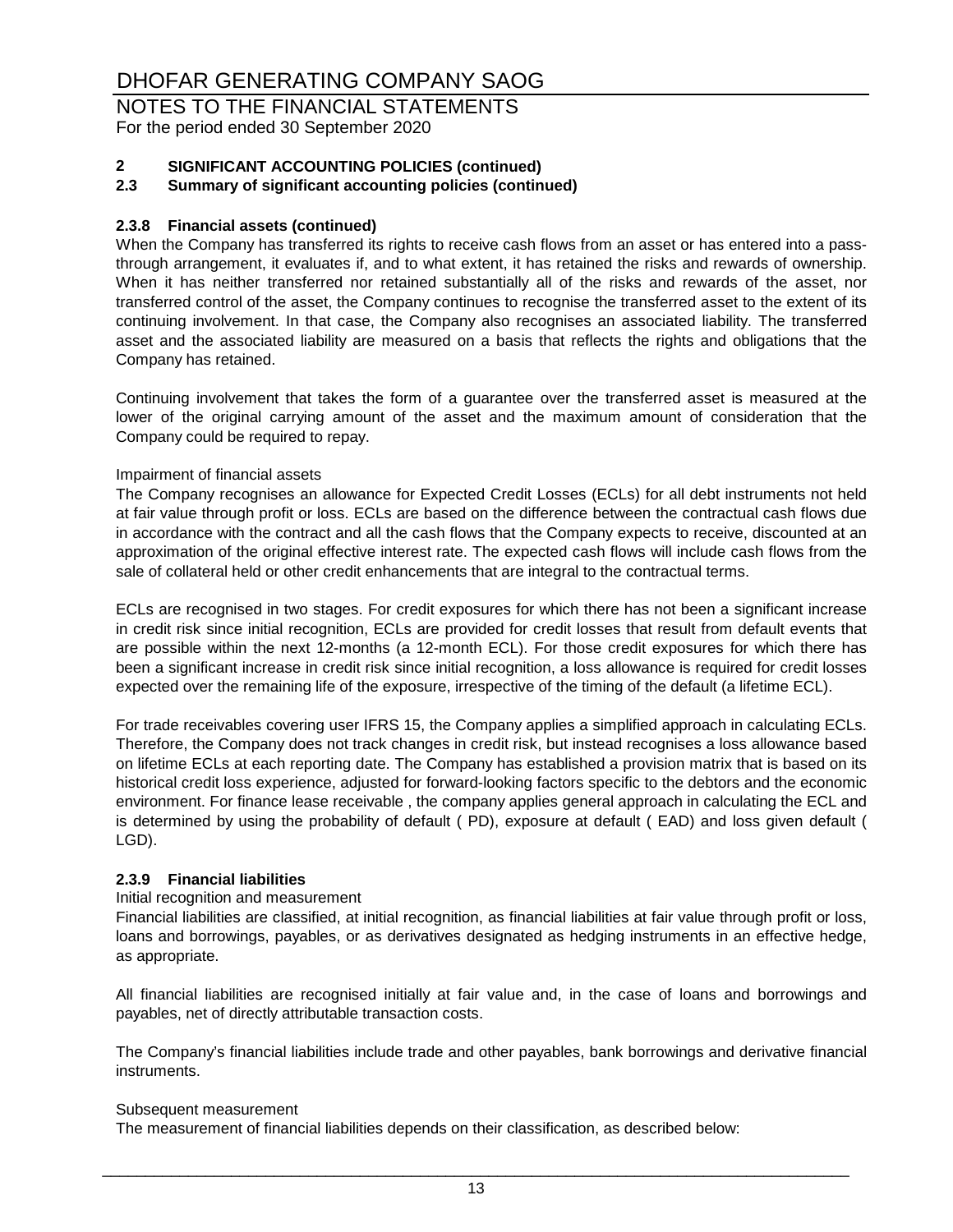NOTES TO THE FINANCIAL STATEMENTS For the period ended 30 September 2020

# **2 SIGNIFICANT ACCOUNTING POLICIES (continued)**

#### **2.3 Summary of significant accounting policies (continued)**

#### **2.3.8 Financial assets (continued)**

When the Company has transferred its rights to receive cash flows from an asset or has entered into a passthrough arrangement, it evaluates if, and to what extent, it has retained the risks and rewards of ownership. When it has neither transferred nor retained substantially all of the risks and rewards of the asset, nor transferred control of the asset, the Company continues to recognise the transferred asset to the extent of its continuing involvement. In that case, the Company also recognises an associated liability. The transferred asset and the associated liability are measured on a basis that reflects the rights and obligations that the Company has retained.

Continuing involvement that takes the form of a guarantee over the transferred asset is measured at the lower of the original carrying amount of the asset and the maximum amount of consideration that the Company could be required to repay.

#### Impairment of financial assets

The Company recognises an allowance for Expected Credit Losses (ECLs) for all debt instruments not held at fair value through profit or loss. ECLs are based on the difference between the contractual cash flows due in accordance with the contract and all the cash flows that the Company expects to receive, discounted at an approximation of the original effective interest rate. The expected cash flows will include cash flows from the sale of collateral held or other credit enhancements that are integral to the contractual terms.

ECLs are recognised in two stages. For credit exposures for which there has not been a significant increase in credit risk since initial recognition, ECLs are provided for credit losses that result from default events that are possible within the next 12-months (a 12-month ECL). For those credit exposures for which there has been a significant increase in credit risk since initial recognition, a loss allowance is required for credit losses expected over the remaining life of the exposure, irrespective of the timing of the default (a lifetime ECL).

For trade receivables covering user IFRS 15, the Company applies a simplified approach in calculating ECLs. Therefore, the Company does not track changes in credit risk, but instead recognises a loss allowance based on lifetime ECLs at each reporting date. The Company has established a provision matrix that is based on its historical credit loss experience, adjusted for forward-looking factors specific to the debtors and the economic environment. For finance lease receivable , the company applies general approach in calculating the ECL and is determined by using the probability of default ( PD), exposure at default ( EAD) and loss given default ( LGD).

#### **2.3.9 Financial liabilities**

#### Initial recognition and measurement

Financial liabilities are classified, at initial recognition, as financial liabilities at fair value through profit or loss, loans and borrowings, payables, or as derivatives designated as hedging instruments in an effective hedge, as appropriate.

All financial liabilities are recognised initially at fair value and, in the case of loans and borrowings and payables, net of directly attributable transaction costs.

The Company's financial liabilities include trade and other payables, bank borrowings and derivative financial instruments.

#### Subsequent measurement

The measurement of financial liabilities depends on their classification, as described below: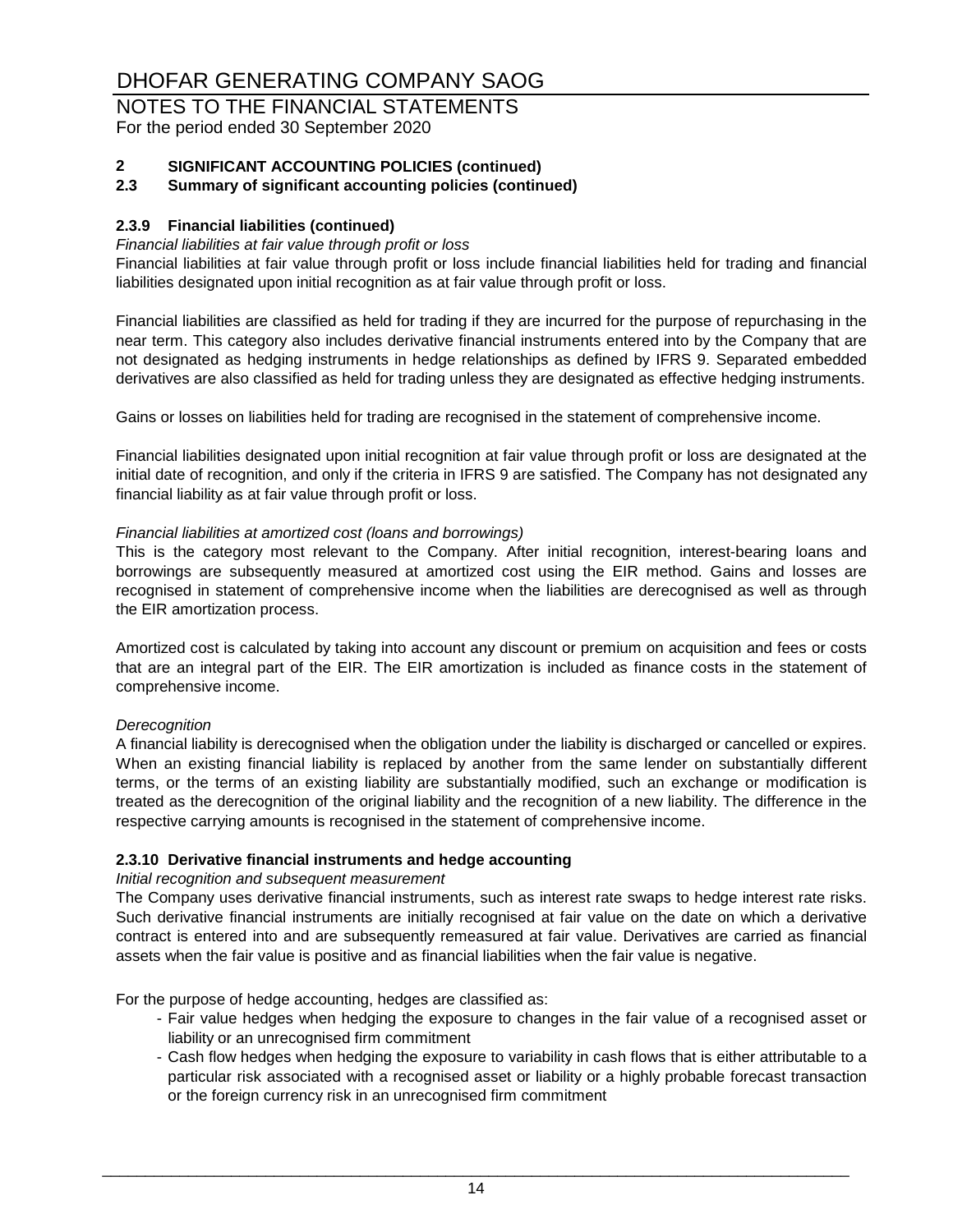#### NOTES TO THE FINANCIAL STATEMENTS For the period ended 30 September 2020

# **2 SIGNIFICANT ACCOUNTING POLICIES (continued)**

#### **2.3 Summary of significant accounting policies (continued)**

#### **2.3.9 Financial liabilities (continued)**

#### *Financial liabilities at fair value through profit or loss*

Financial liabilities at fair value through profit or loss include financial liabilities held for trading and financial liabilities designated upon initial recognition as at fair value through profit or loss.

Financial liabilities are classified as held for trading if they are incurred for the purpose of repurchasing in the near term. This category also includes derivative financial instruments entered into by the Company that are not designated as hedging instruments in hedge relationships as defined by IFRS 9. Separated embedded derivatives are also classified as held for trading unless they are designated as effective hedging instruments.

Gains or losses on liabilities held for trading are recognised in the statement of comprehensive income.

Financial liabilities designated upon initial recognition at fair value through profit or loss are designated at the initial date of recognition, and only if the criteria in IFRS 9 are satisfied. The Company has not designated any financial liability as at fair value through profit or loss.

#### *Financial liabilities at amortized cost (loans and borrowings)*

This is the category most relevant to the Company. After initial recognition, interest-bearing loans and borrowings are subsequently measured at amortized cost using the EIR method. Gains and losses are recognised in statement of comprehensive income when the liabilities are derecognised as well as through the EIR amortization process.

Amortized cost is calculated by taking into account any discount or premium on acquisition and fees or costs that are an integral part of the EIR. The EIR amortization is included as finance costs in the statement of comprehensive income.

#### *Derecognition*

A financial liability is derecognised when the obligation under the liability is discharged or cancelled or expires. When an existing financial liability is replaced by another from the same lender on substantially different terms, or the terms of an existing liability are substantially modified, such an exchange or modification is treated as the derecognition of the original liability and the recognition of a new liability. The difference in the respective carrying amounts is recognised in the statement of comprehensive income.

#### **2.3.10 Derivative financial instruments and hedge accounting**

#### *Initial recognition and subsequent measurement*

The Company uses derivative financial instruments, such as interest rate swaps to hedge interest rate risks. Such derivative financial instruments are initially recognised at fair value on the date on which a derivative contract is entered into and are subsequently remeasured at fair value. Derivatives are carried as financial assets when the fair value is positive and as financial liabilities when the fair value is negative.

For the purpose of hedge accounting, hedges are classified as:

- Fair value hedges when hedging the exposure to changes in the fair value of a recognised asset or liability or an unrecognised firm commitment
- Cash flow hedges when hedging the exposure to variability in cash flows that is either attributable to a particular risk associated with a recognised asset or liability or a highly probable forecast transaction or the foreign currency risk in an unrecognised firm commitment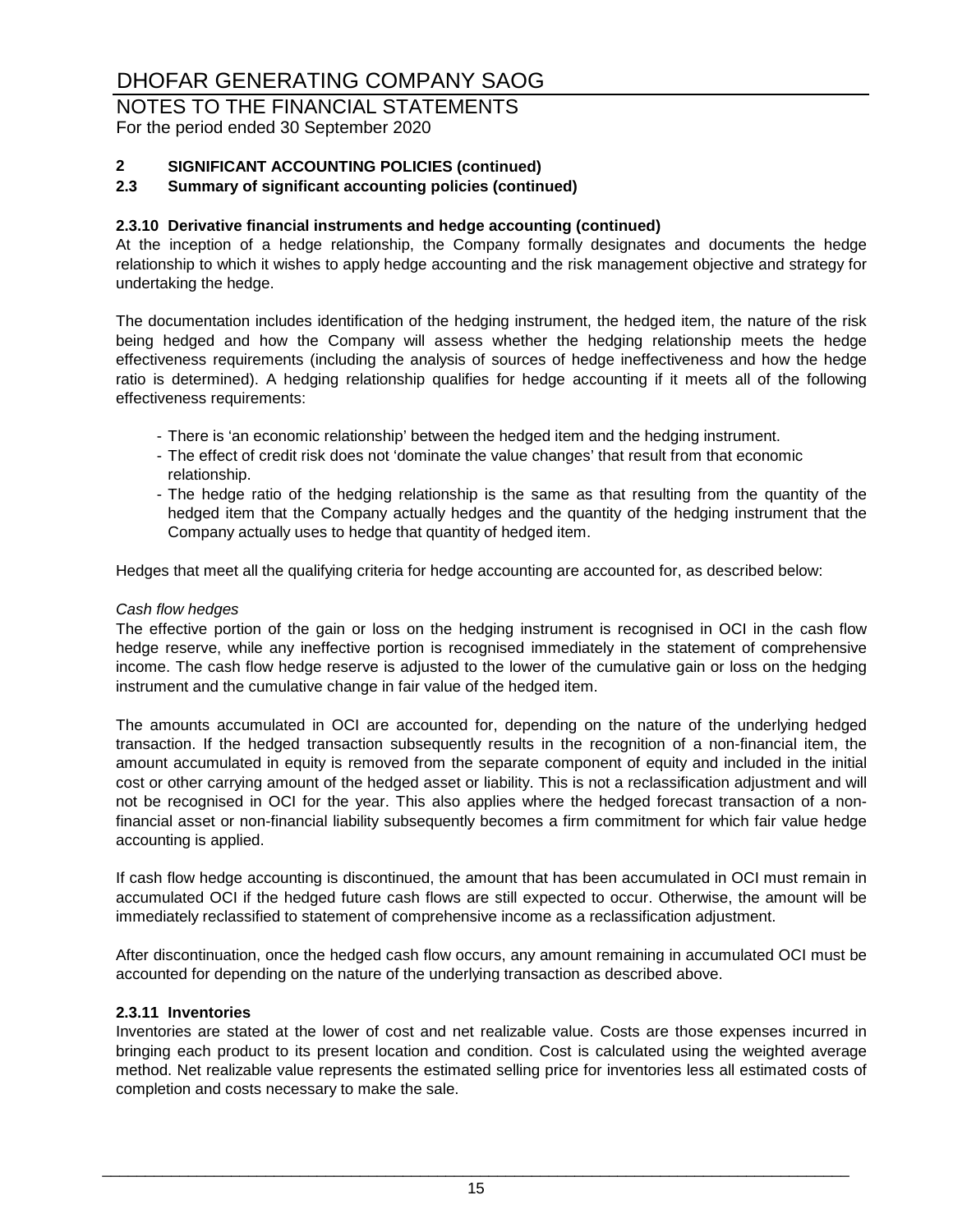# NOTES TO THE FINANCIAL STATEMENTS

For the period ended 30 September 2020

### **2 SIGNIFICANT ACCOUNTING POLICIES (continued)**

#### **2.3 Summary of significant accounting policies (continued)**

#### **2.3.10 Derivative financial instruments and hedge accounting (continued)**

At the inception of a hedge relationship, the Company formally designates and documents the hedge relationship to which it wishes to apply hedge accounting and the risk management objective and strategy for undertaking the hedge.

The documentation includes identification of the hedging instrument, the hedged item, the nature of the risk being hedged and how the Company will assess whether the hedging relationship meets the hedge effectiveness requirements (including the analysis of sources of hedge ineffectiveness and how the hedge ratio is determined). A hedging relationship qualifies for hedge accounting if it meets all of the following effectiveness requirements:

- There is 'an economic relationship' between the hedged item and the hedging instrument.
- The effect of credit risk does not 'dominate the value changes' that result from that economic relationship.
- The hedge ratio of the hedging relationship is the same as that resulting from the quantity of the hedged item that the Company actually hedges and the quantity of the hedging instrument that the Company actually uses to hedge that quantity of hedged item.

Hedges that meet all the qualifying criteria for hedge accounting are accounted for, as described below:

#### *Cash flow hedges*

The effective portion of the gain or loss on the hedging instrument is recognised in OCI in the cash flow hedge reserve, while any ineffective portion is recognised immediately in the statement of comprehensive income. The cash flow hedge reserve is adjusted to the lower of the cumulative gain or loss on the hedging instrument and the cumulative change in fair value of the hedged item.

The amounts accumulated in OCI are accounted for, depending on the nature of the underlying hedged transaction. If the hedged transaction subsequently results in the recognition of a non-financial item, the amount accumulated in equity is removed from the separate component of equity and included in the initial cost or other carrying amount of the hedged asset or liability. This is not a reclassification adjustment and will not be recognised in OCI for the year. This also applies where the hedged forecast transaction of a nonfinancial asset or non-financial liability subsequently becomes a firm commitment for which fair value hedge accounting is applied.

If cash flow hedge accounting is discontinued, the amount that has been accumulated in OCI must remain in accumulated OCI if the hedged future cash flows are still expected to occur. Otherwise, the amount will be immediately reclassified to statement of comprehensive income as a reclassification adjustment.

After discontinuation, once the hedged cash flow occurs, any amount remaining in accumulated OCI must be accounted for depending on the nature of the underlying transaction as described above.

#### **2.3.11 Inventories**

Inventories are stated at the lower of cost and net realizable value. Costs are those expenses incurred in bringing each product to its present location and condition. Cost is calculated using the weighted average method. Net realizable value represents the estimated selling price for inventories less all estimated costs of completion and costs necessary to make the sale.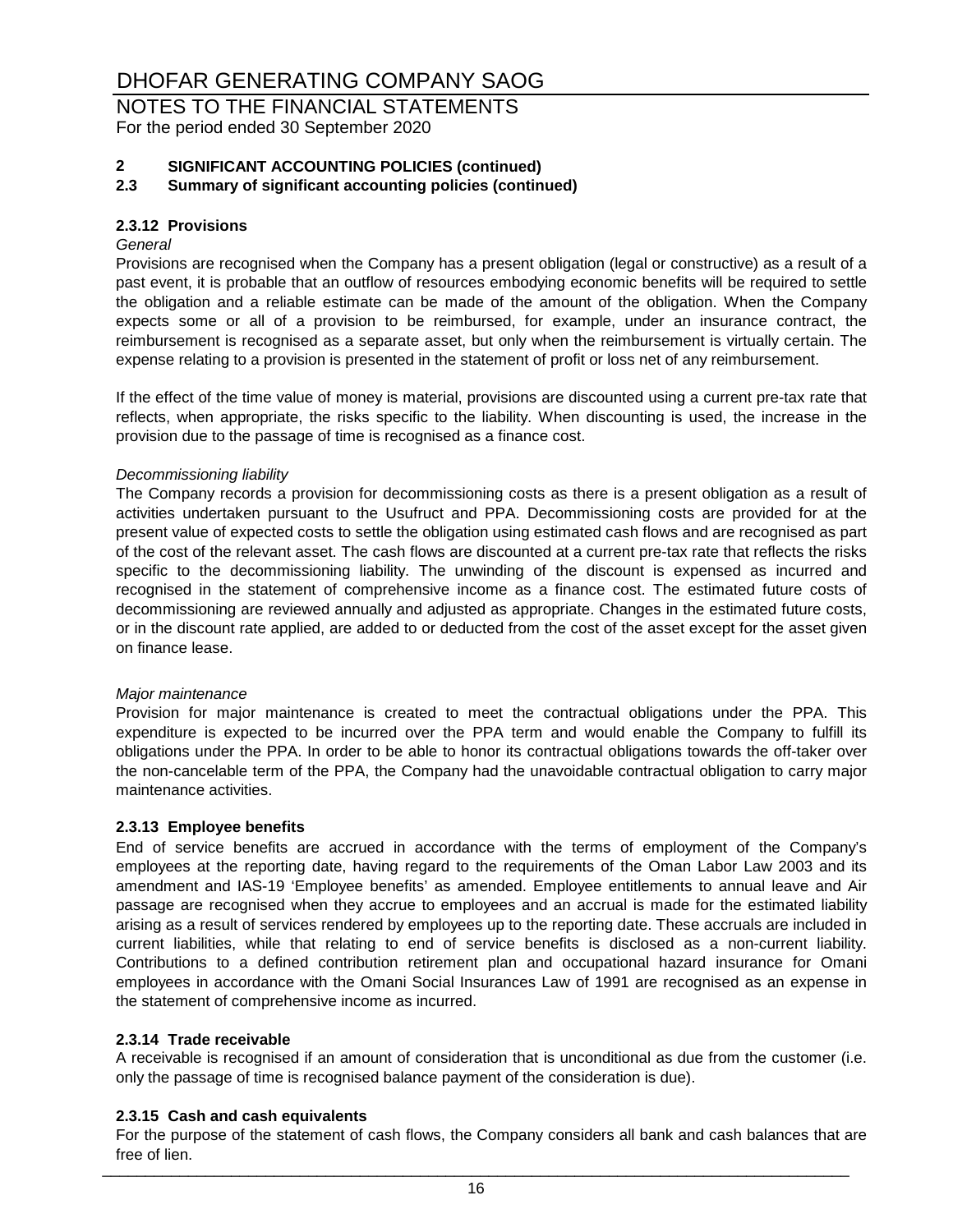NOTES TO THE FINANCIAL STATEMENTS For the period ended 30 September 2020

# **2 SIGNIFICANT ACCOUNTING POLICIES (continued)**

**2.3 Summary of significant accounting policies (continued)**

#### **2.3.12 Provisions**

#### *General*

Provisions are recognised when the Company has a present obligation (legal or constructive) as a result of a past event, it is probable that an outflow of resources embodying economic benefits will be required to settle the obligation and a reliable estimate can be made of the amount of the obligation. When the Company expects some or all of a provision to be reimbursed, for example, under an insurance contract, the reimbursement is recognised as a separate asset, but only when the reimbursement is virtually certain. The expense relating to a provision is presented in the statement of profit or loss net of any reimbursement.

If the effect of the time value of money is material, provisions are discounted using a current pre-tax rate that reflects, when appropriate, the risks specific to the liability. When discounting is used, the increase in the provision due to the passage of time is recognised as a finance cost.

#### *Decommissioning liability*

The Company records a provision for decommissioning costs as there is a present obligation as a result of activities undertaken pursuant to the Usufruct and PPA. Decommissioning costs are provided for at the present value of expected costs to settle the obligation using estimated cash flows and are recognised as part of the cost of the relevant asset. The cash flows are discounted at a current pre-tax rate that reflects the risks specific to the decommissioning liability. The unwinding of the discount is expensed as incurred and recognised in the statement of comprehensive income as a finance cost. The estimated future costs of decommissioning are reviewed annually and adjusted as appropriate. Changes in the estimated future costs, or in the discount rate applied, are added to or deducted from the cost of the asset except for the asset given on finance lease.

#### *Major maintenance*

Provision for major maintenance is created to meet the contractual obligations under the PPA. This expenditure is expected to be incurred over the PPA term and would enable the Company to fulfill its obligations under the PPA. In order to be able to honor its contractual obligations towards the off-taker over the non-cancelable term of the PPA, the Company had the unavoidable contractual obligation to carry major maintenance activities.

#### **2.3.13 Employee benefits**

End of service benefits are accrued in accordance with the terms of employment of the Company's employees at the reporting date, having regard to the requirements of the Oman Labor Law 2003 and its amendment and IAS-19 'Employee benefits' as amended. Employee entitlements to annual leave and Air passage are recognised when they accrue to employees and an accrual is made for the estimated liability arising as a result of services rendered by employees up to the reporting date. These accruals are included in current liabilities, while that relating to end of service benefits is disclosed as a non-current liability. Contributions to a defined contribution retirement plan and occupational hazard insurance for Omani employees in accordance with the Omani Social Insurances Law of 1991 are recognised as an expense in the statement of comprehensive income as incurred.

#### **2.3.14 Trade receivable**

A receivable is recognised if an amount of consideration that is unconditional as due from the customer (i.e. only the passage of time is recognised balance payment of the consideration is due).

#### **2.3.15 Cash and cash equivalents**

For the purpose of the statement of cash flows, the Company considers all bank and cash balances that are free of lien. \_\_\_\_\_\_\_\_\_\_\_\_\_\_\_\_\_\_\_\_\_\_\_\_\_\_\_\_\_\_\_\_\_\_\_\_\_\_\_\_\_\_\_\_\_\_\_\_\_\_\_\_\_\_\_\_\_\_\_\_\_\_\_\_\_\_\_\_\_\_\_\_\_\_\_\_\_\_\_\_\_\_\_\_\_\_\_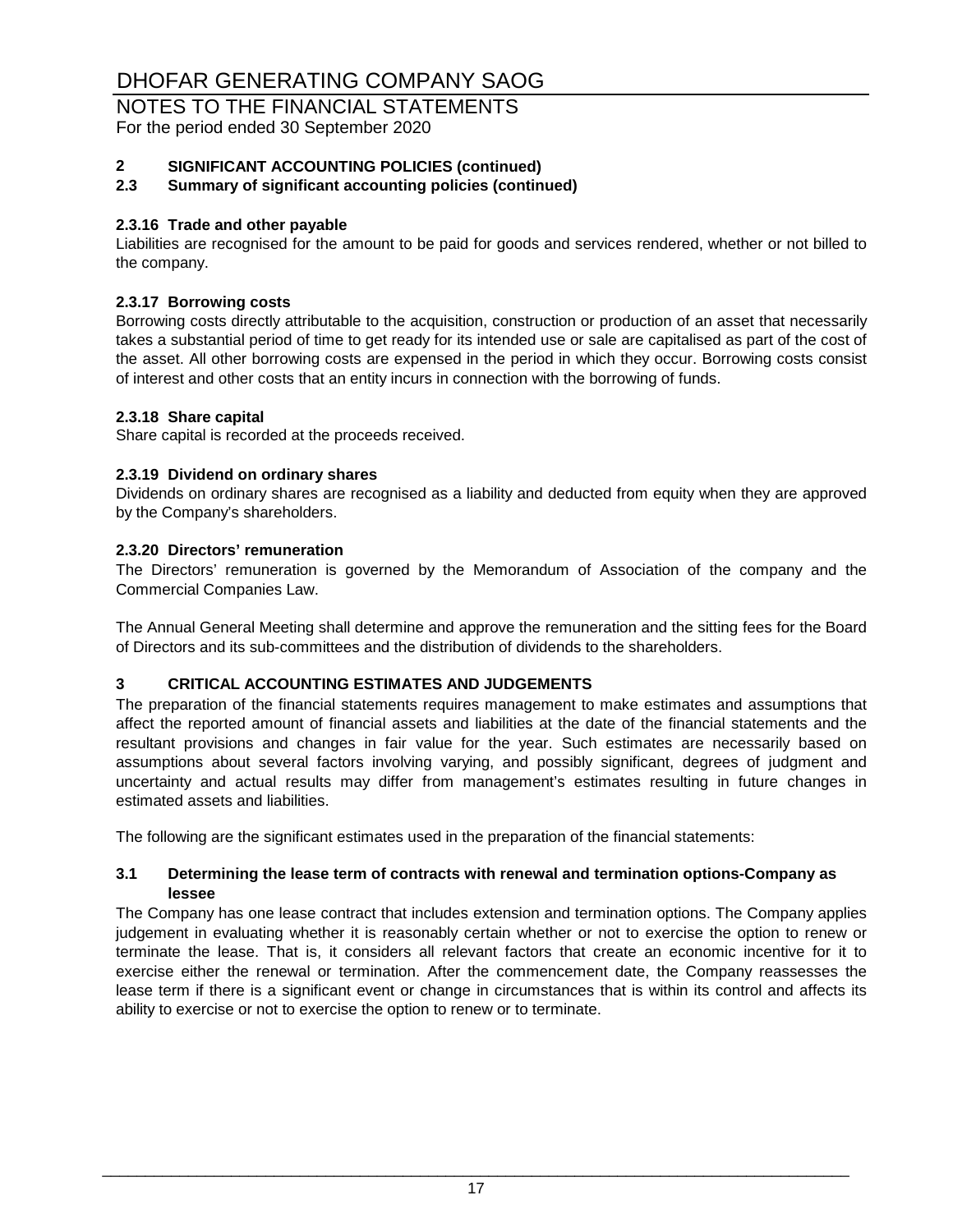# NOTES TO THE FINANCIAL STATEMENTS

For the period ended 30 September 2020

### **2 SIGNIFICANT ACCOUNTING POLICIES (continued)**

#### **2.3 Summary of significant accounting policies (continued)**

#### **2.3.16 Trade and other payable**

Liabilities are recognised for the amount to be paid for goods and services rendered, whether or not billed to the company.

#### **2.3.17 Borrowing costs**

Borrowing costs directly attributable to the acquisition, construction or production of an asset that necessarily takes a substantial period of time to get ready for its intended use or sale are capitalised as part of the cost of the asset. All other borrowing costs are expensed in the period in which they occur. Borrowing costs consist of interest and other costs that an entity incurs in connection with the borrowing of funds.

#### **2.3.18 Share capital**

Share capital is recorded at the proceeds received.

#### **2.3.19 Dividend on ordinary shares**

Dividends on ordinary shares are recognised as a liability and deducted from equity when they are approved by the Company's shareholders.

#### **2.3.20 Directors' remuneration**

The Directors' remuneration is governed by the Memorandum of Association of the company and the Commercial Companies Law.

The Annual General Meeting shall determine and approve the remuneration and the sitting fees for the Board of Directors and its sub-committees and the distribution of dividends to the shareholders.

#### **3 CRITICAL ACCOUNTING ESTIMATES AND JUDGEMENTS**

The preparation of the financial statements requires management to make estimates and assumptions that affect the reported amount of financial assets and liabilities at the date of the financial statements and the resultant provisions and changes in fair value for the year. Such estimates are necessarily based on assumptions about several factors involving varying, and possibly significant, degrees of judgment and uncertainty and actual results may differ from management's estimates resulting in future changes in estimated assets and liabilities.

The following are the significant estimates used in the preparation of the financial statements:

#### **3.1 Determining the lease term of contracts with renewal and termination options-Company as lessee**

The Company has one lease contract that includes extension and termination options. The Company applies judgement in evaluating whether it is reasonably certain whether or not to exercise the option to renew or terminate the lease. That is, it considers all relevant factors that create an economic incentive for it to exercise either the renewal or termination. After the commencement date, the Company reassesses the lease term if there is a significant event or change in circumstances that is within its control and affects its ability to exercise or not to exercise the option to renew or to terminate.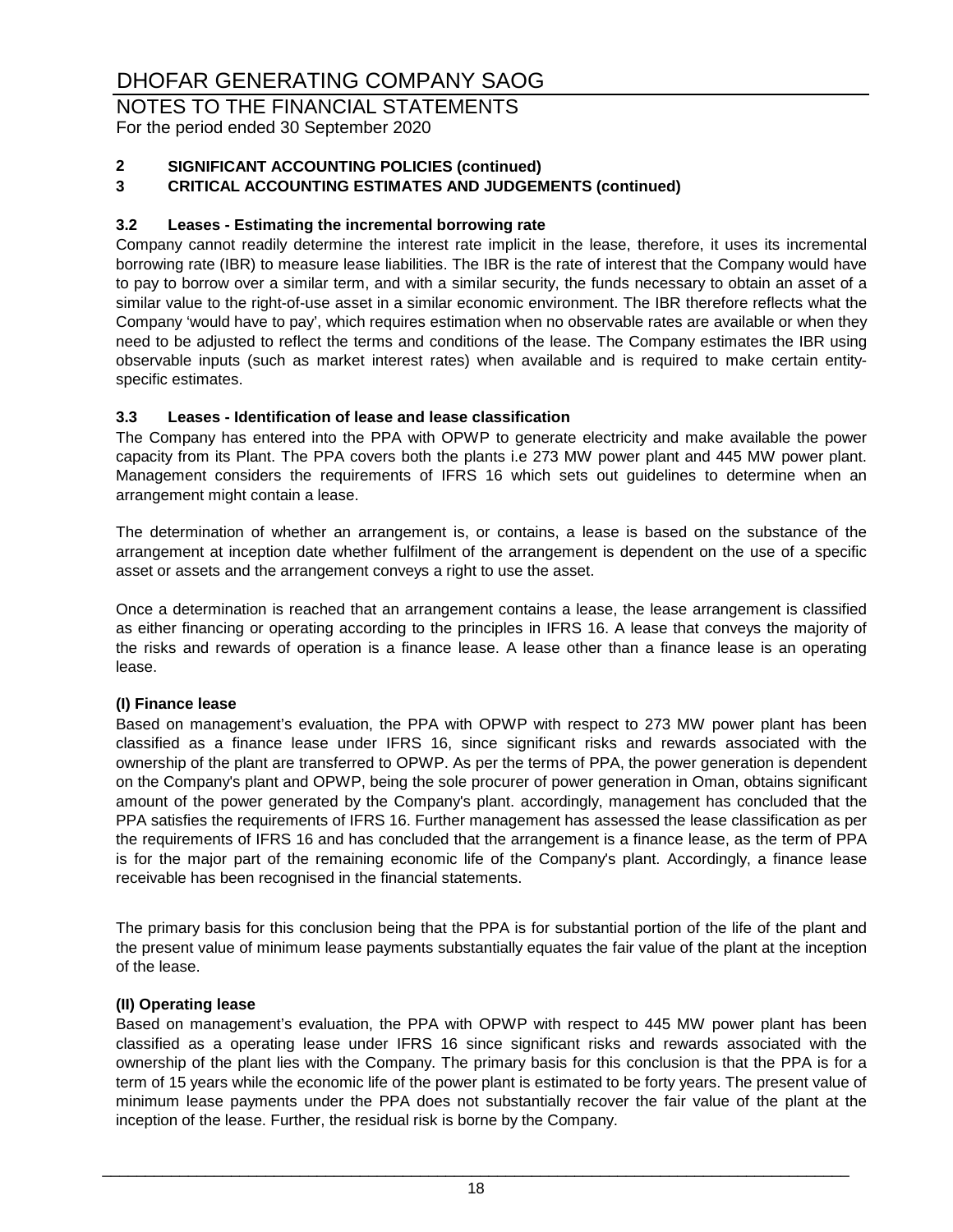NOTES TO THE FINANCIAL STATEMENTS For the period ended 30 September 2020

### **2 SIGNIFICANT ACCOUNTING POLICIES (continued)**

#### **3 CRITICAL ACCOUNTING ESTIMATES AND JUDGEMENTS (continued)**

#### **3.2 Leases - Estimating the incremental borrowing rate**

Company cannot readily determine the interest rate implicit in the lease, therefore, it uses its incremental borrowing rate (IBR) to measure lease liabilities. The IBR is the rate of interest that the Company would have to pay to borrow over a similar term, and with a similar security, the funds necessary to obtain an asset of a similar value to the right-of-use asset in a similar economic environment. The IBR therefore reflects what the Company 'would have to pay', which requires estimation when no observable rates are available or when they need to be adjusted to reflect the terms and conditions of the lease. The Company estimates the IBR using observable inputs (such as market interest rates) when available and is required to make certain entityspecific estimates.

#### **3.3 Leases - Identification of lease and lease classification**

The Company has entered into the PPA with OPWP to generate electricity and make available the power capacity from its Plant. The PPA covers both the plants i.e 273 MW power plant and 445 MW power plant. Management considers the requirements of IFRS 16 which sets out guidelines to determine when an arrangement might contain a lease.

The determination of whether an arrangement is, or contains, a lease is based on the substance of the arrangement at inception date whether fulfilment of the arrangement is dependent on the use of a specific asset or assets and the arrangement conveys a right to use the asset.

Once a determination is reached that an arrangement contains a lease, the lease arrangement is classified as either financing or operating according to the principles in IFRS 16. A lease that conveys the majority of the risks and rewards of operation is a finance lease. A lease other than a finance lease is an operating lease.

#### **(I) Finance lease**

Based on management's evaluation, the PPA with OPWP with respect to 273 MW power plant has been classified as a finance lease under IFRS 16, since significant risks and rewards associated with the ownership of the plant are transferred to OPWP. As per the terms of PPA, the power generation is dependent on the Company's plant and OPWP, being the sole procurer of power generation in Oman, obtains significant amount of the power generated by the Company's plant. accordingly, management has concluded that the PPA satisfies the requirements of IFRS 16. Further management has assessed the lease classification as per the requirements of IFRS 16 and has concluded that the arrangement is a finance lease, as the term of PPA is for the major part of the remaining economic life of the Company's plant. Accordingly, a finance lease receivable has been recognised in the financial statements.

The primary basis for this conclusion being that the PPA is for substantial portion of the life of the plant and the present value of minimum lease payments substantially equates the fair value of the plant at the inception of the lease.

#### **(II) Operating lease**

Based on management's evaluation, the PPA with OPWP with respect to 445 MW power plant has been classified as a operating lease under IFRS 16 since significant risks and rewards associated with the ownership of the plant lies with the Company. The primary basis for this conclusion is that the PPA is for a term of 15 years while the economic life of the power plant is estimated to be forty years. The present value of minimum lease payments under the PPA does not substantially recover the fair value of the plant at the inception of the lease. Further, the residual risk is borne by the Company.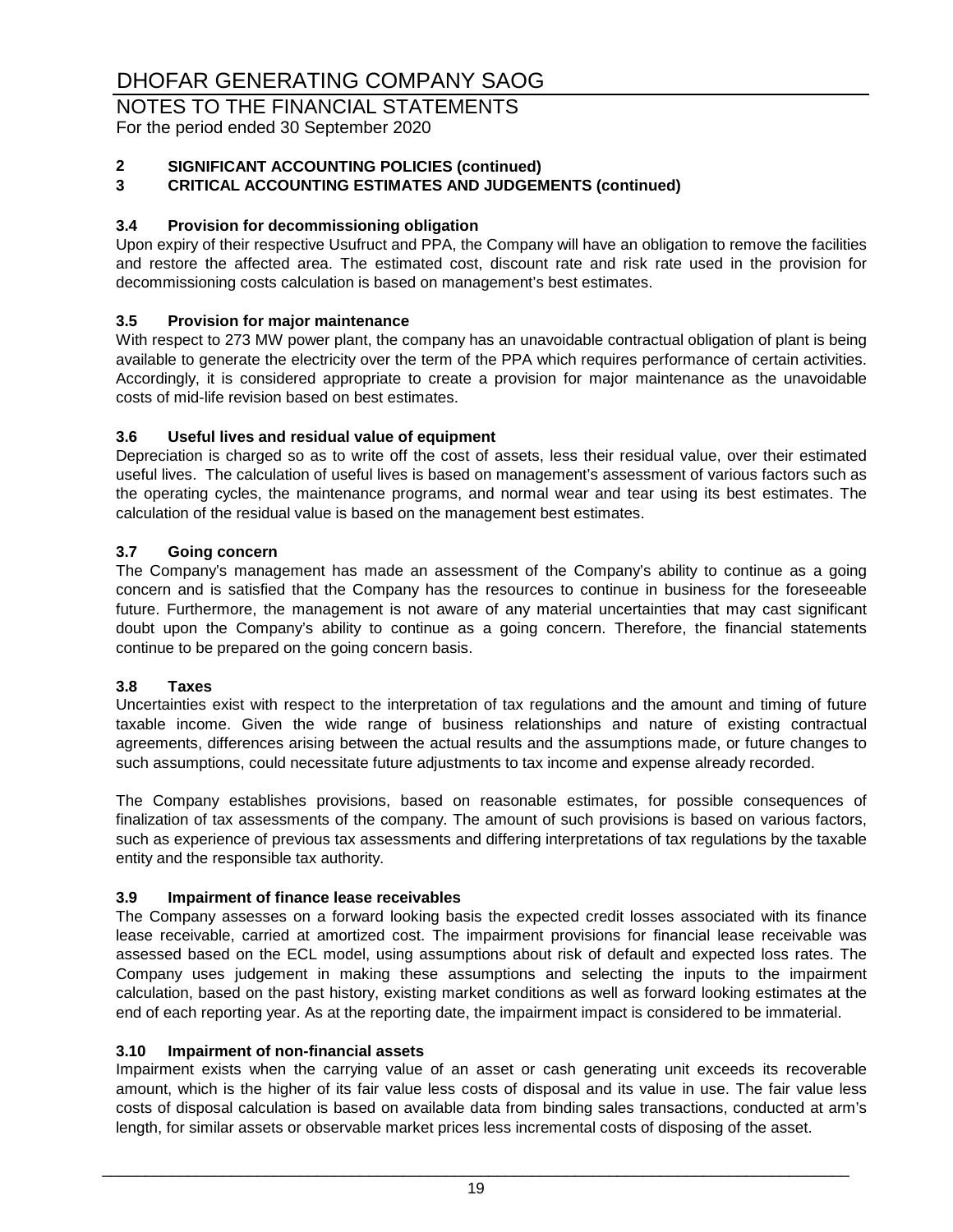NOTES TO THE FINANCIAL STATEMENTS For the period ended 30 September 2020

# **2 SIGNIFICANT ACCOUNTING POLICIES (continued)**

#### **3 CRITICAL ACCOUNTING ESTIMATES AND JUDGEMENTS (continued)**

#### **3.4 Provision for decommissioning obligation**

Upon expiry of their respective Usufruct and PPA, the Company will have an obligation to remove the facilities and restore the affected area. The estimated cost, discount rate and risk rate used in the provision for decommissioning costs calculation is based on management's best estimates.

#### **3.5 Provision for major maintenance**

With respect to 273 MW power plant, the company has an unavoidable contractual obligation of plant is being available to generate the electricity over the term of the PPA which requires performance of certain activities. Accordingly, it is considered appropriate to create a provision for major maintenance as the unavoidable costs of mid-life revision based on best estimates.

#### **3.6 Useful lives and residual value of equipment**

Depreciation is charged so as to write off the cost of assets, less their residual value, over their estimated useful lives. The calculation of useful lives is based on management's assessment of various factors such as the operating cycles, the maintenance programs, and normal wear and tear using its best estimates. The calculation of the residual value is based on the management best estimates.

#### **3.7 Going concern**

The Company's management has made an assessment of the Company's ability to continue as a going concern and is satisfied that the Company has the resources to continue in business for the foreseeable future. Furthermore, the management is not aware of any material uncertainties that may cast significant doubt upon the Company's ability to continue as a going concern. Therefore, the financial statements continue to be prepared on the going concern basis.

#### **3.8 Taxes**

Uncertainties exist with respect to the interpretation of tax regulations and the amount and timing of future taxable income. Given the wide range of business relationships and nature of existing contractual agreements, differences arising between the actual results and the assumptions made, or future changes to such assumptions, could necessitate future adjustments to tax income and expense already recorded.

The Company establishes provisions, based on reasonable estimates, for possible consequences of finalization of tax assessments of the company. The amount of such provisions is based on various factors, such as experience of previous tax assessments and differing interpretations of tax regulations by the taxable entity and the responsible tax authority.

#### **3.9 Impairment of finance lease receivables**

The Company assesses on a forward looking basis the expected credit losses associated with its finance lease receivable, carried at amortized cost. The impairment provisions for financial lease receivable was assessed based on the ECL model, using assumptions about risk of default and expected loss rates. The Company uses judgement in making these assumptions and selecting the inputs to the impairment calculation, based on the past history, existing market conditions as well as forward looking estimates at the end of each reporting year. As at the reporting date, the impairment impact is considered to be immaterial.

#### **3.10 Impairment of non-financial assets**

Impairment exists when the carrying value of an asset or cash generating unit exceeds its recoverable amount, which is the higher of its fair value less costs of disposal and its value in use. The fair value less costs of disposal calculation is based on available data from binding sales transactions, conducted at arm's length, for similar assets or observable market prices less incremental costs of disposing of the asset.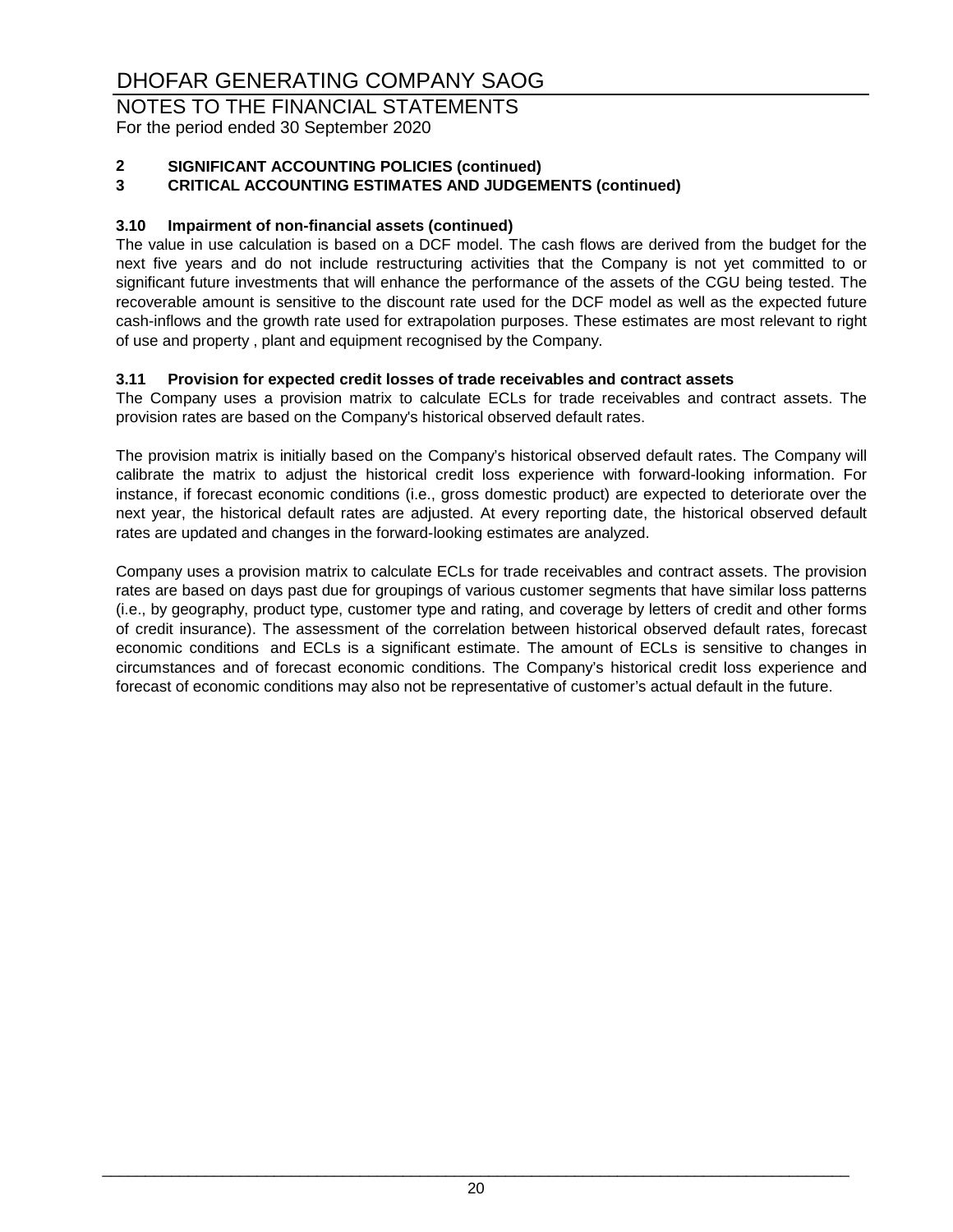NOTES TO THE FINANCIAL STATEMENTS For the period ended 30 September 2020

# **2 SIGNIFICANT ACCOUNTING POLICIES (continued)**

### **3 CRITICAL ACCOUNTING ESTIMATES AND JUDGEMENTS (continued)**

#### **3.10 Impairment of non-financial assets (continued)**

The value in use calculation is based on a DCF model. The cash flows are derived from the budget for the next five years and do not include restructuring activities that the Company is not yet committed to or significant future investments that will enhance the performance of the assets of the CGU being tested. The recoverable amount is sensitive to the discount rate used for the DCF model as well as the expected future cash-inflows and the growth rate used for extrapolation purposes. These estimates are most relevant to right of use and property , plant and equipment recognised by the Company.

#### **3.11 Provision for expected credit losses of trade receivables and contract assets**

The Company uses a provision matrix to calculate ECLs for trade receivables and contract assets. The provision rates are based on the Company's historical observed default rates.

The provision matrix is initially based on the Company's historical observed default rates. The Company will calibrate the matrix to adjust the historical credit loss experience with forward-looking information. For instance, if forecast economic conditions (i.e., gross domestic product) are expected to deteriorate over the next year, the historical default rates are adjusted. At every reporting date, the historical observed default rates are updated and changes in the forward-looking estimates are analyzed.

Company uses a provision matrix to calculate ECLs for trade receivables and contract assets. The provision rates are based on days past due for groupings of various customer segments that have similar loss patterns (i.e., by geography, product type, customer type and rating, and coverage by letters of credit and other forms of credit insurance). The assessment of the correlation between historical observed default rates, forecast economic conditions and ECLs is a significant estimate. The amount of ECLs is sensitive to changes in circumstances and of forecast economic conditions. The Company's historical credit loss experience and forecast of economic conditions may also not be representative of customer's actual default in the future.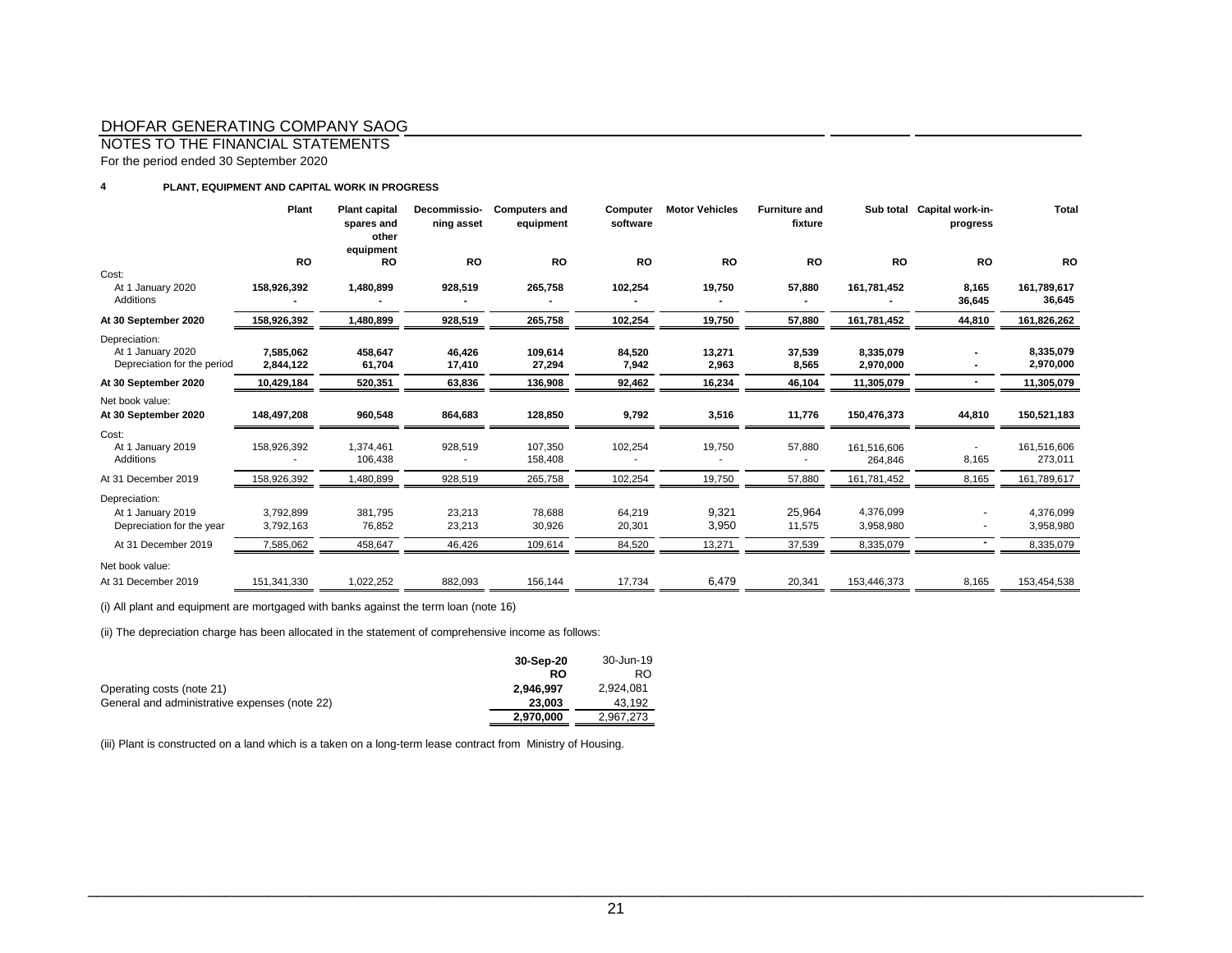NOTES TO THE FINANCIAL STATEMENTS

For the period ended 30 September 2020

#### **4 PLANT, EQUIPMENT AND CAPITAL WORK IN PROGRESS**

|                                                                   | Plant                  | <b>Plant capital</b><br>spares and<br>other<br>equipment | Decommissio-<br>ning asset | <b>Computers and</b><br>equipment | Computer<br>software | <b>Motor Vehicles</b> | <b>Furniture and</b><br>fixture |                        | Sub total Capital work-in-<br>progress | Total                  |
|-------------------------------------------------------------------|------------------------|----------------------------------------------------------|----------------------------|-----------------------------------|----------------------|-----------------------|---------------------------------|------------------------|----------------------------------------|------------------------|
|                                                                   | RO                     | RO                                                       | <b>RO</b>                  | <b>RO</b>                         | <b>RO</b>            | RO                    | <b>RO</b>                       | RO                     | RO                                     | <b>RO</b>              |
| Cost:<br>At 1 January 2020<br>Additions                           | 158.926.392            | 1,480,899                                                | 928,519                    | 265,758                           | 102,254              | 19,750                | 57,880                          | 161,781,452            | 8,165<br>36,645                        | 161,789,617<br>36,645  |
| At 30 September 2020                                              | 158,926,392            | 1,480,899                                                | 928,519                    | 265,758                           | 102,254              | 19,750                | 57,880                          | 161,781,452            | 44,810                                 | 161,826,262            |
| Depreciation:<br>At 1 January 2020<br>Depreciation for the period | 7,585,062<br>2,844,122 | 458,647<br>61,704                                        | 46,426<br>17,410           | 109,614<br>27,294                 | 84,520<br>7,942      | 13,271<br>2,963       | 37,539<br>8,565                 | 8,335,079<br>2,970,000 |                                        | 8,335,079<br>2,970,000 |
| At 30 September 2020                                              | 10,429,184             | 520,351                                                  | 63,836                     | 136,908                           | 92,462               | 16,234                | 46,104                          | 11,305,079             |                                        | 11,305,079             |
| Net book value:<br>At 30 September 2020                           | 148,497,208            | 960,548                                                  | 864,683                    | 128,850                           | 9,792                | 3,516                 | 11,776                          | 150,476,373            | 44,810                                 | 150,521,183            |
| Cost:<br>At 1 January 2019<br>Additions                           | 158,926,392            | 1,374,461<br>106,438                                     | 928,519                    | 107,350<br>158,408                | 102,254              | 19,750                | 57,880                          | 161,516,606<br>264,846 | 8,165                                  | 161,516,606<br>273,011 |
| At 31 December 2019                                               | 158,926,392            | ,480,899                                                 | 928,519                    | 265,758                           | 102,254              | 19,750                | 57,880                          | 161,781,452            | 8,165                                  | 161,789,617            |
| Depreciation:                                                     |                        |                                                          |                            |                                   |                      |                       |                                 |                        |                                        |                        |
| At 1 January 2019<br>Depreciation for the year                    | 3,792,899<br>3,792,163 | 381,795<br>76,852                                        | 23,213<br>23,213           | 78,688<br>30,926                  | 64,219<br>20,301     | 9,321<br>3,950        | 25,964<br>11,575                | 4,376,099<br>3,958,980 | ٠                                      | 4,376,099<br>3,958,980 |
| At 31 December 2019                                               | 7,585,062              | 458,647                                                  | 46,426                     | 109,614                           | 84,520               | 13,271                | 37,539                          | 8,335,079              | ۰                                      | 8,335,079              |
| Net book value:<br>At 31 December 2019                            | 151,341,330            | 1,022,252                                                | 882,093                    | 156,144                           | 17,734               | 6,479                 | 20,341                          | 153,446,373            | 8,165                                  | 153,454,538            |

(i) All plant and equipment are mortgaged with banks against the term loan (note 16)

(ii) The depreciation charge has been allocated in the statement of comprehensive income as follows:

|                                               | 30-Sep-20 | 30-Jun-19 |
|-----------------------------------------------|-----------|-----------|
|                                               | RO        | RO.       |
| Operating costs (note 21)                     | 2.946.997 | 2.924.081 |
| General and administrative expenses (note 22) | 23,003    | 43.192    |
|                                               | 2,970,000 | 2,967,273 |

(iii) Plant is constructed on a land which is a taken on a long-term lease contract from Ministry of Housing.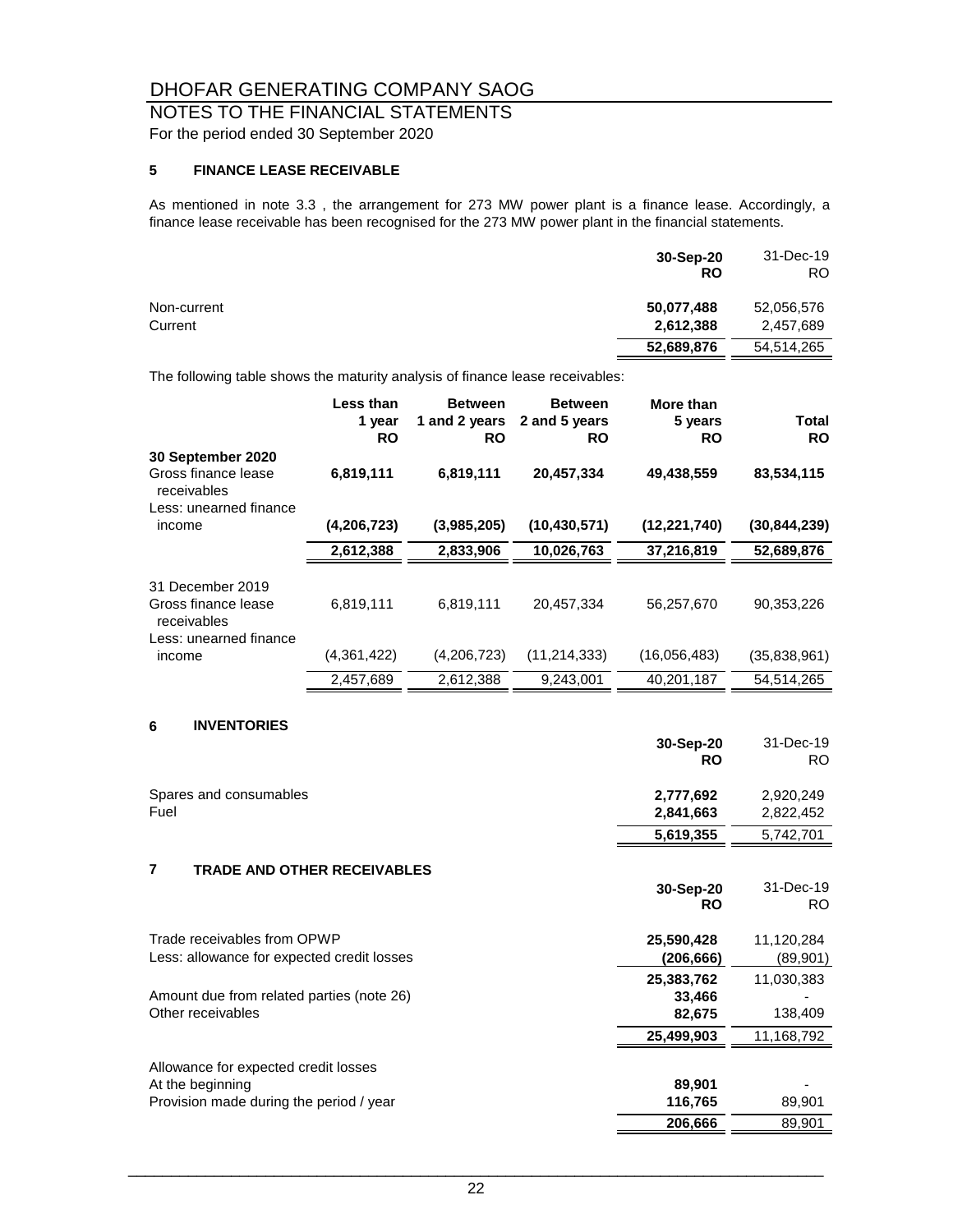# NOTES TO THE FINANCIAL STATEMENTS

For the period ended 30 September 2020

#### **5 FINANCE LEASE RECEIVABLE**

As mentioned in note 3.3 , the arrangement for 273 MW power plant is a finance lease. Accordingly, a finance lease receivable has been recognised for the 273 MW power plant in the financial statements.

|                        | 30-Sep-20<br><b>RO</b>  | 31-Dec-19<br>RO.        |
|------------------------|-------------------------|-------------------------|
| Non-current<br>Current | 50,077,488<br>2,612,388 | 52,056,576<br>2,457,689 |
|                        | 52,689,876              | 54.514.265              |

The following table shows the maturity analysis of finance lease receivables:

|                                                         | Less than<br>1 year<br><b>RO</b> | <b>Between</b><br>1 and 2 years<br>RO | <b>Between</b><br>2 and 5 years<br><b>RO</b> | More than<br>5 years<br><b>RO</b> | <b>Total</b><br><b>RO</b> |
|---------------------------------------------------------|----------------------------------|---------------------------------------|----------------------------------------------|-----------------------------------|---------------------------|
| 30 September 2020<br>Gross finance lease<br>receivables | 6,819,111                        | 6,819,111                             | 20,457,334                                   | 49,438,559                        | 83,534,115                |
| Less: unearned finance                                  |                                  |                                       |                                              |                                   |                           |
| income                                                  | (4,206,723)                      | (3,985,205)                           | (10, 430, 571)                               | (12, 221, 740)                    | (30, 844, 239)            |
|                                                         | 2,612,388                        | 2,833,906                             | 10,026,763                                   | 37,216,819                        | 52,689,876                |
| 31 December 2019<br>Gross finance lease<br>receivables  | 6,819,111                        | 6,819,111                             | 20.457.334                                   | 56,257,670                        | 90,353,226                |
| Less: unearned finance<br>income                        | (4,361,422)                      | (4,206,723)                           | (11, 214, 333)                               | (16,056,483)                      | (35,838,961)              |
|                                                         | 2,457,689                        | 2,612,388                             | 9,243,001                                    | 40,201,187                        | 54,514,265                |

#### **6 INVENTORIES**

|                                                                | 30-Sep-20<br><b>RO</b> | 31-Dec-19<br>RO. |
|----------------------------------------------------------------|------------------------|------------------|
| Spares and consumables                                         | 2,777,692              | 2,920,249        |
| Fuel                                                           | 2,841,663              | 2,822,452        |
|                                                                | 5,619,355              | 5,742,701        |
| $\overline{\phantom{a}}$<br><b>TRADE AND OTHER RECEIVABLES</b> |                        |                  |
|                                                                | 30-Sep-20              | 31-Dec-19        |
|                                                                | <b>RO</b>              | RO.              |
| Trade receivables from OPWP                                    | 25,590,428             | 11,120,284       |
| Less: allowance for expected credit losses                     | (206,666)              | (89,901)         |
|                                                                | 25,383,762             | 11,030,383       |
| Amount due from related parties (note 26)                      | 33,466                 |                  |
| Other receivables                                              | 82,675                 | 138,409          |
|                                                                | 25,499,903             | 11,168,792       |
| Allowance for expected credit losses                           |                        |                  |
| At the beginning                                               | 89,901                 |                  |
| Provision made during the period / year                        | 116,765                | 89,901           |
|                                                                | 206,666                | 89,901           |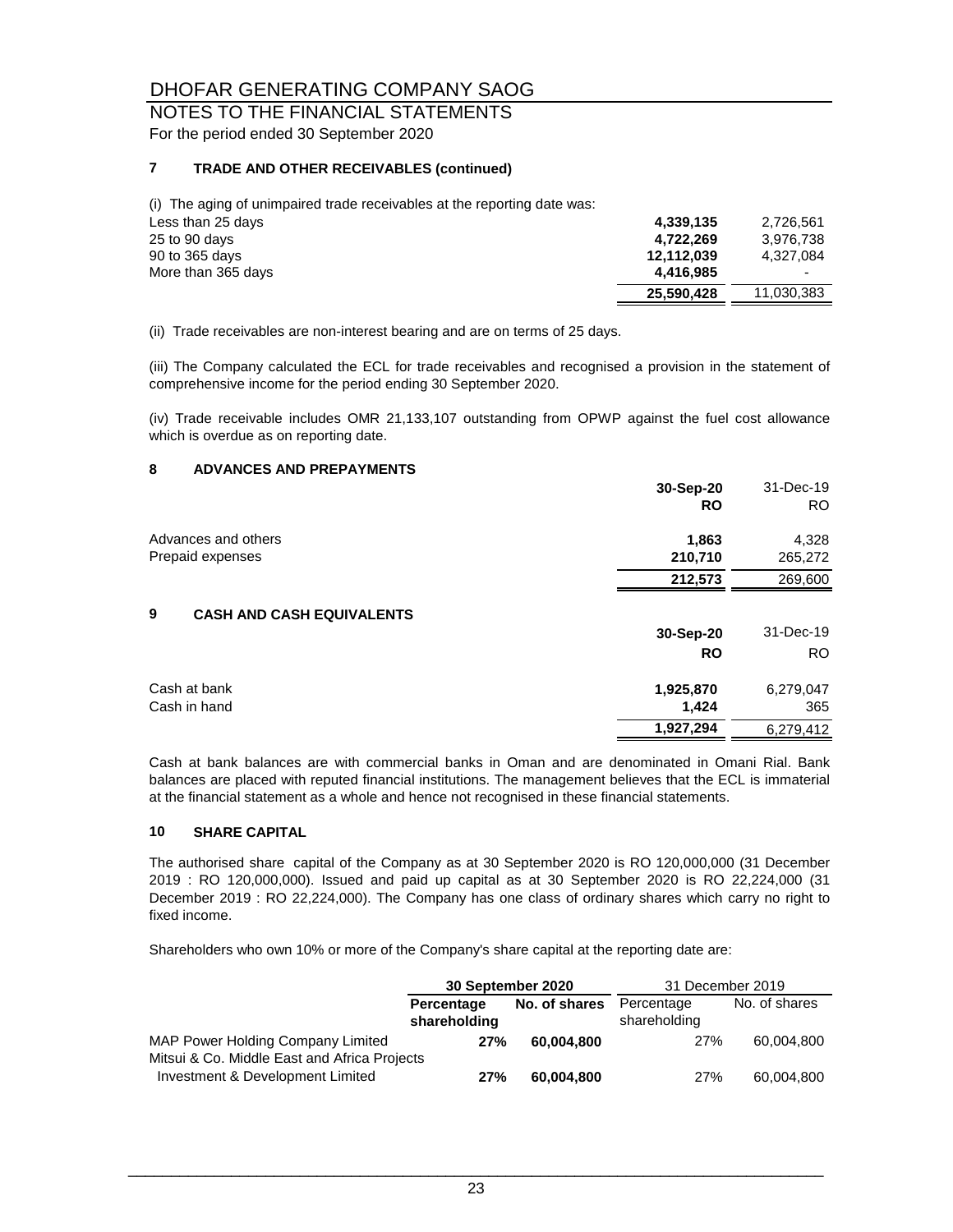# NOTES TO THE FINANCIAL STATEMENTS

For the period ended 30 September 2020

#### **7 TRADE AND OTHER RECEIVABLES (continued)**

(i) The aging of unimpaired trade receivables at the reporting date was:

| 4,339,135  | 2,726,561  |
|------------|------------|
| 4,722,269  | 3.976.738  |
| 12.112.039 | 4.327.084  |
| 4.416.985  |            |
| 25,590,428 | 11.030.383 |
|            |            |

(ii) Trade receivables are non-interest bearing and are on terms of 25 days.

(iii) The Company calculated the ECL for trade receivables and recognised a provision in the statement of comprehensive income for the period ending 30 September 2020.

(iv) Trade receivable includes OMR 21,133,107 outstanding from OPWP against the fuel cost allowance which is overdue as on reporting date.

#### **8 ADVANCES AND PREPAYMENTS**

|                                       | 30-Sep-20 | 31-Dec-19 |
|---------------------------------------|-----------|-----------|
|                                       | <b>RO</b> | RO.       |
| Advances and others                   | 1,863     | 4,328     |
| Prepaid expenses                      | 210,710   | 265,272   |
|                                       | 212,573   | 269,600   |
| 9<br><b>CASH AND CASH EQUIVALENTS</b> |           |           |
|                                       | 30-Sep-20 | 31-Dec-19 |
|                                       | <b>RO</b> | RO.       |
| Cash at bank                          | 1,925,870 | 6,279,047 |
| Cash in hand                          | 1,424     | 365       |
|                                       | 1,927,294 | 6,279,412 |

Cash at bank balances are with commercial banks in Oman and are denominated in Omani Rial. Bank balances are placed with reputed financial institutions. The management believes that the ECL is immaterial at the financial statement as a whole and hence not recognised in these financial statements.

#### **10 SHARE CAPITAL**

The authorised share capital of the Company as at 30 September 2020 is RO 120,000,000 (31 December 2019 : RO 120,000,000). Issued and paid up capital as at 30 September 2020 is RO 22,224,000 (31 December 2019 : RO 22,224,000). The Company has one class of ordinary shares which carry no right to fixed income.

Shareholders who own 10% or more of the Company's share capital at the reporting date are:

|                                              | 30 September 2020 |               | 31 December 2019 |               |
|----------------------------------------------|-------------------|---------------|------------------|---------------|
|                                              | Percentage        | No. of shares | Percentage       | No. of shares |
|                                              | shareholding      |               | shareholding     |               |
| MAP Power Holding Company Limited            | 27%               | 60.004.800    | 27%              | 60,004,800    |
| Mitsui & Co. Middle East and Africa Projects |                   |               |                  |               |
| Investment & Development Limited             | 27%               | 60,004,800    | 27%              | 60,004,800    |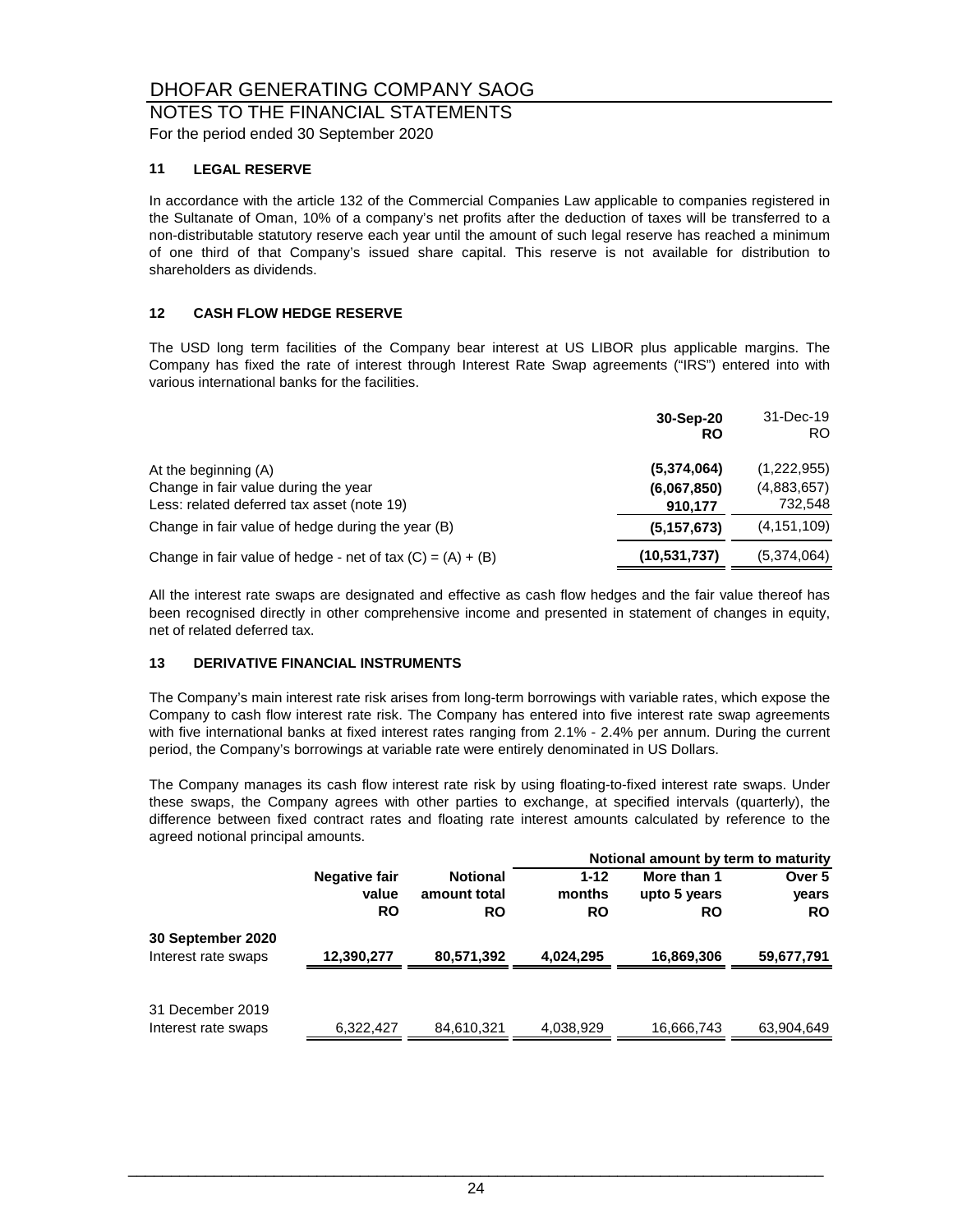## NOTES TO THE FINANCIAL STATEMENTS

For the period ended 30 September 2020

#### **11 LEGAL RESERVE**

In accordance with the article 132 of the Commercial Companies Law applicable to companies registered in the Sultanate of Oman, 10% of a company's net profits after the deduction of taxes will be transferred to a non-distributable statutory reserve each year until the amount of such legal reserve has reached a minimum of one third of that Company's issued share capital. This reserve is not available for distribution to shareholders as dividends.

#### **12 CASH FLOW HEDGE RESERVE**

The USD long term facilities of the Company bear interest at US LIBOR plus applicable margins. The Company has fixed the rate of interest through Interest Rate Swap agreements ("IRS") entered into with various international banks for the facilities.

|                                                              | 30-Sep-20<br>RO | 31-Dec-19<br>RO. |
|--------------------------------------------------------------|-----------------|------------------|
| At the beginning (A)                                         | (5,374,064)     | (1,222,955)      |
| Change in fair value during the year                         | (6,067,850)     | (4,883,657)      |
| Less: related deferred tax asset (note 19)                   | 910,177         | 732,548          |
| Change in fair value of hedge during the year (B)            | (5, 157, 673)   | (4, 151, 109)    |
| Change in fair value of hedge - net of tax $(C) = (A) + (B)$ | (10, 531, 737)  | (5,374,064)      |

All the interest rate swaps are designated and effective as cash flow hedges and the fair value thereof has been recognised directly in other comprehensive income and presented in statement of changes in equity, net of related deferred tax.

#### **13 DERIVATIVE FINANCIAL INSTRUMENTS**

The Company's main interest rate risk arises from long-term borrowings with variable rates, which expose the Company to cash flow interest rate risk. The Company has entered into five interest rate swap agreements with five international banks at fixed interest rates ranging from 2.1% - 2.4% per annum. During the current period, the Company's borrowings at variable rate were entirely denominated in US Dollars.

The Company manages its cash flow interest rate risk by using floating-to-fixed interest rate swaps. Under these swaps, the Company agrees with other parties to exchange, at specified intervals (quarterly), the difference between fixed contract rates and floating rate interest amounts calculated by reference to the agreed notional principal amounts.

|                     |               |                 |           | Notional amount by term to maturity |            |
|---------------------|---------------|-----------------|-----------|-------------------------------------|------------|
|                     | Negative fair | <b>Notional</b> | $1 - 12$  | More than 1                         | Over 5     |
|                     | value         | amount total    | months    | upto 5 years                        | vears      |
|                     | <b>RO</b>     | <b>RO</b>       | <b>RO</b> | <b>RO</b>                           | <b>RO</b>  |
| 30 September 2020   |               |                 |           |                                     |            |
| Interest rate swaps | 12,390,277    | 80,571,392      | 4,024,295 | 16,869,306                          | 59,677,791 |
|                     |               |                 |           |                                     |            |
| 31 December 2019    |               |                 |           |                                     |            |
| Interest rate swaps | 6,322,427     | 84,610,321      | 4,038,929 | 16,666,743                          | 63,904,649 |
|                     |               |                 |           |                                     |            |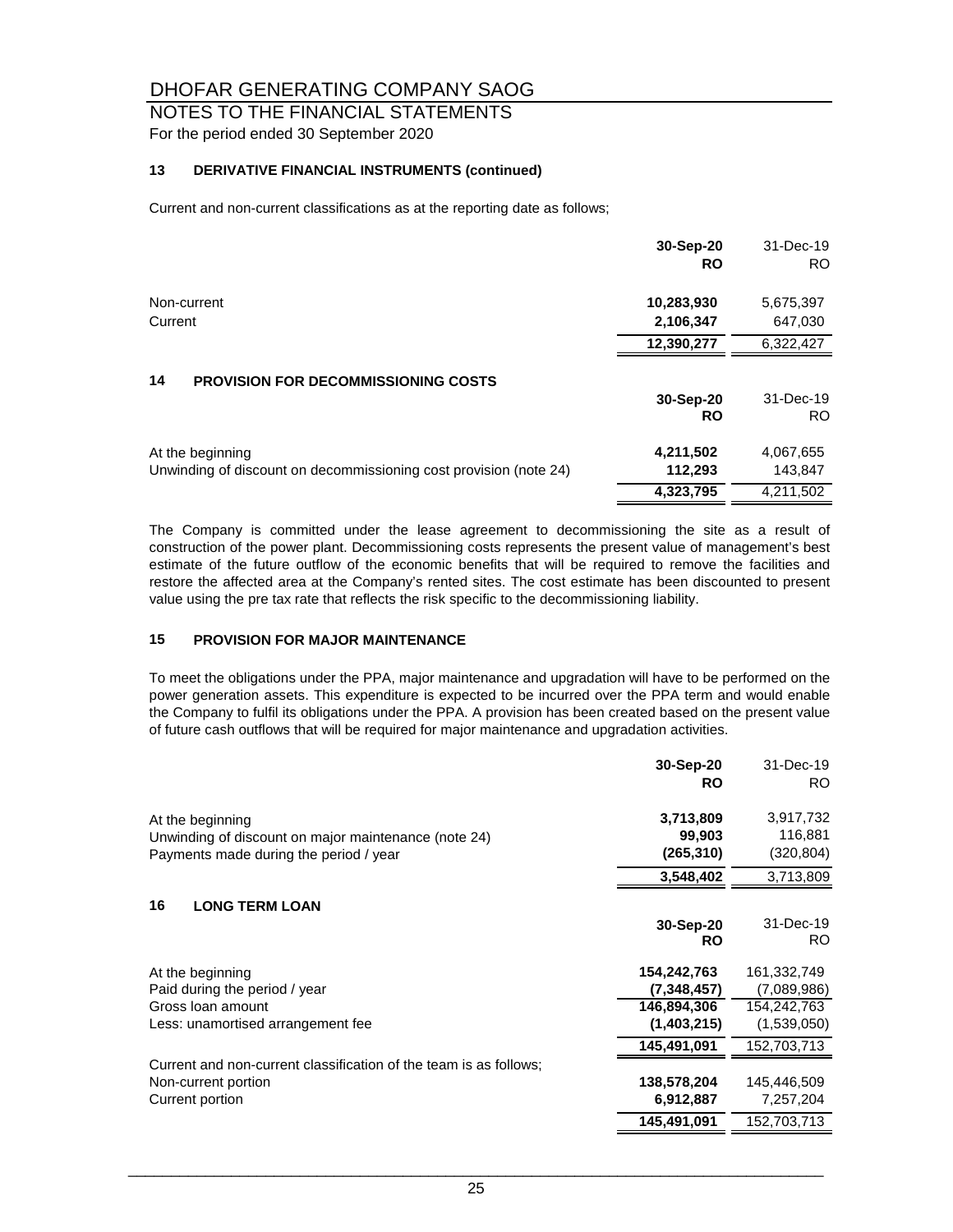## NOTES TO THE FINANCIAL STATEMENTS

For the period ended 30 September 2020

#### **13 DERIVATIVE FINANCIAL INSTRUMENTS (continued)**

Current and non-current classifications as at the reporting date as follows;

|                                                                   | 30-Sep-20<br><b>RO</b> | 31-Dec-19<br>RO. |
|-------------------------------------------------------------------|------------------------|------------------|
| Non-current                                                       | 10,283,930             | 5,675,397        |
| Current                                                           | 2,106,347              | 647,030          |
|                                                                   | 12,390,277             | 6,322,427        |
| 14<br><b>PROVISION FOR DECOMMISSIONING COSTS</b>                  |                        |                  |
|                                                                   | 30-Sep-20              | 31-Dec-19        |
|                                                                   | <b>RO</b>              | RO.              |
| At the beginning                                                  | 4,211,502              | 4,067,655        |
| Unwinding of discount on decommissioning cost provision (note 24) | 112,293                | 143,847          |
|                                                                   | 4,323,795              | 4.211.502        |

The Company is committed under the lease agreement to decommissioning the site as a result of construction of the power plant. Decommissioning costs represents the present value of management's best estimate of the future outflow of the economic benefits that will be required to remove the facilities and restore the affected area at the Company's rented sites. The cost estimate has been discounted to present value using the pre tax rate that reflects the risk specific to the decommissioning liability.

#### **15 PROVISION FOR MAJOR MAINTENANCE**

To meet the obligations under the PPA, major maintenance and upgradation will have to be performed on the power generation assets. This expenditure is expected to be incurred over the PPA term and would enable the Company to fulfil its obligations under the PPA. A provision has been created based on the present value of future cash outflows that will be required for major maintenance and upgradation activities.

|                                                                                                                    | 30-Sep-20<br><b>RO</b>            | 31-Dec-19<br>RO.                  |
|--------------------------------------------------------------------------------------------------------------------|-----------------------------------|-----------------------------------|
| At the beginning<br>Unwinding of discount on major maintenance (note 24)<br>Payments made during the period / year | 3,713,809<br>99,903<br>(265, 310) | 3,917,732<br>116,881<br>(320,804) |
|                                                                                                                    | 3,548,402                         | 3,713,809                         |
| 16<br><b>LONG TERM LOAN</b>                                                                                        |                                   |                                   |
|                                                                                                                    | 30-Sep-20<br><b>RO</b>            | 31-Dec-19<br>RO.                  |
| At the beginning                                                                                                   | 154,242,763                       | 161,332,749                       |
| Paid during the period / year                                                                                      | (7,348,457)                       | (7,089,986)                       |
| Gross Ioan amount                                                                                                  | 146,894,306                       | 154,242,763                       |
| Less: unamortised arrangement fee                                                                                  | (1,403,215)                       | (1,539,050)                       |
|                                                                                                                    | 145,491,091                       | 152,703,713                       |
| Current and non-current classification of the team is as follows;                                                  |                                   |                                   |
| Non-current portion                                                                                                | 138,578,204                       | 145,446,509                       |
| Current portion                                                                                                    | 6,912,887                         | 7,257,204                         |
|                                                                                                                    | 145,491,091                       | 152,703,713                       |
|                                                                                                                    |                                   |                                   |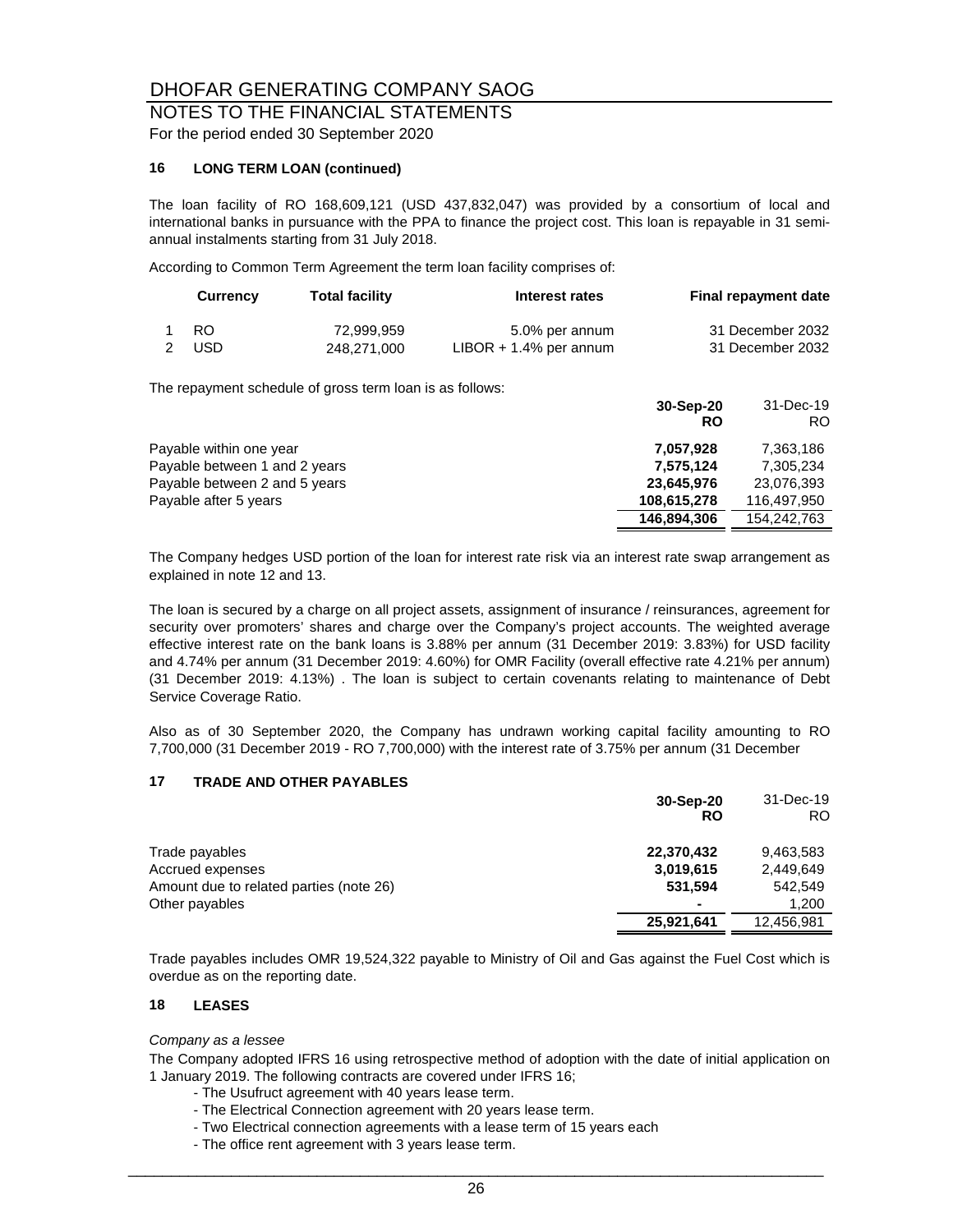#### NOTES TO THE FINANCIAL STATEMENTS For the period ended 30 September 2020

#### **16 LONG TERM LOAN (continued)**

The loan facility of RO 168,609,121 (USD 437,832,047) was provided by a consortium of local and international banks in pursuance with the PPA to finance the project cost. This loan is repayable in 31 semiannual instalments starting from 31 July 2018.

According to Common Term Agreement the term loan facility comprises of:

| <b>Currency</b> | <b>Total facility</b> | Interest rates            | Final repayment date |
|-----------------|-----------------------|---------------------------|----------------------|
| 1 RO            | 72.999.959            | 5.0% per annum            | 31 December 2032     |
| 2 USD           | 248.271.000           | $LIBOR + 1.4\%$ per annum | 31 December 2032     |

The repayment schedule of gross term loan is as follows:

|                               | 30-Sep-20<br>RO | 31-Dec-19<br>RO. |
|-------------------------------|-----------------|------------------|
| Payable within one year       | 7,057,928       | 7,363,186        |
| Payable between 1 and 2 years | 7,575,124       | 7,305,234        |
| Payable between 2 and 5 years | 23,645,976      | 23,076,393       |
| Payable after 5 years         | 108,615,278     | 116.497.950      |
|                               | 146,894,306     | 154.242.763      |

The Company hedges USD portion of the loan for interest rate risk via an interest rate swap arrangement as explained in note 12 and 13.

The loan is secured by a charge on all project assets, assignment of insurance / reinsurances, agreement for security over promoters' shares and charge over the Company's project accounts. The weighted average effective interest rate on the bank loans is 3.88% per annum (31 December 2019: 3.83%) for USD facility and 4.74% per annum (31 December 2019: 4.60%) for OMR Facility (overall effective rate 4.21% per annum) (31 December 2019: 4.13%) . The loan is subject to certain covenants relating to maintenance of Debt Service Coverage Ratio.

Also as of 30 September 2020, the Company has undrawn working capital facility amounting to RO 7,700,000 (31 December 2019 - RO 7,700,000) with the interest rate of 3.75% per annum (31 December

#### **17 TRADE AND OTHER PAYABLES**

|                                         | 30-Sep-20<br>RO | 31-Dec-19<br>RO. |
|-----------------------------------------|-----------------|------------------|
| Trade payables                          | 22,370,432      | 9.463.583        |
| Accrued expenses                        | 3,019,615       | 2,449,649        |
| Amount due to related parties (note 26) | 531.594         | 542.549          |
| Other payables                          | ۰               | 1.200            |
|                                         | 25,921,641      | 12,456,981       |

Trade payables includes OMR 19,524,322 payable to Ministry of Oil and Gas against the Fuel Cost which is overdue as on the reporting date.

#### **18 LEASES**

#### *Company as a lessee*

The Company adopted IFRS 16 using retrospective method of adoption with the date of initial application on 1 January 2019. The following contracts are covered under IFRS 16;

- The Usufruct agreement with 40 years lease term.
- The Electrical Connection agreement with 20 years lease term.
- Two Electrical connection agreements with a lease term of 15 years each
- The office rent agreement with 3 years lease term.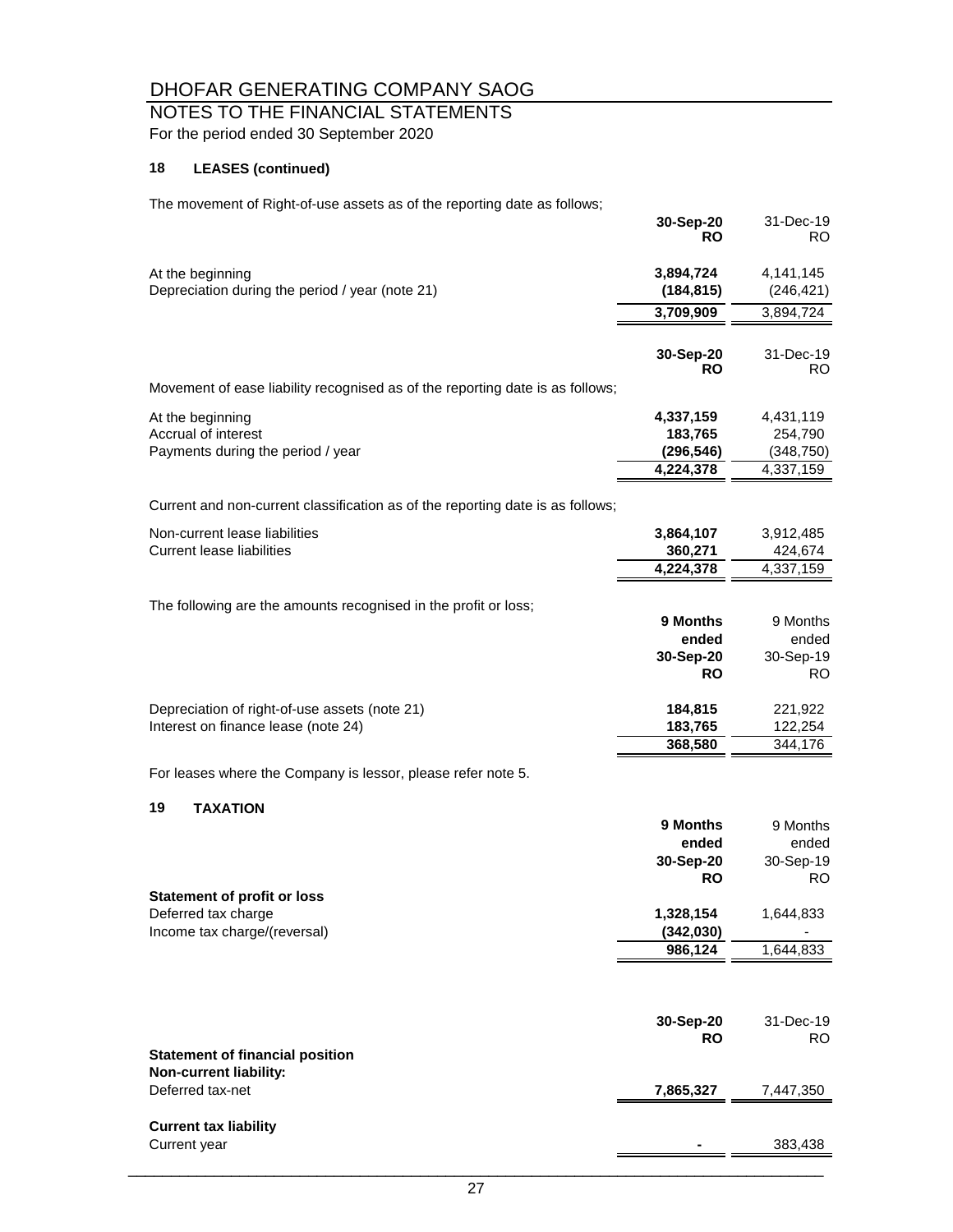## NOTES TO THE FINANCIAL STATEMENTS

For the period ended 30 September 2020

#### **18 LEASES (continued)**

The movement of Right-of-use assets as of the reporting date as follows;

|                                                                                      | 30-Sep-20<br><b>RO</b>                      | 31-Dec-19<br>RO                             |
|--------------------------------------------------------------------------------------|---------------------------------------------|---------------------------------------------|
| At the beginning<br>Depreciation during the period / year (note 21)                  | 3,894,724<br>(184, 815)                     | 4,141,145<br>(246, 421)                     |
|                                                                                      | 3,709,909                                   | 3,894,724                                   |
|                                                                                      | 30-Sep-20<br><b>RO</b>                      | 31-Dec-19<br>RO.                            |
| Movement of ease liability recognised as of the reporting date is as follows;        |                                             |                                             |
| At the beginning<br>Accrual of interest<br>Payments during the period / year         | 4,337,159<br>183,765<br>(296, 546)          | 4,431,119<br>254,790<br>(348, 750)          |
|                                                                                      | 4,224,378                                   | 4,337,159                                   |
| Current and non-current classification as of the reporting date is as follows;       |                                             |                                             |
| Non-current lease liabilities<br><b>Current lease liabilities</b>                    | 3,864,107<br>360,271<br>4,224,378           | 3,912,485<br>424,674<br>4,337,159           |
| The following are the amounts recognised in the profit or loss;                      | 9 Months<br>ended<br>30-Sep-20<br><b>RO</b> | 9 Months<br>ended<br>30-Sep-19<br><b>RO</b> |
| Depreciation of right-of-use assets (note 21)<br>Interest on finance lease (note 24) | 184,815<br>183,765<br>368,580               | 221,922<br>122,254<br>344,176               |
| For leases where the Company is lessor, please refer note 5.                         |                                             |                                             |
| 19<br><b>TAXATION</b>                                                                |                                             |                                             |
|                                                                                      | 9 Months<br>ended<br>30-Sep-20<br><b>RO</b> | 9 Months<br>ended<br>30-Sep-19<br><b>RO</b> |
| <b>Statement of profit or loss</b><br>Deferred tax charge                            | 1,328,154                                   | 1,644,833                                   |
| Income tax charge/(reversal)                                                         | (342,030)                                   |                                             |
|                                                                                      | 986,124                                     | 1,644,833                                   |
|                                                                                      | 30-Sep-20<br><b>RO</b>                      | 31-Dec-19<br>RO.                            |
| <b>Statement of financial position</b><br>Non-current liability:                     |                                             |                                             |
| Deferred tax-net                                                                     | 7,865,327                                   | 7,447,350                                   |
| <b>Current tax liability</b><br>Current year                                         |                                             | 383,438                                     |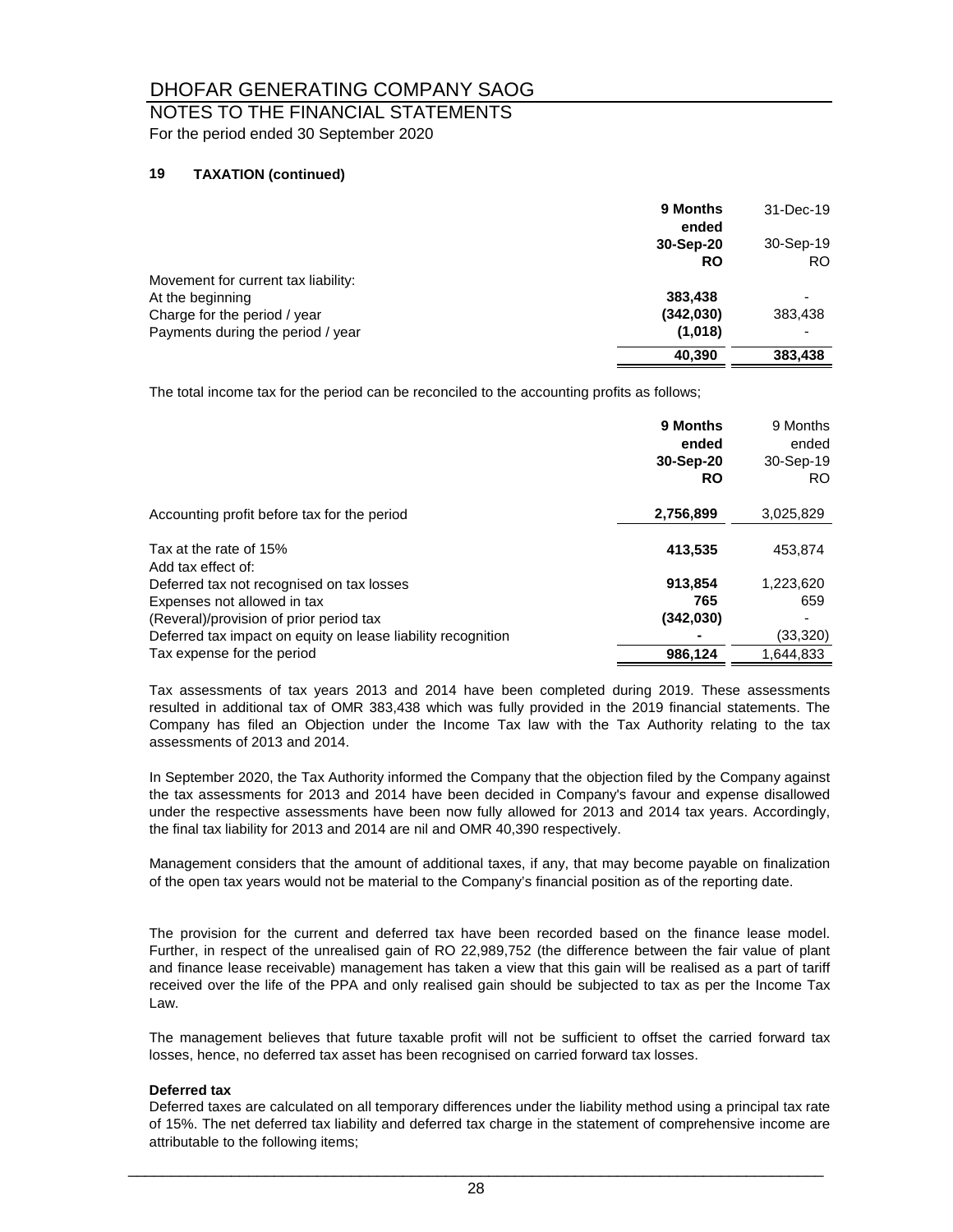# NOTES TO THE FINANCIAL STATEMENTS

For the period ended 30 September 2020

#### **19 TAXATION (continued)**

|                                     | 9 Months<br>ended | 31-Dec-19 |
|-------------------------------------|-------------------|-----------|
|                                     | 30-Sep-20         | 30-Sep-19 |
|                                     | <b>RO</b>         | RO.       |
| Movement for current tax liability: |                   |           |
| At the beginning                    | 383,438           |           |
| Charge for the period / year        | (342,030)         | 383,438   |
| Payments during the period / year   | (1,018)           |           |
|                                     | 40,390            | 383,438   |

The total income tax for the period can be reconciled to the accounting profits as follows;

|                                                              | 9 Months<br>ended<br>30-Sep-20<br><b>RO</b> | 9 Months<br>ended<br>30-Sep-19<br>RO. |
|--------------------------------------------------------------|---------------------------------------------|---------------------------------------|
| Accounting profit before tax for the period                  | 2,756,899                                   | 3,025,829                             |
| Tax at the rate of 15%<br>Add tax effect of:                 | 413,535                                     | 453.874                               |
| Deferred tax not recognised on tax losses                    | 913.854                                     | 1.223.620                             |
| Expenses not allowed in tax                                  | 765                                         | 659                                   |
| (Reveral)/provision of prior period tax                      | (342,030)                                   |                                       |
| Deferred tax impact on equity on lease liability recognition |                                             | (33, 320)                             |
| Tax expense for the period                                   | 986.124                                     | 1.644.833                             |

Tax assessments of tax years 2013 and 2014 have been completed during 2019. These assessments resulted in additional tax of OMR 383,438 which was fully provided in the 2019 financial statements. The Company has filed an Objection under the Income Tax law with the Tax Authority relating to the tax assessments of 2013 and 2014.

In September 2020, the Tax Authority informed the Company that the objection filed by the Company against the tax assessments for 2013 and 2014 have been decided in Company's favour and expense disallowed under the respective assessments have been now fully allowed for 2013 and 2014 tax years. Accordingly, the final tax liability for 2013 and 2014 are nil and OMR 40,390 respectively.

Management considers that the amount of additional taxes, if any, that may become payable on finalization of the open tax years would not be material to the Company's financial position as of the reporting date.

The provision for the current and deferred tax have been recorded based on the finance lease model. Further, in respect of the unrealised gain of RO 22,989,752 (the difference between the fair value of plant and finance lease receivable) management has taken a view that this gain will be realised as a part of tariff received over the life of the PPA and only realised gain should be subjected to tax as per the Income Tax Law.

The management believes that future taxable profit will not be sufficient to offset the carried forward tax losses, hence, no deferred tax asset has been recognised on carried forward tax losses.

#### **Deferred tax**

Deferred taxes are calculated on all temporary differences under the liability method using a principal tax rate of 15%. The net deferred tax liability and deferred tax charge in the statement of comprehensive income are attributable to the following items;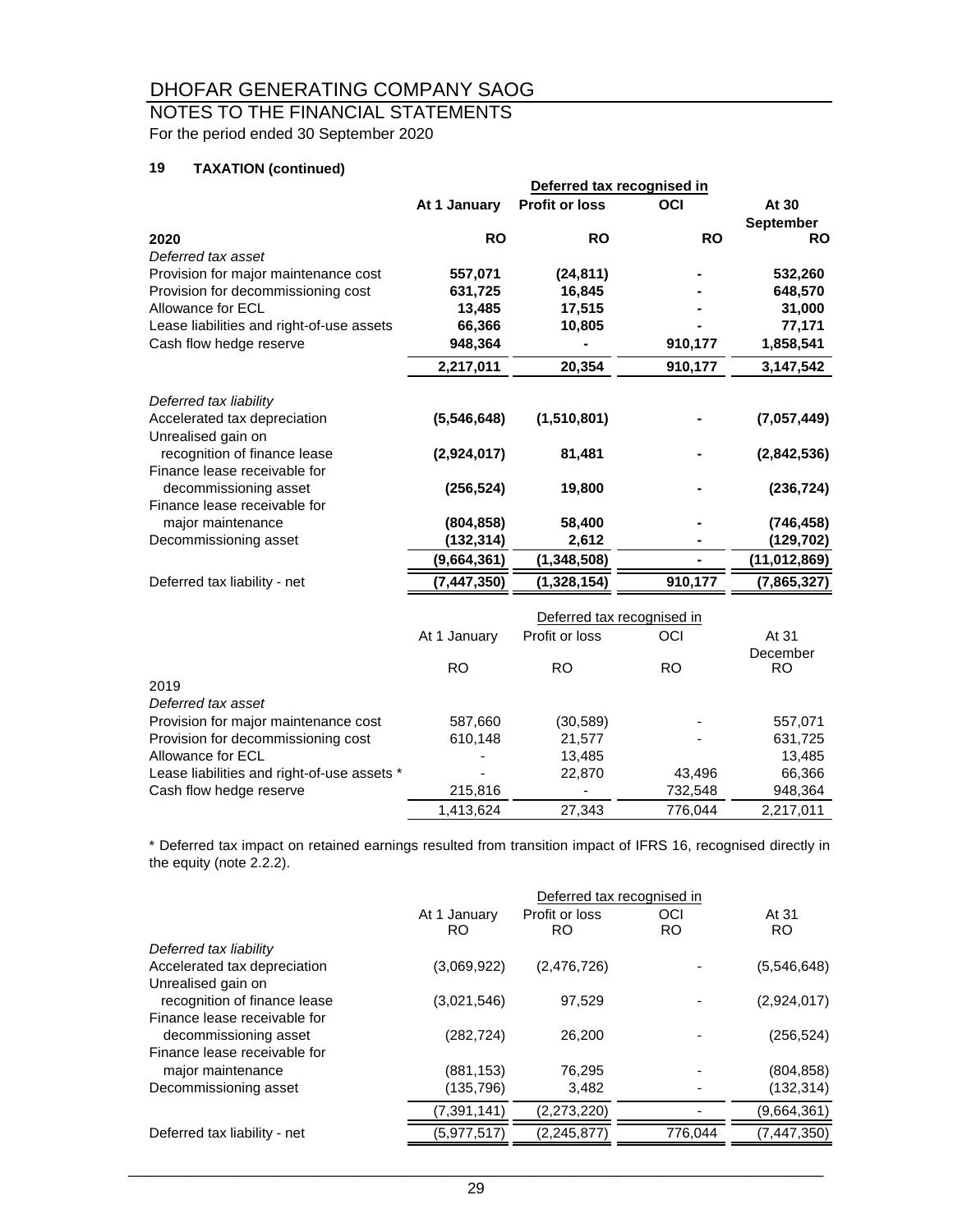## NOTES TO THE FINANCIAL STATEMENTS

For the period ended 30 September 2020

#### **19 TAXATION (continued)**

|                                             | Deferred tax recognised in |                            |           |                |
|---------------------------------------------|----------------------------|----------------------------|-----------|----------------|
|                                             | At 1 January               | <b>Profit or loss</b>      | OCI       | At 30          |
|                                             |                            |                            |           | September      |
| 2020                                        | <b>RO</b>                  | <b>RO</b>                  | <b>RO</b> | <b>RO</b>      |
| Deferred tax asset                          |                            |                            |           |                |
| Provision for major maintenance cost        | 557,071                    | (24, 811)                  |           | 532,260        |
| Provision for decommissioning cost          | 631,725                    | 16,845                     |           | 648,570        |
| Allowance for ECL                           | 13,485                     | 17,515                     |           | 31,000         |
| Lease liabilities and right-of-use assets   | 66,366                     | 10,805                     |           | 77,171         |
| Cash flow hedge reserve                     | 948,364                    |                            | 910,177   | 1,858,541      |
|                                             | 2,217,011                  | 20,354                     | 910,177   | 3,147,542      |
| Deferred tax liability                      |                            |                            |           |                |
| Accelerated tax depreciation                | (5,546,648)                | (1,510,801)                |           | (7,057,449)    |
| Unrealised gain on                          |                            |                            |           |                |
| recognition of finance lease                | (2,924,017)                | 81,481                     |           | (2,842,536)    |
| Finance lease receivable for                |                            |                            |           |                |
| decommissioning asset                       | (256, 524)                 | 19,800                     |           | (236, 724)     |
| Finance lease receivable for                |                            |                            |           |                |
| major maintenance                           | (804, 858)                 | 58,400                     |           | (746, 458)     |
| Decommissioning asset                       | (132, 314)                 | 2,612                      |           | (129, 702)     |
|                                             | (9,664,361)                | (1, 348, 508)              |           | (11, 012, 869) |
| Deferred tax liability - net                | (7, 447, 350)              | (1,328,154)                | 910,177   | (7,865,327)    |
|                                             |                            | Deferred tax recognised in |           |                |
|                                             | At 1 January               | Profit or loss             | OCI       | At 31          |
|                                             |                            |                            |           | December       |
|                                             | <b>RO</b>                  | <b>RO</b>                  | <b>RO</b> | <b>RO</b>      |
| 2019                                        |                            |                            |           |                |
| Deferred tax asset                          |                            |                            |           |                |
| Provision for major maintenance cost        | 587,660                    | (30, 589)                  |           | 557,071        |
| Provision for decommissioning cost          | 610,148                    | 21,577                     |           | 631,725        |
| Allowance for ECL                           |                            | 13,485                     |           | 13,485         |
| Lease liabilities and right-of-use assets * |                            | 22,870                     | 43,496    | 66,366         |
| Cash flow hedge reserve                     | 215,816                    |                            | 732,548   | 948,364        |

\* Deferred tax impact on retained earnings resulted from transition impact of IFRS 16, recognised directly in the equity (note 2.2.2).

1,413,624 27,343 776,044 2,217,011

|                              | Deferred tax recognised in |                |           |             |
|------------------------------|----------------------------|----------------|-----------|-------------|
|                              | At 1 January               | Profit or loss | OCI       | At 31       |
|                              | RO.                        | RO             | <b>RO</b> | <b>RO</b>   |
| Deferred tax liability       |                            |                |           |             |
| Accelerated tax depreciation | (3.069.922)                | (2,476,726)    |           | (5.546.648) |
| Unrealised gain on           |                            |                |           |             |
| recognition of finance lease | (3.021.546)                | 97,529         |           | (2,924,017) |
| Finance lease receivable for |                            |                |           |             |
| decommissioning asset        | (282, 724)                 | 26,200         |           | (256, 524)  |
| Finance lease receivable for |                            |                |           |             |
| major maintenance            | (881, 153)                 | 76,295         |           | (804, 858)  |
| Decommissioning asset        | (135, 796)                 | 3,482          |           | (132, 314)  |
|                              | (7, 391, 141)              | (2,273,220)    |           | (9,664,361) |
| Deferred tax liability - net | (5,977,517)                | (2, 245, 877)  | 776,044   | (7,447,350) |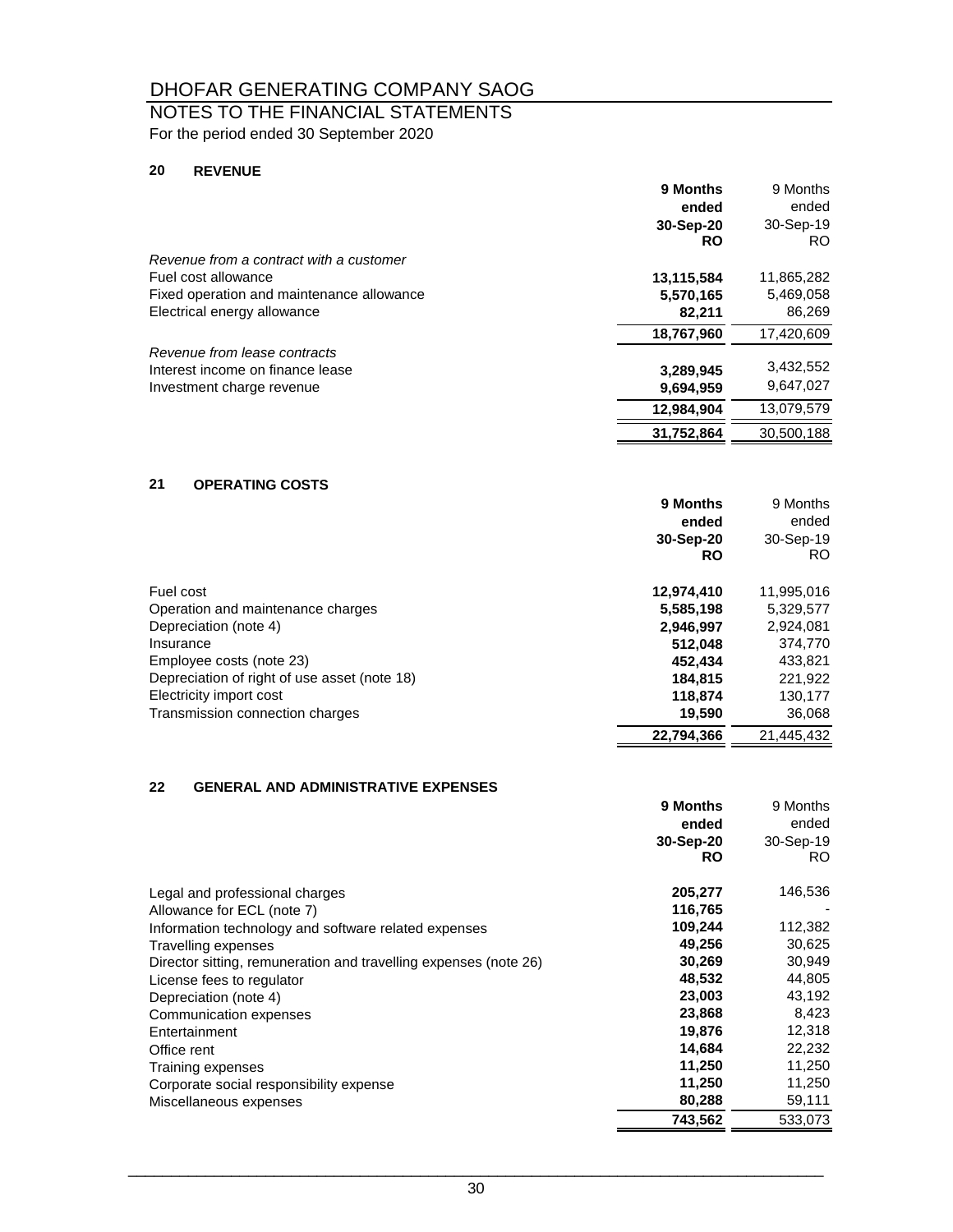### NOTES TO THE FINANCIAL STATEMENTS For the period ended 30 September 2020

#### **20 REVENUE**

|                                           | 9 Months   | 9 Months   |
|-------------------------------------------|------------|------------|
|                                           | ended      | ended      |
|                                           | 30-Sep-20  | 30-Sep-19  |
|                                           | <b>RO</b>  | RO.        |
| Revenue from a contract with a customer   |            |            |
| Fuel cost allowance                       | 13,115,584 | 11,865,282 |
| Fixed operation and maintenance allowance | 5,570,165  | 5,469,058  |
| Electrical energy allowance               | 82,211     | 86,269     |
|                                           | 18.767.960 | 17,420,609 |
| Revenue from lease contracts              |            |            |
| Interest income on finance lease          | 3,289,945  | 3,432,552  |
| Investment charge revenue                 | 9,694,959  | 9,647,027  |
|                                           | 12.984.904 | 13.079.579 |
|                                           | 31,752,864 | 30,500,188 |
|                                           |            |            |

#### **21 OPERATING COSTS**

|                                              | 9 Months   | 9 Months   |
|----------------------------------------------|------------|------------|
|                                              | ended      | ended      |
|                                              | 30-Sep-20  | 30-Sep-19  |
|                                              | <b>RO</b>  | RO.        |
| Fuel cost                                    | 12,974,410 | 11,995,016 |
| Operation and maintenance charges            | 5,585,198  | 5,329,577  |
| Depreciation (note 4)                        | 2,946,997  | 2,924,081  |
| Insurance                                    | 512.048    | 374.770    |
| Employee costs (note 23)                     | 452.434    | 433,821    |
| Depreciation of right of use asset (note 18) | 184.815    | 221,922    |
| Electricity import cost                      | 118,874    | 130,177    |
| Transmission connection charges              | 19,590     | 36,068     |
|                                              | 22.794.366 | 21.445.432 |

#### **22 GENERAL AND ADMINISTRATIVE EXPENSES**

|                                                                  | 9 Months<br>ended<br>30-Sep-20<br><b>RO</b> | 9 Months<br>ended<br>30-Sep-19<br>RO. |
|------------------------------------------------------------------|---------------------------------------------|---------------------------------------|
| Legal and professional charges                                   | 205,277                                     | 146,536                               |
| Allowance for ECL (note 7)                                       | 116,765                                     |                                       |
| Information technology and software related expenses             | 109,244                                     | 112,382                               |
| Travelling expenses                                              | 49,256                                      | 30,625                                |
| Director sitting, remuneration and travelling expenses (note 26) | 30,269                                      | 30,949                                |
| License fees to regulator                                        | 48,532                                      | 44,805                                |
| Depreciation (note 4)                                            | 23,003                                      | 43,192                                |
| Communication expenses                                           | 23,868                                      | 8,423                                 |
| Entertainment                                                    | 19,876                                      | 12,318                                |
| Office rent                                                      | 14,684                                      | 22,232                                |
| Training expenses                                                | 11,250                                      | 11,250                                |
| Corporate social responsibility expense                          | 11,250                                      | 11,250                                |
| Miscellaneous expenses                                           | 80,288                                      | 59,111                                |
|                                                                  | 743,562                                     | 533,073                               |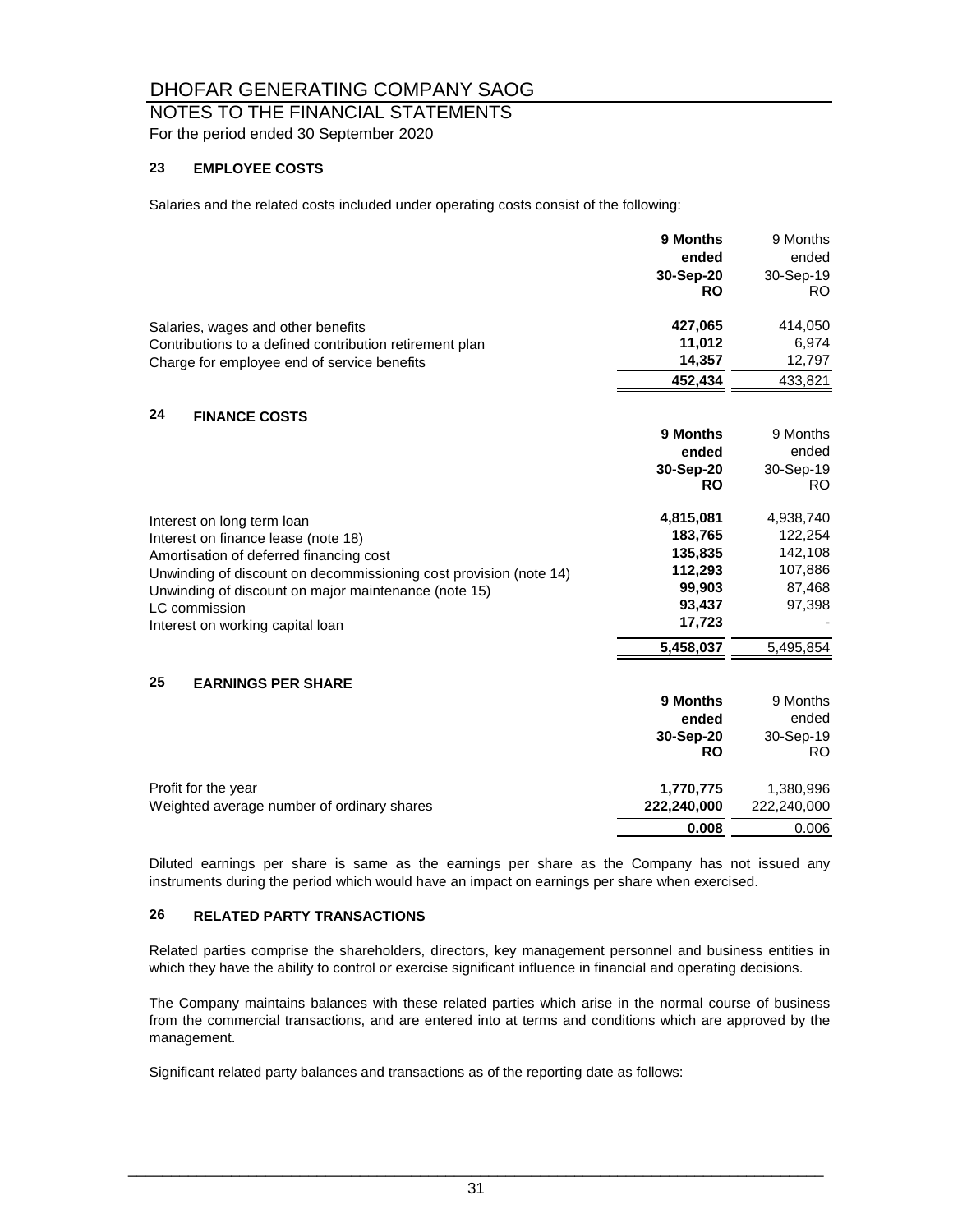# NOTES TO THE FINANCIAL STATEMENTS

For the period ended 30 September 2020

#### **23 EMPLOYEE COSTS**

Salaries and the related costs included under operating costs consist of the following:

|                                                                   | 9 Months    | 9 Months    |
|-------------------------------------------------------------------|-------------|-------------|
|                                                                   | ended       | ended       |
|                                                                   | 30-Sep-20   | 30-Sep-19   |
|                                                                   | <b>RO</b>   | RO.         |
| Salaries, wages and other benefits                                | 427,065     | 414,050     |
| Contributions to a defined contribution retirement plan           | 11,012      | 6,974       |
| Charge for employee end of service benefits                       | 14,357      | 12,797      |
|                                                                   | 452,434     | 433,821     |
| 24<br><b>FINANCE COSTS</b>                                        |             |             |
|                                                                   | 9 Months    | 9 Months    |
|                                                                   | ended       | ended       |
|                                                                   | 30-Sep-20   | 30-Sep-19   |
|                                                                   | <b>RO</b>   | RO.         |
| Interest on long term loan                                        | 4,815,081   | 4,938,740   |
| Interest on finance lease (note 18)                               | 183,765     | 122,254     |
| Amortisation of deferred financing cost                           | 135.835     | 142,108     |
| Unwinding of discount on decommissioning cost provision (note 14) | 112,293     | 107,886     |
| Unwinding of discount on major maintenance (note 15)              | 99,903      | 87,468      |
| LC commission                                                     | 93,437      | 97,398      |
| Interest on working capital loan                                  | 17,723      |             |
|                                                                   | 5,458,037   | 5,495,854   |
| 25<br><b>EARNINGS PER SHARE</b>                                   |             |             |
|                                                                   | 9 Months    | 9 Months    |
|                                                                   | ended       | ended       |
|                                                                   | 30-Sep-20   | 30-Sep-19   |
|                                                                   | <b>RO</b>   | RO.         |
| Profit for the year                                               | 1,770,775   | 1,380,996   |
| Weighted average number of ordinary shares                        | 222,240,000 | 222,240,000 |
|                                                                   | 0.008       | 0.006       |

Diluted earnings per share is same as the earnings per share as the Company has not issued any instruments during the period which would have an impact on earnings per share when exercised.

#### **26 RELATED PARTY TRANSACTIONS**

Related parties comprise the shareholders, directors, key management personnel and business entities in which they have the ability to control or exercise significant influence in financial and operating decisions.

The Company maintains balances with these related parties which arise in the normal course of business from the commercial transactions, and are entered into at terms and conditions which are approved by the management.

Significant related party balances and transactions as of the reporting date as follows: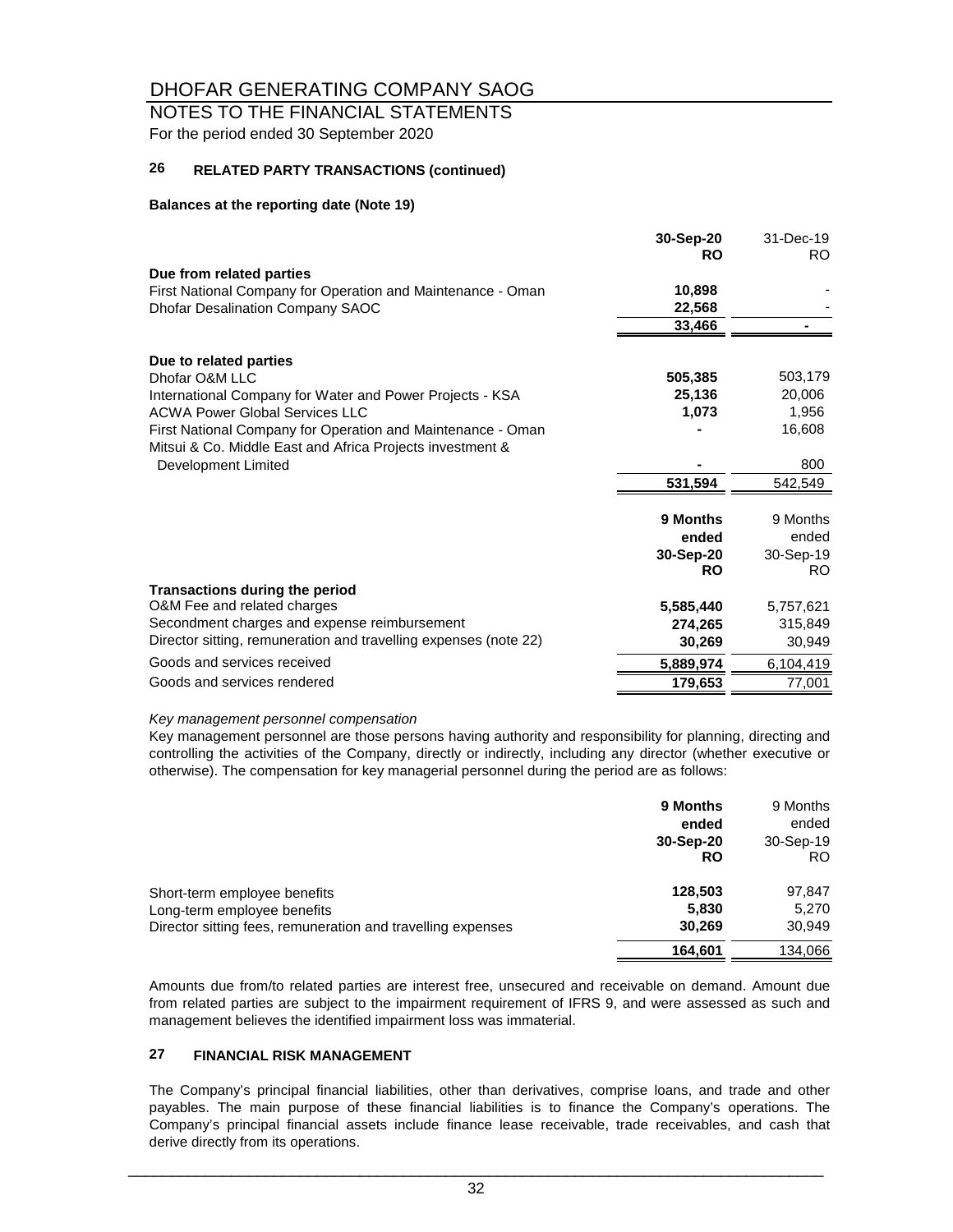# NOTES TO THE FINANCIAL STATEMENTS

For the period ended 30 September 2020

#### **26 RELATED PARTY TRANSACTIONS (continued)**

#### **Balances at the reporting date (Note 19)**

|                                                                                                                          | 30-Sep-20<br><b>RO</b> | 31-Dec-19<br>RO. |
|--------------------------------------------------------------------------------------------------------------------------|------------------------|------------------|
| Due from related parties                                                                                                 |                        |                  |
| First National Company for Operation and Maintenance - Oman                                                              | 10,898                 |                  |
| Dhofar Desalination Company SAOC                                                                                         | 22,568                 |                  |
|                                                                                                                          | 33,466                 |                  |
| Due to related parties                                                                                                   |                        |                  |
| Dhofar O&M LLC                                                                                                           | 505,385                | 503,179          |
| International Company for Water and Power Projects - KSA                                                                 | 25,136                 | 20,006           |
| <b>ACWA Power Global Services LLC</b>                                                                                    | 1,073                  | 1,956            |
| First National Company for Operation and Maintenance - Oman<br>Mitsui & Co. Middle East and Africa Projects investment & |                        | 16,608           |
| Development Limited                                                                                                      |                        | 800              |
|                                                                                                                          | 531,594                | 542,549          |
|                                                                                                                          |                        |                  |
|                                                                                                                          | 9 Months               | 9 Months         |
|                                                                                                                          | ended                  | ended            |
|                                                                                                                          | 30-Sep-20              | 30-Sep-19        |
|                                                                                                                          | <b>RO</b>              | RO.              |
| <b>Transactions during the period</b>                                                                                    |                        |                  |
| O&M Fee and related charges                                                                                              | 5,585,440              | 5,757,621        |
| Secondment charges and expense reimbursement                                                                             | 274,265                | 315,849          |
| Director sitting, remuneration and travelling expenses (note 22)                                                         | 30,269                 | 30,949           |
| Goods and services received                                                                                              | 5,889,974              | 6,104,419        |
| Goods and services rendered                                                                                              | 179,653                | 77,001           |

#### *Key management personnel compensation*

Key management personnel are those persons having authority and responsibility for planning, directing and controlling the activities of the Company, directly or indirectly, including any director (whether executive or otherwise). The compensation for key managerial personnel during the period are as follows:

|                                                                                                                            | <b>9 Months</b><br>ended<br>30-Sep-20<br>RO | 9 Months<br>ended<br>30-Sep-19<br>RO. |
|----------------------------------------------------------------------------------------------------------------------------|---------------------------------------------|---------------------------------------|
| Short-term employee benefits<br>Long-term employee benefits<br>Director sitting fees, remuneration and travelling expenses | 128,503<br>5,830<br>30,269                  | 97,847<br>5,270<br>30,949             |
|                                                                                                                            | 164,601                                     | 134,066                               |

Amounts due from/to related parties are interest free, unsecured and receivable on demand. Amount due from related parties are subject to the impairment requirement of IFRS 9, and were assessed as such and management believes the identified impairment loss was immaterial.

#### **27 FINANCIAL RISK MANAGEMENT**

The Company's principal financial liabilities, other than derivatives, comprise loans, and trade and other payables. The main purpose of these financial liabilities is to finance the Company's operations. The Company's principal financial assets include finance lease receivable, trade receivables, and cash that derive directly from its operations.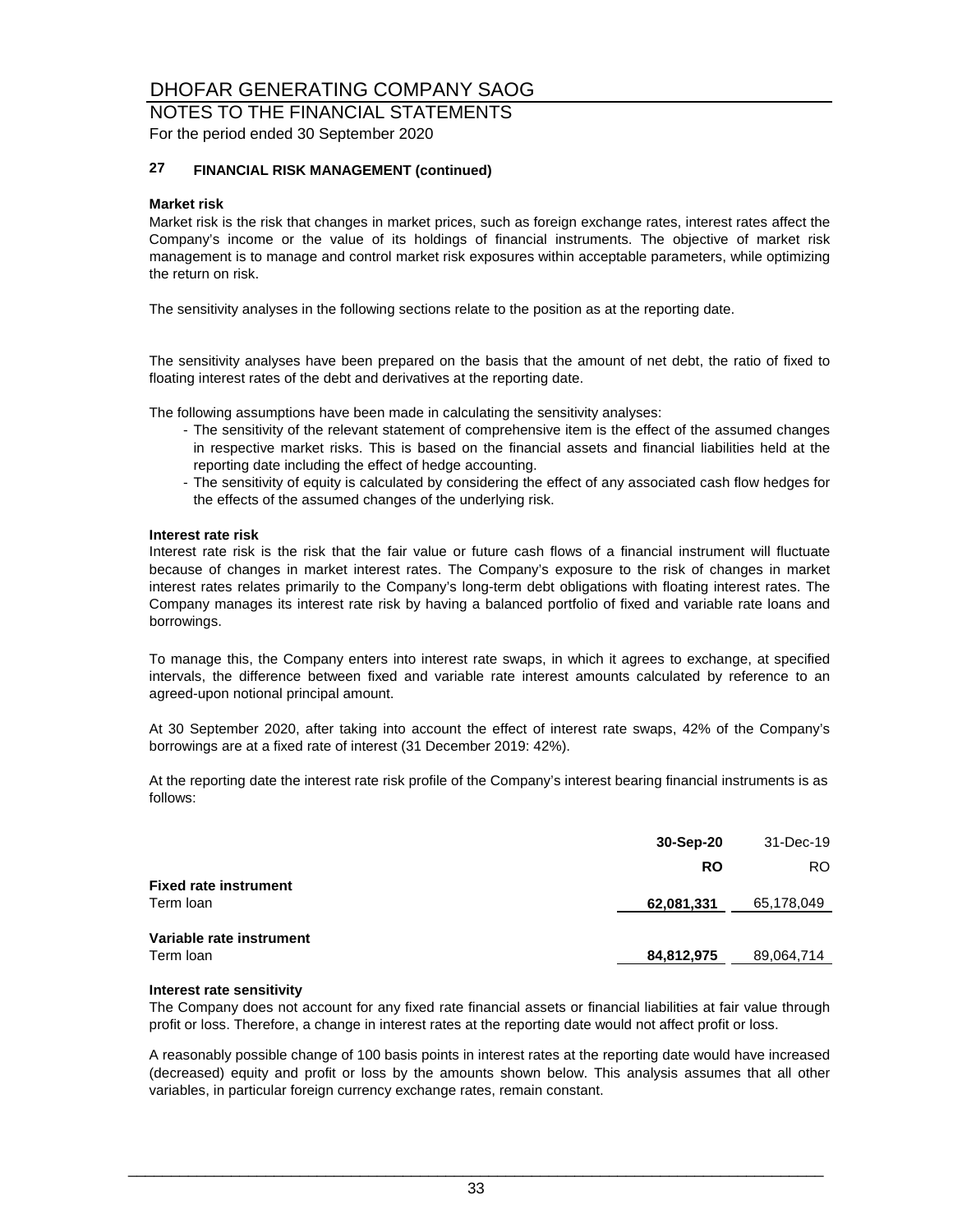#### NOTES TO THE FINANCIAL STATEMENTS For the period ended 30 September 2020

#### **27 FINANCIAL RISK MANAGEMENT (continued)**

#### **Market risk**

Market risk is the risk that changes in market prices, such as foreign exchange rates, interest rates affect the Company's income or the value of its holdings of financial instruments. The objective of market risk management is to manage and control market risk exposures within acceptable parameters, while optimizing the return on risk.

The sensitivity analyses in the following sections relate to the position as at the reporting date.

The sensitivity analyses have been prepared on the basis that the amount of net debt, the ratio of fixed to floating interest rates of the debt and derivatives at the reporting date.

The following assumptions have been made in calculating the sensitivity analyses:

- The sensitivity of the relevant statement of comprehensive item is the effect of the assumed changes in respective market risks. This is based on the financial assets and financial liabilities held at the reporting date including the effect of hedge accounting.
- The sensitivity of equity is calculated by considering the effect of any associated cash flow hedges for the effects of the assumed changes of the underlying risk.

#### **Interest rate risk**

Interest rate risk is the risk that the fair value or future cash flows of a financial instrument will fluctuate because of changes in market interest rates. The Company's exposure to the risk of changes in market interest rates relates primarily to the Company's long-term debt obligations with floating interest rates. The Company manages its interest rate risk by having a balanced portfolio of fixed and variable rate loans and borrowings.

To manage this, the Company enters into interest rate swaps, in which it agrees to exchange, at specified intervals, the difference between fixed and variable rate interest amounts calculated by reference to an agreed-upon notional principal amount.

At 30 September 2020, after taking into account the effect of interest rate swaps, 42% of the Company's borrowings are at a fixed rate of interest (31 December 2019: 42%).

At the reporting date the interest rate risk profile of the Company's interest bearing financial instruments is as follows:

| 30-Sep-20  | 31-Dec-19  |
|------------|------------|
| <b>RO</b>  | RO.        |
| 62,081,331 | 65,178,049 |
| 84,812,975 | 89,064,714 |
|            |            |

#### **Interest rate sensitivity**

The Company does not account for any fixed rate financial assets or financial liabilities at fair value through profit or loss. Therefore, a change in interest rates at the reporting date would not affect profit or loss.

A reasonably possible change of 100 basis points in interest rates at the reporting date would have increased (decreased) equity and profit or loss by the amounts shown below. This analysis assumes that all other variables, in particular foreign currency exchange rates, remain constant.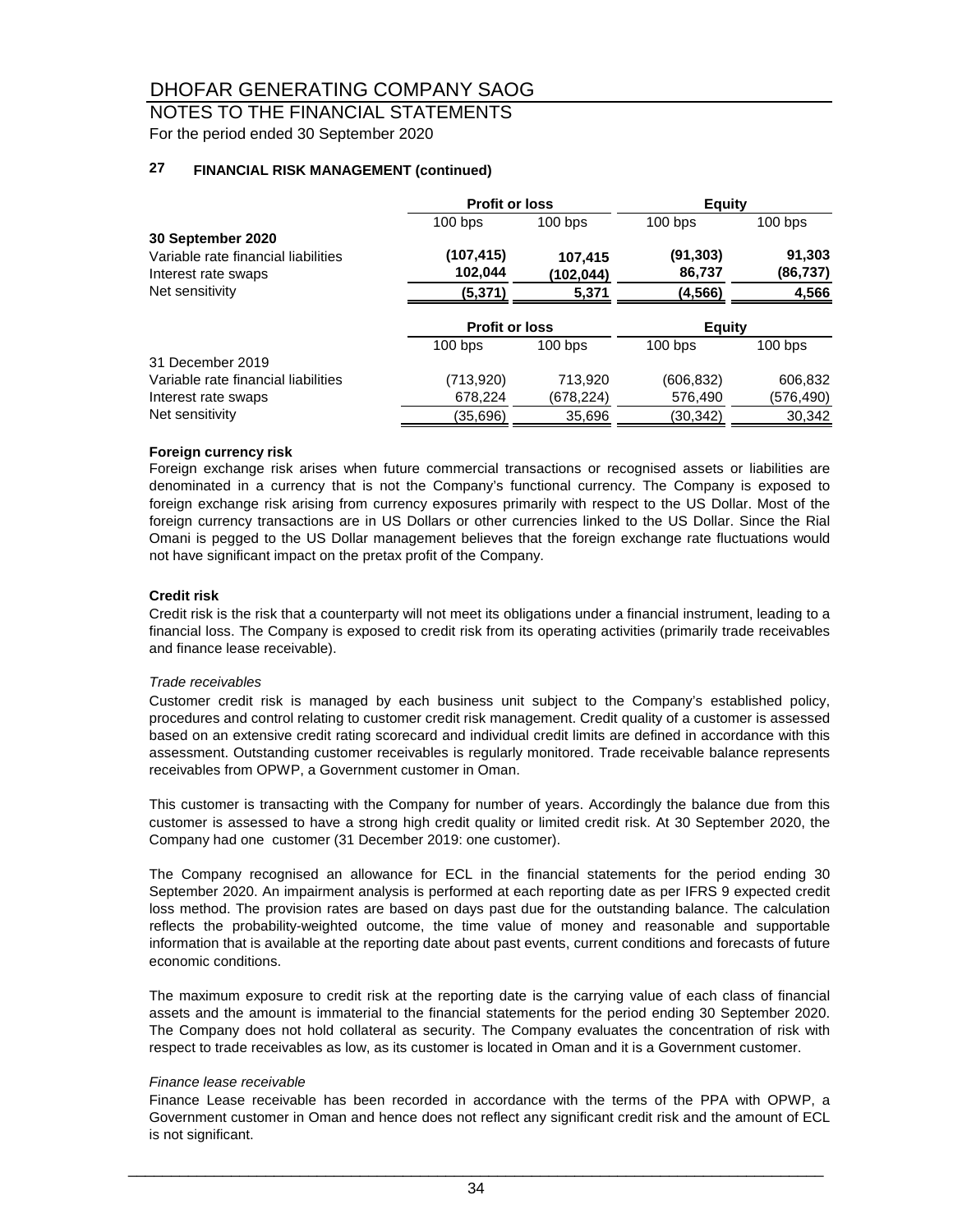# NOTES TO THE FINANCIAL STATEMENTS

For the period ended 30 September 2020

#### **27 FINANCIAL RISK MANAGEMENT (continued)**

|                                     | <b>Profit or loss</b> |           | <b>Equity</b> |           |
|-------------------------------------|-----------------------|-----------|---------------|-----------|
|                                     | $100$ bps             | $100$ bps | $100$ bps     | $100$ bps |
| 30 September 2020                   |                       |           |               |           |
| Variable rate financial liabilities | (107,415)             | 107,415   | (91, 303)     | 91,303    |
| Interest rate swaps                 | 102,044               | (102,044) | 86,737        | (86, 737) |
| Net sensitivity                     | (5,371)               | 5,371     | (4,566)       | 4,566     |
|                                     | <b>Profit or loss</b> |           | <b>Equity</b> |           |
|                                     | $100$ bps             | $100$ bps | $100$ bps     | $100$ bps |
| 31 December 2019                    |                       |           |               |           |
| Variable rate financial liabilities | (713,920)             | 713,920   | (606, 832)    | 606,832   |
| Interest rate swaps                 | 678,224               | (678,224) | 576,490       | (576,490) |
| Net sensitivity                     | (35,696)              | 35,696    | (30, 342)     | 30.342    |

#### **Foreign currency risk**

Foreign exchange risk arises when future commercial transactions or recognised assets or liabilities are denominated in a currency that is not the Company's functional currency. The Company is exposed to foreign exchange risk arising from currency exposures primarily with respect to the US Dollar. Most of the foreign currency transactions are in US Dollars or other currencies linked to the US Dollar. Since the Rial Omani is pegged to the US Dollar management believes that the foreign exchange rate fluctuations would not have significant impact on the pretax profit of the Company.

#### **Credit risk**

Credit risk is the risk that a counterparty will not meet its obligations under a financial instrument, leading to a financial loss. The Company is exposed to credit risk from its operating activities (primarily trade receivables and finance lease receivable).

#### *Trade receivables*

Customer credit risk is managed by each business unit subject to the Company's established policy, procedures and control relating to customer credit risk management. Credit quality of a customer is assessed based on an extensive credit rating scorecard and individual credit limits are defined in accordance with this assessment. Outstanding customer receivables is regularly monitored. Trade receivable balance represents receivables from OPWP, a Government customer in Oman.

This customer is transacting with the Company for number of years. Accordingly the balance due from this customer is assessed to have a strong high credit quality or limited credit risk. At 30 September 2020, the Company had one customer (31 December 2019: one customer).

The Company recognised an allowance for ECL in the financial statements for the period ending 30 September 2020. An impairment analysis is performed at each reporting date as per IFRS 9 expected credit loss method. The provision rates are based on days past due for the outstanding balance. The calculation reflects the probability-weighted outcome, the time value of money and reasonable and supportable information that is available at the reporting date about past events, current conditions and forecasts of future economic conditions.

The maximum exposure to credit risk at the reporting date is the carrying value of each class of financial assets and the amount is immaterial to the financial statements for the period ending 30 September 2020. The Company does not hold collateral as security. The Company evaluates the concentration of risk with respect to trade receivables as low, as its customer is located in Oman and it is a Government customer.

#### *Finance lease receivable*

Finance Lease receivable has been recorded in accordance with the terms of the PPA with OPWP, a Government customer in Oman and hence does not reflect any significant credit risk and the amount of ECL is not significant.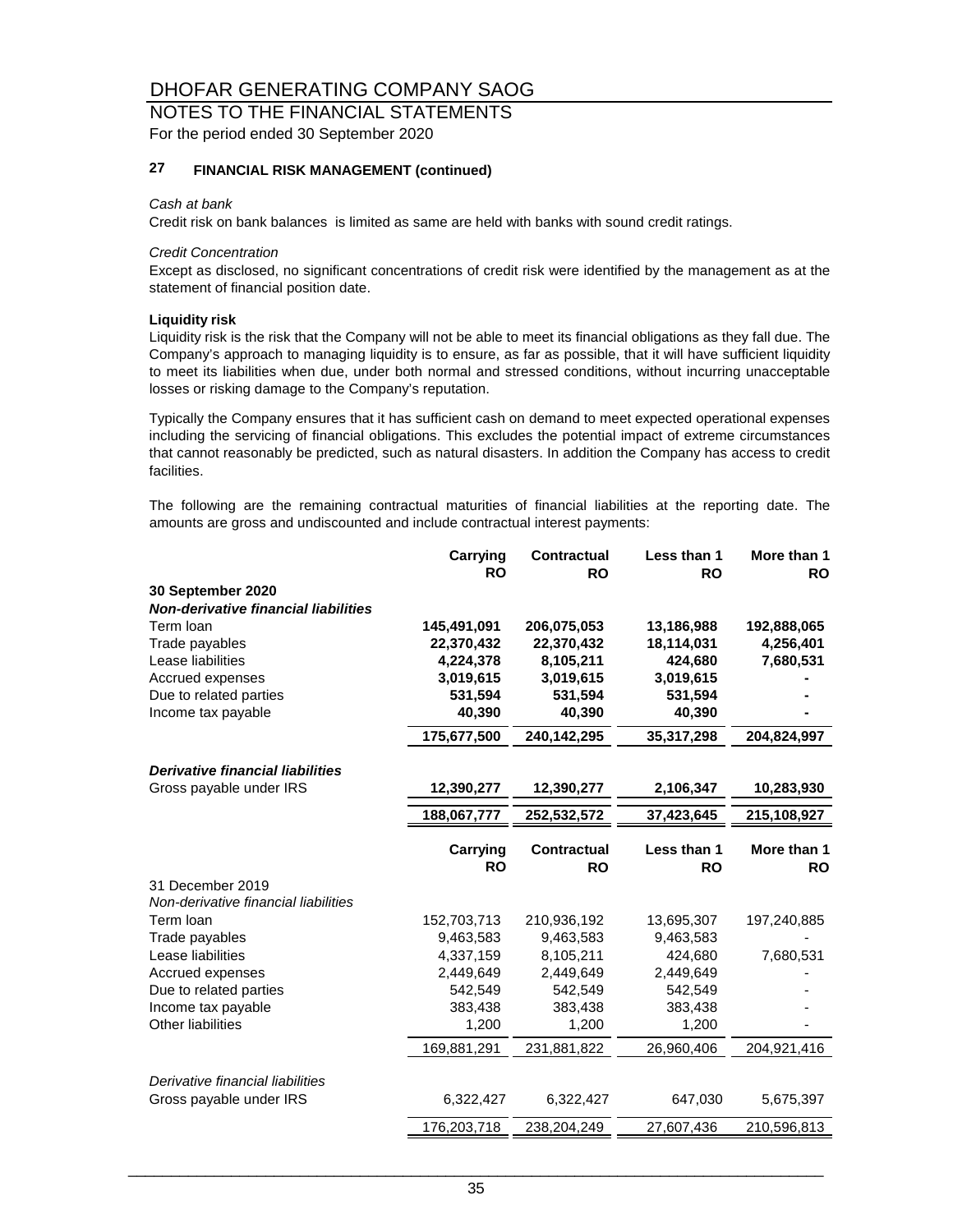#### NOTES TO THE FINANCIAL STATEMENTS For the period ended 30 September 2020

#### **27 FINANCIAL RISK MANAGEMENT (continued)**

#### *Cash at bank*

Credit risk on bank balances is limited as same are held with banks with sound credit ratings.

#### *Credit Concentration*

Except as disclosed, no significant concentrations of credit risk were identified by the management as at the statement of financial position date.

#### **Liquidity risk**

Liquidity risk is the risk that the Company will not be able to meet its financial obligations as they fall due. The Company's approach to managing liquidity is to ensure, as far as possible, that it will have sufficient liquidity to meet its liabilities when due, under both normal and stressed conditions, without incurring unacceptable losses or risking damage to the Company's reputation.

Typically the Company ensures that it has sufficient cash on demand to meet expected operational expenses including the servicing of financial obligations. This excludes the potential impact of extreme circumstances that cannot reasonably be predicted, such as natural disasters. In addition the Company has access to credit facilities.

The following are the remaining contractual maturities of financial liabilities at the reporting date. The amounts are gross and undiscounted and include contractual interest payments:

|                                         | Carrying<br><b>RO</b> | <b>Contractual</b><br><b>RO</b> | Less than 1<br><b>RO</b> | More than 1<br><b>RO</b> |
|-----------------------------------------|-----------------------|---------------------------------|--------------------------|--------------------------|
| 30 September 2020                       |                       |                                 |                          |                          |
| Non-derivative financial liabilities    |                       |                                 |                          |                          |
| Term loan                               | 145,491,091           | 206,075,053                     | 13,186,988               | 192,888,065              |
| Trade payables                          | 22,370,432            | 22,370,432                      | 18,114,031               | 4,256,401                |
| Lease liabilities                       | 4,224,378             | 8,105,211                       | 424,680                  | 7,680,531                |
| Accrued expenses                        | 3,019,615             | 3,019,615                       | 3,019,615                |                          |
| Due to related parties                  | 531,594               | 531,594                         | 531,594                  |                          |
| Income tax payable                      | 40,390                | 40,390                          | 40,390                   |                          |
|                                         | 175,677,500           | 240,142,295                     | 35,317,298               | 204,824,997              |
| <b>Derivative financial liabilities</b> |                       |                                 |                          |                          |
| Gross payable under IRS                 | 12,390,277            | 12,390,277                      | 2,106,347                | 10,283,930               |
|                                         | 188,067,777           | 252,532,572                     | 37,423,645               | 215,108,927              |
|                                         | Carrying              | <b>Contractual</b>              | Less than 1              | More than 1              |
|                                         | <b>RO</b>             | <b>RO</b>                       | <b>RO</b>                | <b>RO</b>                |
| 31 December 2019                        |                       |                                 |                          |                          |
| Non-derivative financial liabilities    |                       |                                 |                          |                          |
| Term loan                               | 152,703,713           | 210,936,192                     | 13,695,307               | 197,240,885              |
| Trade payables                          | 9,463,583             | 9,463,583                       | 9,463,583                |                          |
| Lease liabilities                       | 4,337,159             | 8,105,211                       | 424,680                  | 7,680,531                |
| Accrued expenses                        | 2,449,649             | 2,449,649                       | 2,449,649                |                          |
| Due to related parties                  | 542,549               | 542,549                         | 542,549                  |                          |
| Income tax payable                      | 383,438               | 383,438                         | 383,438                  |                          |
| <b>Other liabilities</b>                | 1,200                 | 1,200                           | 1,200                    |                          |
|                                         | 169,881,291           | 231,881,822                     | 26,960,406               | 204,921,416              |
| Derivative financial liabilities        |                       |                                 |                          |                          |
| Gross payable under IRS                 | 6,322,427             | 6,322,427                       | 647,030                  | 5,675,397                |
|                                         | 176,203,718           | 238,204,249                     | 27,607,436               | 210,596,813              |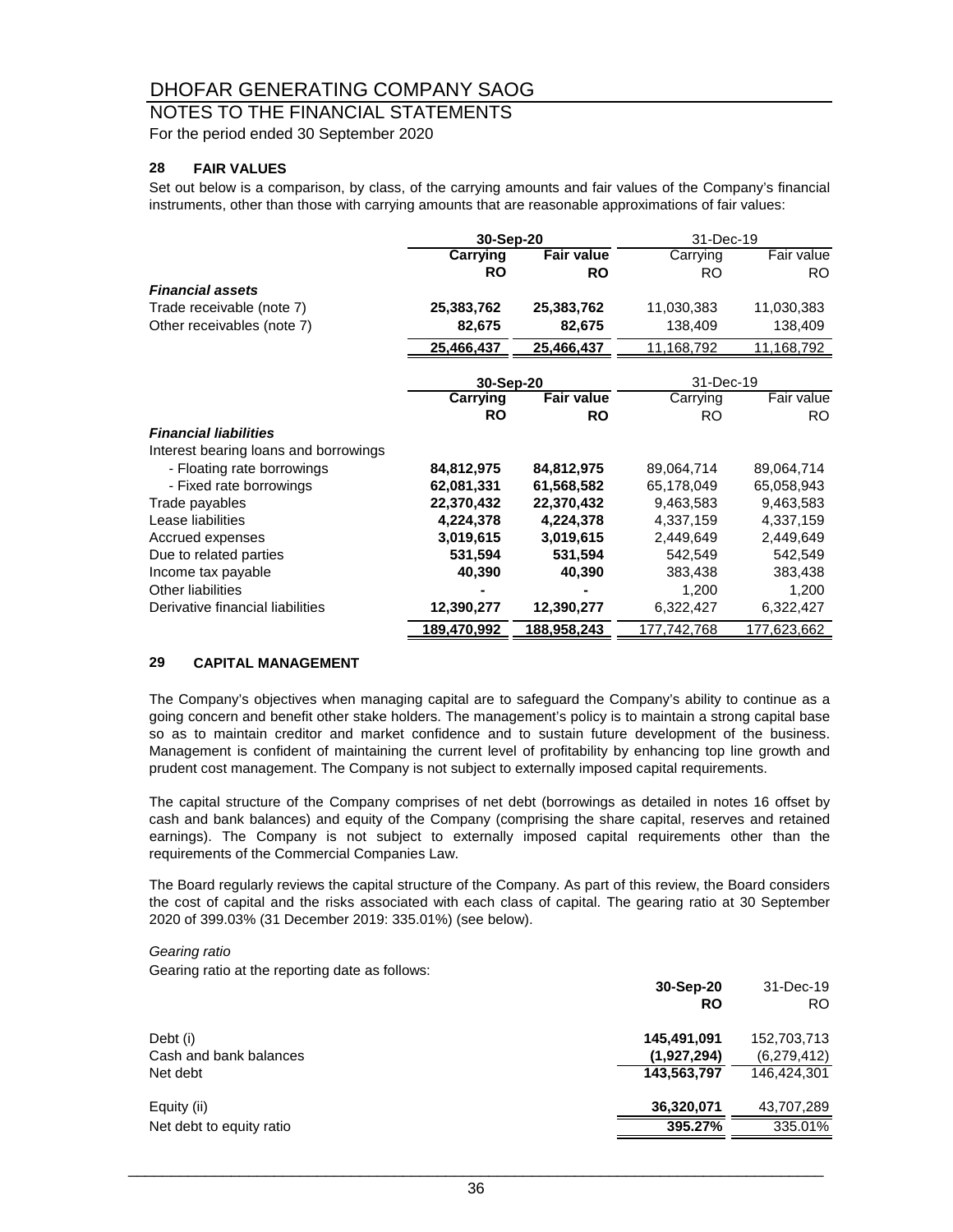## NOTES TO THE FINANCIAL STATEMENTS

For the period ended 30 September 2020

#### **28 FAIR VALUES**

Set out below is a comparison, by class, of the carrying amounts and fair values of the Company's financial instruments, other than those with carrying amounts that are reasonable approximations of fair values:

|                                       | 30-Sep-20       |                   | 31-Dec-19   |             |
|---------------------------------------|-----------------|-------------------|-------------|-------------|
|                                       | <b>Carrying</b> | <b>Fair value</b> | Carrying    | Fair value  |
|                                       | <b>RO</b>       | <b>RO</b>         | <b>RO</b>   | RO.         |
| <b>Financial assets</b>               |                 |                   |             |             |
| Trade receivable (note 7)             | 25,383,762      | 25,383,762        | 11,030,383  | 11,030,383  |
| Other receivables (note 7)            | 82,675          | 82,675            | 138,409     | 138,409     |
|                                       | 25,466,437      | 25,466,437        | 11,168,792  | 11,168,792  |
|                                       | 30-Sep-20       |                   | 31-Dec-19   |             |
|                                       | Carrying        | <b>Fair value</b> | Carrying    | Fair value  |
|                                       | <b>RO</b>       | <b>RO</b>         | RO.         | RO.         |
| <b>Financial liabilities</b>          |                 |                   |             |             |
| Interest bearing loans and borrowings |                 |                   |             |             |
| - Floating rate borrowings            | 84,812,975      | 84,812,975        | 89,064,714  | 89,064,714  |
| - Fixed rate borrowings               | 62,081,331      | 61,568,582        | 65,178,049  | 65,058,943  |
| Trade payables                        | 22,370,432      | 22,370,432        | 9,463,583   | 9,463,583   |
| Lease liabilities                     | 4,224,378       | 4,224,378         | 4,337,159   | 4,337,159   |
| Accrued expenses                      | 3,019,615       | 3,019,615         | 2,449,649   | 2,449,649   |
| Due to related parties                | 531,594         | 531,594           | 542,549     | 542,549     |
| Income tax payable                    | 40,390          | 40,390            | 383,438     | 383,438     |
| Other liabilities                     |                 |                   | 1,200       | 1,200       |
| Derivative financial liabilities      | 12,390,277      | 12,390,277        | 6,322,427   | 6,322,427   |
|                                       | 189,470,992     | 188,958,243       | 177,742,768 | 177,623,662 |

#### **29 CAPITAL MANAGEMENT**

The Company's objectives when managing capital are to safeguard the Company's ability to continue as a going concern and benefit other stake holders. The management's policy is to maintain a strong capital base so as to maintain creditor and market confidence and to sustain future development of the business. Management is confident of maintaining the current level of profitability by enhancing top line growth and prudent cost management. The Company is not subject to externally imposed capital requirements.

The capital structure of the Company comprises of net debt (borrowings as detailed in notes 16 offset by cash and bank balances) and equity of the Company (comprising the share capital, reserves and retained earnings). The Company is not subject to externally imposed capital requirements other than the requirements of the Commercial Companies Law.

The Board regularly reviews the capital structure of the Company. As part of this review, the Board considers the cost of capital and the risks associated with each class of capital. The gearing ratio at 30 September 2020 of 399.03% (31 December 2019: 335.01%) (see below).

#### *Gearing ratio*

Gearing ratio at the reporting date as follows:

|                          | 30-Sep-20   | 31-Dec-19      |
|--------------------------|-------------|----------------|
|                          | <b>RO</b>   | R <sub>O</sub> |
| Debt (i)                 | 145,491,091 | 152,703,713    |
| Cash and bank balances   | (1,927,294) | (6,279,412)    |
| Net debt                 | 143,563,797 | 146,424,301    |
| Equity (ii)              | 36,320,071  | 43,707,289     |
| Net debt to equity ratio | 395.27%     | 335.01%        |
|                          |             |                |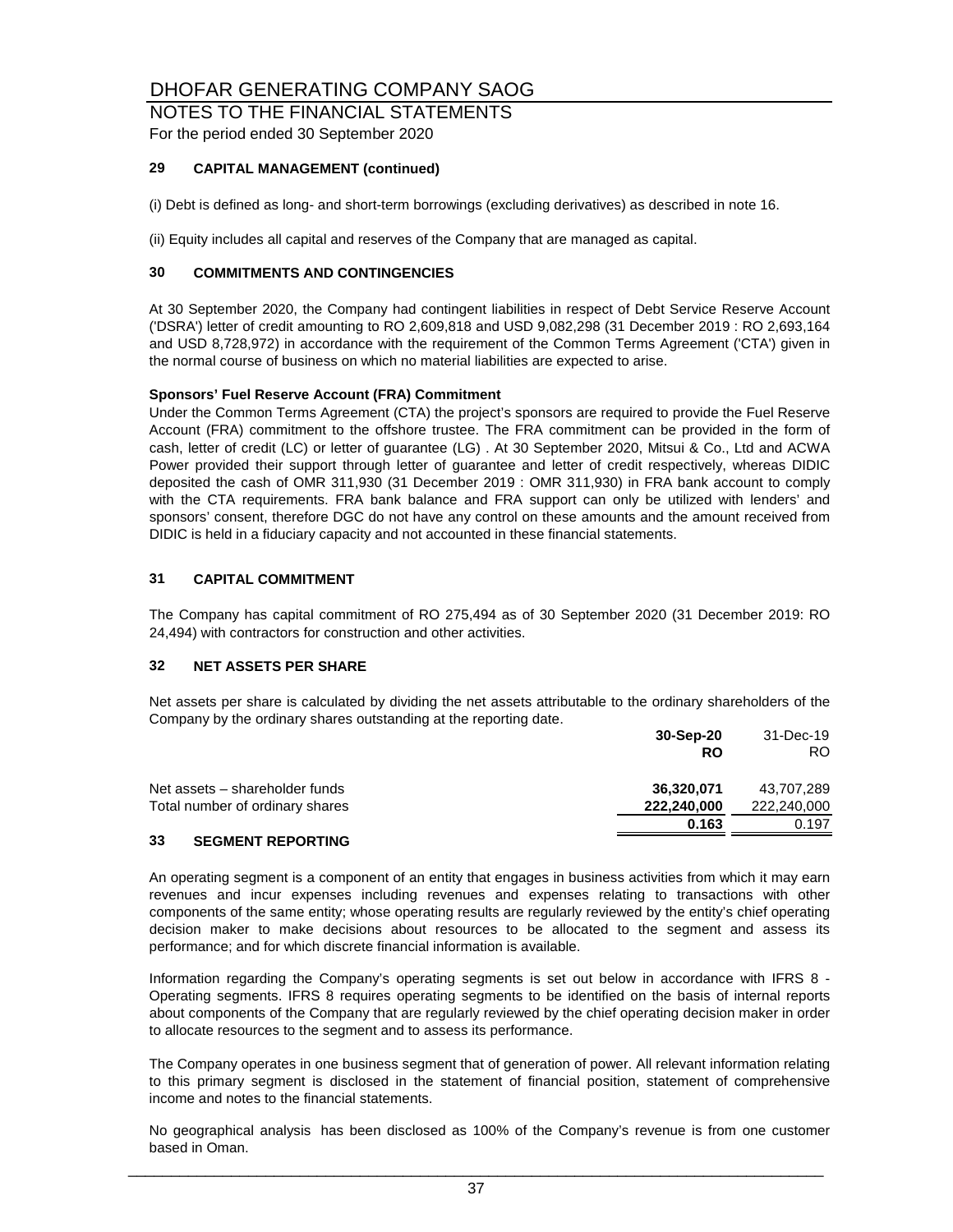### NOTES TO THE FINANCIAL STATEMENTS

For the period ended 30 September 2020

#### **29 CAPITAL MANAGEMENT (continued)**

(i) Debt is defined as long- and short-term borrowings (excluding derivatives) as described in note 16.

(ii) Equity includes all capital and reserves of the Company that are managed as capital.

#### **30 COMMITMENTS AND CONTINGENCIES**

At 30 September 2020, the Company had contingent liabilities in respect of Debt Service Reserve Account ('DSRA') letter of credit amounting to RO 2,609,818 and USD 9,082,298 (31 December 2019 : RO 2,693,164 and USD 8,728,972) in accordance with the requirement of the Common Terms Agreement ('CTA') given in the normal course of business on which no material liabilities are expected to arise.

#### **Sponsors' Fuel Reserve Account (FRA) Commitment**

Under the Common Terms Agreement (CTA) the project's sponsors are required to provide the Fuel Reserve Account (FRA) commitment to the offshore trustee. The FRA commitment can be provided in the form of cash, letter of credit (LC) or letter of guarantee (LG) . At 30 September 2020, Mitsui & Co., Ltd and ACWA Power provided their support through letter of guarantee and letter of credit respectively, whereas DIDIC deposited the cash of OMR 311,930 (31 December 2019 : OMR 311,930) in FRA bank account to comply with the CTA requirements. FRA bank balance and FRA support can only be utilized with lenders' and sponsors' consent, therefore DGC do not have any control on these amounts and the amount received from DIDIC is held in a fiduciary capacity and not accounted in these financial statements.

#### **31 CAPITAL COMMITMENT**

The Company has capital commitment of RO 275,494 as of 30 September 2020 (31 December 2019: RO 24,494) with contractors for construction and other activities.

#### **32 NET ASSETS PER SHARE**

Net assets per share is calculated by dividing the net assets attributable to the ordinary shareholders of the Company by the ordinary shares outstanding at the reporting date.

|                                 | 30-Sep-20   | 31-Dec-19   |
|---------------------------------|-------------|-------------|
|                                 | <b>RO</b>   | RO.         |
| Net assets – shareholder funds  | 36,320,071  | 43,707,289  |
| Total number of ordinary shares | 222,240,000 | 222,240,000 |
|                                 | 0.163       | 0.197       |
| 33<br><b>SEGMENT REPORTING</b>  |             |             |

#### An operating segment is a component of an entity that engages in business activities from which it may earn revenues and incur expenses including revenues and expenses relating to transactions with other components of the same entity; whose operating results are regularly reviewed by the entity's chief operating decision maker to make decisions about resources to be allocated to the segment and assess its

performance; and for which discrete financial information is available.

Information regarding the Company's operating segments is set out below in accordance with IFRS 8 - Operating segments. IFRS 8 requires operating segments to be identified on the basis of internal reports about components of the Company that are regularly reviewed by the chief operating decision maker in order to allocate resources to the segment and to assess its performance.

The Company operates in one business segment that of generation of power. All relevant information relating to this primary segment is disclosed in the statement of financial position, statement of comprehensive income and notes to the financial statements.

No geographical analysis has been disclosed as 100% of the Company's revenue is from one customer based in Oman.